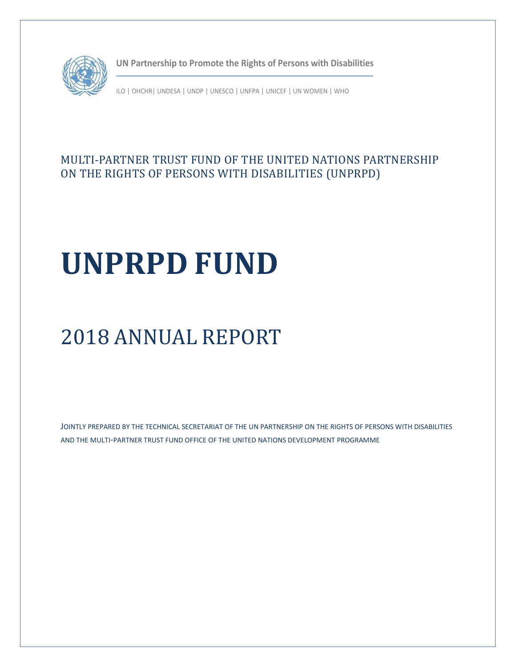

**UN Partnership to Promote the Rights of Persons with Disabilities**

ILO | OHCHR| UNDESA | UNDP | UNESCO | UNFPA | UNICEF | UN WOMEN | WHO

## MULTI-PARTNER TRUST FUND OF THE UNITED NATIONS PARTNERSHIP ON THE RIGHTS OF PERSONS WITH DISABILITIES (UNPRPD)

# **UNPRPD FUND**

## 2018 ANNUAL REPORT

JOINTLY PREPARED BY THE TECHNICAL SECRETARIAT OF THE UN PARTNERSHIP ON THE RIGHTS OF PERSONS WITH DISABILITIES AND THE MULTI-PARTNER TRUST FUND OFFICE OF THE UNITED NATIONS DEVELOPMENT PROGRAMME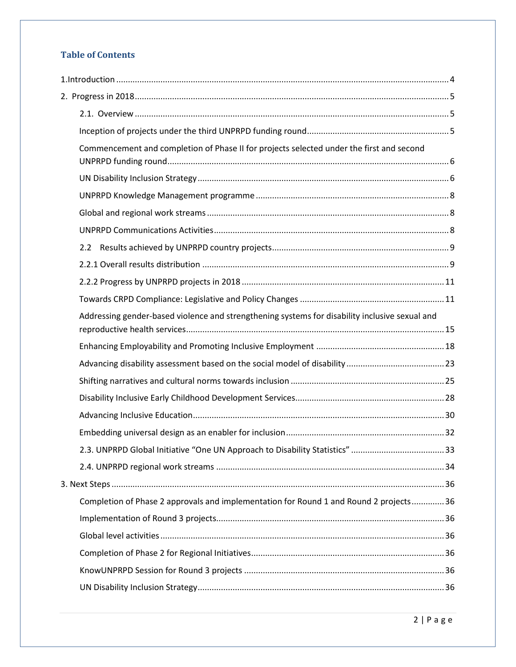## **Table of Contents**

| Commencement and completion of Phase II for projects selected under the first and second       |  |
|------------------------------------------------------------------------------------------------|--|
|                                                                                                |  |
|                                                                                                |  |
|                                                                                                |  |
|                                                                                                |  |
| 2.2                                                                                            |  |
|                                                                                                |  |
|                                                                                                |  |
|                                                                                                |  |
| Addressing gender-based violence and strengthening systems for disability inclusive sexual and |  |
|                                                                                                |  |
|                                                                                                |  |
|                                                                                                |  |
|                                                                                                |  |
|                                                                                                |  |
|                                                                                                |  |
|                                                                                                |  |
|                                                                                                |  |
|                                                                                                |  |
| Completion of Phase 2 approvals and implementation for Round 1 and Round 2 projects36          |  |
|                                                                                                |  |
|                                                                                                |  |
|                                                                                                |  |
|                                                                                                |  |
|                                                                                                |  |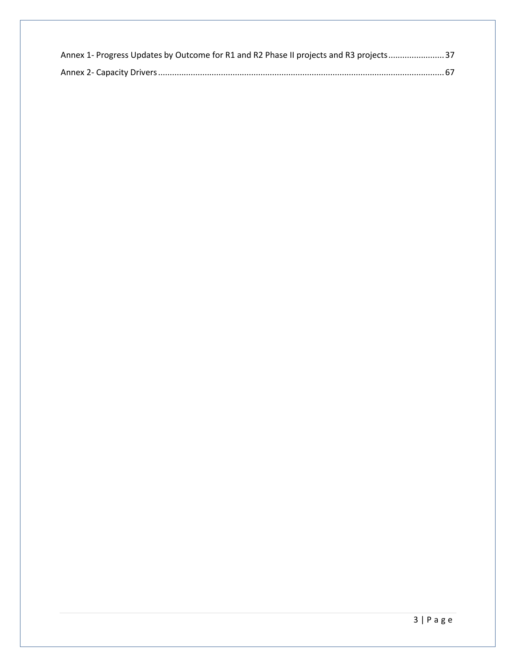| Annex 1- Progress Updates by Outcome for R1 and R2 Phase II projects and R3 projects 37 |  |
|-----------------------------------------------------------------------------------------|--|
|                                                                                         |  |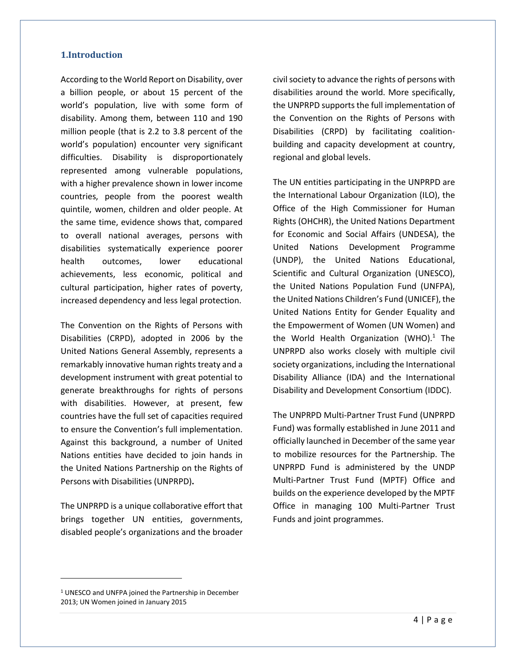#### <span id="page-3-0"></span>**1.Introduction**

According to the World Report on Disability, over a billion people, or about 15 percent of the world's population, live with some form of disability. Among them, between 110 and 190 million people (that is 2.2 to 3.8 percent of the world's population) encounter very significant difficulties. Disability is disproportionately represented among vulnerable populations, with a higher prevalence shown in lower income countries, people from the poorest wealth quintile, women, children and older people. At the same time, evidence shows that, compared to overall national averages, persons with disabilities systematically experience poorer health outcomes, lower educational achievements, less economic, political and cultural participation, higher rates of poverty, increased dependency and less legal protection.

The Convention on the Rights of Persons with Disabilities (CRPD), adopted in 2006 by the United Nations General Assembly, represents a remarkably innovative human rights treaty and a development instrument with great potential to generate breakthroughs for rights of persons with disabilities. However, at present, few countries have the full set of capacities required to ensure the Convention's full implementation. Against this background, a number of United Nations entities have decided to join hands in the United Nations Partnership on the Rights of Persons with Disabilities (UNPRPD)**.**

The UNPRPD is a unique collaborative effort that brings together UN entities, governments, disabled people's organizations and the broader

civil society to advance the rights of persons with disabilities around the world. More specifically, the UNPRPD supports the full implementation of the Convention on the Rights of Persons with Disabilities (CRPD) by facilitating coalitionbuilding and capacity development at country, regional and global levels.

The UN entities participating in the UNPRPD are the International Labour Organization (ILO), the Office of the High Commissioner for Human Rights (OHCHR), the United Nations Department for Economic and Social Affairs (UNDESA), the United Nations Development Programme (UNDP), the United Nations Educational, Scientific and Cultural Organization (UNESCO), the United Nations Population Fund (UNFPA), the United Nations Children's Fund (UNICEF), the United Nations Entity for Gender Equality and the Empowerment of Women (UN Women) and the World Health Organization (WHO). $1$  The UNPRPD also works closely with multiple civil society organizations, including the International Disability Alliance (IDA) and the International Disability and Development Consortium (IDDC).

The UNPRPD Multi-Partner Trust Fund (UNPRPD Fund) was formally established in June 2011 and officially launched in December of the same year to mobilize resources for the Partnership. The UNPRPD Fund is administered by the UNDP Multi-Partner Trust Fund (MPTF) Office and builds on the experience developed by the MPTF Office in managing 100 Multi-Partner Trust Funds and joint programmes.

 $\overline{a}$ 

<sup>1</sup> UNESCO and UNFPA joined the Partnership in December 2013; UN Women joined in January 2015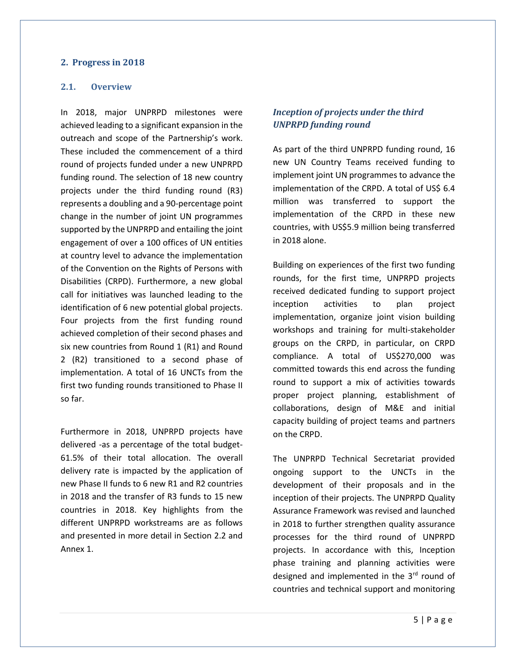#### <span id="page-4-0"></span>**2. Progress in 2018**

#### <span id="page-4-1"></span>**2.1. Overview**

In 2018, major UNPRPD milestones were achieved leading to a significant expansion in the outreach and scope of the Partnership's work. These included the commencement of a third round of projects funded under a new UNPRPD funding round. The selection of 18 new country projects under the third funding round (R3) represents a doubling and a 90-percentage point change in the number of joint UN programmes supported by the UNPRPD and entailing the joint engagement of over a 100 offices of UN entities at country level to advance the implementation of the Convention on the Rights of Persons with Disabilities (CRPD). Furthermore, a new global call for initiatives was launched leading to the identification of 6 new potential global projects. Four projects from the first funding round achieved completion of their second phases and six new countries from Round 1 (R1) and Round 2 (R2) transitioned to a second phase of implementation. A total of 16 UNCTs from the first two funding rounds transitioned to Phase II so far.

Furthermore in 2018, UNPRPD projects have delivered -as a percentage of the total budget-61.5% of their total allocation. The overall delivery rate is impacted by the application of new Phase II funds to 6 new R1 and R2 countries in 2018 and the transfer of R3 funds to 15 new countries in 2018. Key highlights from the different UNPRPD workstreams are as follows and presented in more detail in Section 2.2 and Annex 1.

#### <span id="page-4-2"></span>*Inception of projects under the third UNPRPD funding round*

As part of the third UNPRPD funding round, 16 new UN Country Teams received funding to implement joint UN programmes to advance the implementation of the CRPD. A total of US\$ 6.4 million was transferred to support the implementation of the CRPD in these new countries, with US\$5.9 million being transferred in 2018 alone.

Building on experiences of the first two funding rounds, for the first time, UNPRPD projects received dedicated funding to support project inception activities to plan project implementation, organize joint vision building workshops and training for multi-stakeholder groups on the CRPD, in particular, on CRPD compliance. A total of US\$270,000 was committed towards this end across the funding round to support a mix of activities towards proper project planning, establishment of collaborations, design of M&E and initial capacity building of project teams and partners on the CRPD.

The UNPRPD Technical Secretariat provided ongoing support to the UNCTs in the development of their proposals and in the inception of their projects. The UNPRPD Quality Assurance Framework was revised and launched in 2018 to further strengthen quality assurance processes for the third round of UNPRPD projects. In accordance with this, Inception phase training and planning activities were designed and implemented in the 3rd round of countries and technical support and monitoring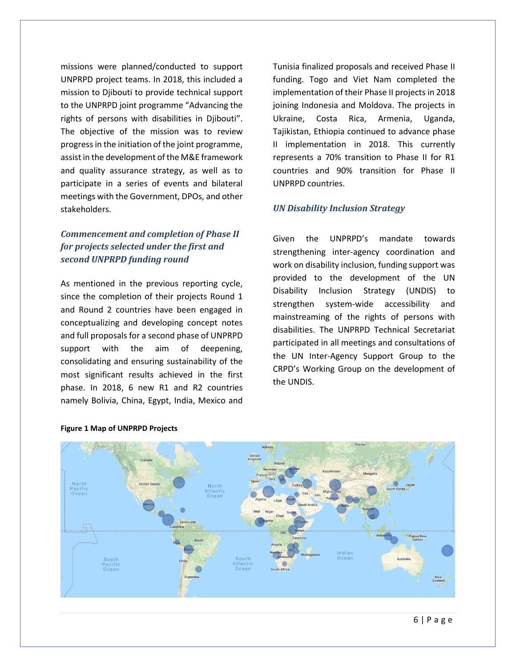missions were planned/conducted to support UNPRPD project teams. In 2018, this included a mission to Djibouti to provide technical support to the UNPRPD joint programme "Advancing the rights of persons with disabilities in Djibouti". The objective of the mission was to review progress in the initiation of the joint programme, assist in the development of the M&E framework and quality assurance strategy, as well as to participate in a series of events and bilateral meetings with the Government, DPOs, and other stakeholders.

#### <span id="page-5-0"></span>*Commencement and completion of Phase II for projects selected under the first and second UNPRPD funding round*

As mentioned in the previous reporting cycle, since the completion of their projects Round 1 and Round 2 countries have been engaged in conceptualizing and developing concept notes and full proposals for a second phase of UNPRPD support with the aim of deepening, consolidating and ensuring sustainability of the most significant results achieved in the first phase. In 2018, 6 new R1 and R2 countries namely Bolivia, China, Egypt, India, Mexico and

Tunisia finalized proposals and received Phase II funding. Togo and Viet Nam completed the implementation of their Phase II projects in 2018 joining Indonesia and Moldova. The projects in Ukraine, Costa Rica, Armenia, Uganda, Tajikistan, Ethiopia continued to advance phase II implementation in 2018. This currently represents a 70% transition to Phase II for R1 countries and 90% transition for Phase II UNPRPD countries.

#### <span id="page-5-1"></span>*UN Disability Inclusion Strategy*

Given the UNPRPD's mandate towards strengthening inter-agency coordination and work on disability inclusion, funding support was provided to the development of the UN Disability Inclusion Strategy (UNDIS) to strengthen system-wide accessibility and mainstreaming of the rights of persons with disabilities. The UNPRPD Technical Secretariat participated in all meetings and consultations of the UN Inter-Agency Support Group to the CRPD's Working Group on the development of the UNDIS.



#### **Figure 1 Map of UNPRPD Projects**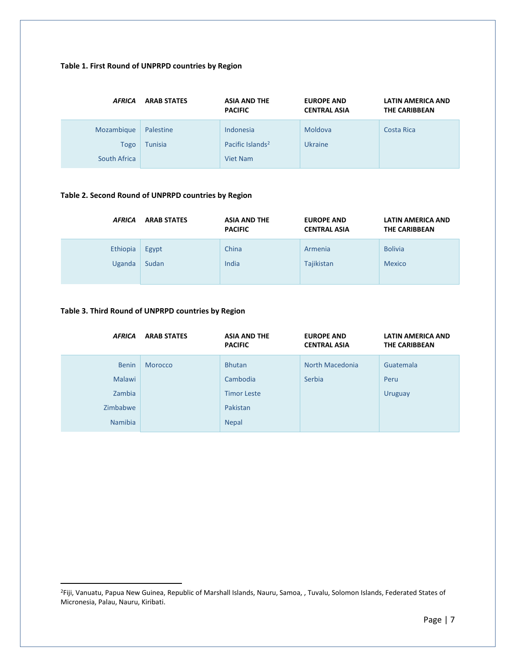#### **Table 1. First Round of UNPRPD countries by Region**

| <b>AFRICA</b>                             | <b>ARAB STATES</b>          | <b>ASIA AND THE</b><br><b>PACIFIC</b>                 | <b>EUROPE AND</b><br><b>CENTRAL ASIA</b> | <b>LATIN AMERICA AND</b><br><b>THE CARIBBEAN</b> |
|-------------------------------------------|-----------------------------|-------------------------------------------------------|------------------------------------------|--------------------------------------------------|
| Mozambique<br><b>Togo</b><br>South Africa | Palestine<br><b>Tunisia</b> | Indonesia<br>Pacific Islands <sup>2</sup><br>Viet Nam | Moldova<br><b>Ukraine</b>                | Costa Rica                                       |

#### **Table 2. Second Round of UNPRPD countries by Region**

| <b>AFRICA</b> | <b>ARAB STATES</b> | <b>ASIA AND THE</b><br><b>PACIFIC</b> | <b>EUROPE AND</b><br><b>CENTRAL ASIA</b> | <b>LATIN AMERICA AND</b><br>THE CARIBBEAN |
|---------------|--------------------|---------------------------------------|------------------------------------------|-------------------------------------------|
| Ethiopia      | Egypt              | China                                 | Armenia                                  | <b>Bolivia</b>                            |
| Uganda        | Sudan              | India                                 | Tajikistan                               | <b>Mexico</b>                             |

#### **Table 3. Third Round of UNPRPD countries by Region**

 $\overline{a}$ 

| <b>AFRICA</b>                                                         | <b>ARAB STATES</b> | <b>ASIA AND THE</b><br><b>PACIFIC</b>                                       | <b>EUROPE AND</b><br><b>CENTRAL ASIA</b> | LATIN AMERICA AND<br>THE CARIBBEAN  |
|-----------------------------------------------------------------------|--------------------|-----------------------------------------------------------------------------|------------------------------------------|-------------------------------------|
| <b>Benin</b><br><b>Malawi</b><br>Zambia<br>Zimbabwe<br><b>Namibia</b> | Morocco            | <b>Bhutan</b><br>Cambodia<br><b>Timor Leste</b><br>Pakistan<br><b>Nepal</b> | North Macedonia<br>Serbia                | Guatemala<br>Peru<br><b>Uruguay</b> |

<sup>2</sup>Fiji, Vanuatu, Papua New Guinea, Republic of Marshall Islands, Nauru, Samoa, , Tuvalu, Solomon Islands, Federated States of Micronesia, Palau, Nauru, Kiribati.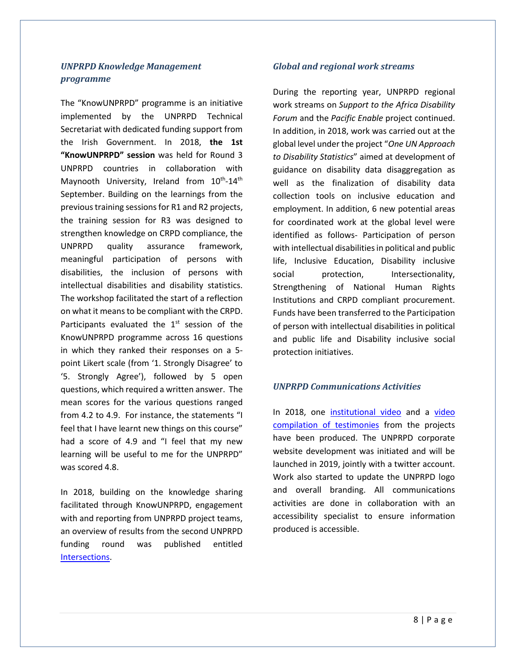#### <span id="page-7-0"></span>*UNPRPD Knowledge Management programme*

The "KnowUNPRPD" programme is an initiative implemented by the UNPRPD Technical Secretariat with dedicated funding support from the Irish Government. In 2018, **the 1st "KnowUNPRPD" session** was held for Round 3 UNPRPD countries in collaboration with Maynooth University, Ireland from 10<sup>th</sup>-14<sup>th</sup> September. Building on the learnings from the previous training sessions for R1 and R2 projects, the training session for R3 was designed to strengthen knowledge on CRPD compliance, the UNPRPD quality assurance framework, meaningful participation of persons with disabilities, the inclusion of persons with intellectual disabilities and disability statistics. The workshop facilitated the start of a reflection on what it means to be compliant with the CRPD. Participants evaluated the  $1<sup>st</sup>$  session of the KnowUNPRPD programme across 16 questions in which they ranked their responses on a 5 point Likert scale (from '1. Strongly Disagree' to '5. Strongly Agree'), followed by 5 open questions, which required a written answer. The mean scores for the various questions ranged from 4.2 to 4.9. For instance, the statements "I feel that I have learnt new things on this course" had a score of 4.9 and "I feel that my new learning will be useful to me for the UNPRPD" was scored 4.8.

In 2018, building on the knowledge sharing facilitated through KnowUNPRPD, engagement with and reporting from UNPRPD project teams, an overview of results from the second UNPRPD funding round was published entitled [Intersections.](http://mptf.undp.org/document/download/19976)

#### <span id="page-7-1"></span>*Global and regional work streams*

During the reporting year, UNPRPD regional work streams on *Support to the Africa Disability Forum* and the *Pacific Enable* project continued. In addition, in 2018, work was carried out at the global level under the project "*One UN Approach to Disability Statistics*" aimed at development of guidance on disability data disaggregation as well as the finalization of disability data collection tools on inclusive education and employment. In addition, 6 new potential areas for coordinated work at the global level were identified as follows- Participation of person with intellectual disabilities in political and public life, Inclusive Education, Disability inclusive social protection, Intersectionality, Strengthening of National Human Rights Institutions and CRPD compliant procurement. Funds have been transferred to the Participation of person with intellectual disabilities in political and public life and Disability inclusive social protection initiatives.

#### <span id="page-7-2"></span>*UNPRPD Communications Activities*

In 2018, one [institutional video](https://eur03.safelinks.protection.outlook.com/?url=https%3A%2F%2Fyoutu.be%2FiNEydeWe0io&data=02%7C01%7Csreerupa.mitra%40undp.org%7Cfccccf7996a94a341a3d08d6e46223fd%7Cb3e5db5e2944483799f57488ace54319%7C0%7C0%7C636947507963795184&sdata=vkkVsiIgCcN2CaYPP3m4ko9FfYmxJiKtDHustwSPeDg%3D&reserved=0) and a video [compilation of testimonies](https://eur03.safelinks.protection.outlook.com/?url=https%3A%2F%2Fyoutu.be%2FkjOGgU6a2Yo&data=02%7C01%7Csreerupa.mitra%40undp.org%7Cfccccf7996a94a341a3d08d6e46223fd%7Cb3e5db5e2944483799f57488ace54319%7C0%7C0%7C636947507963795184&sdata=Y4v69r6%2F5vU3ev2Qyhf0gV5LVmbXfcGJPUk%2BC7uIHgM%3D&reserved=0) from the projects have been produced. The UNPRPD corporate website development was initiated and will be launched in 2019, jointly with a twitter account. Work also started to update the UNPRPD logo and overall branding. All communications activities are done in collaboration with an accessibility specialist to ensure information produced is accessible.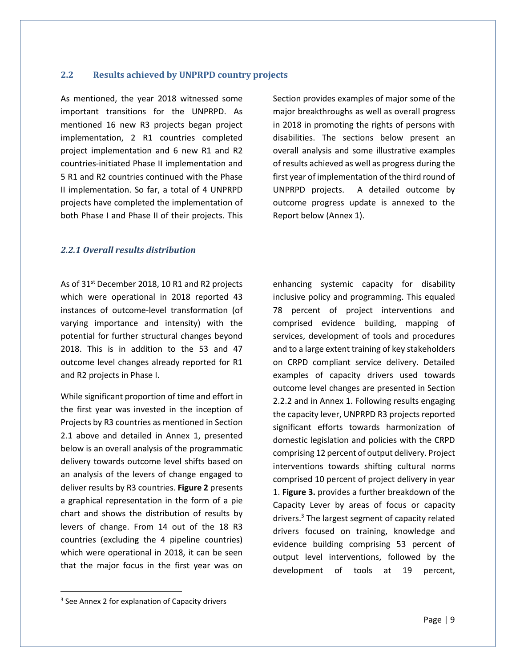#### <span id="page-8-0"></span>**2.2 Results achieved by UNPRPD country projects**

As mentioned, the year 2018 witnessed some important transitions for the UNPRPD. As mentioned 16 new R3 projects began project implementation, 2 R1 countries completed project implementation and 6 new R1 and R2 countries-initiated Phase II implementation and 5 R1 and R2 countries continued with the Phase II implementation. So far, a total of 4 UNPRPD projects have completed the implementation of both Phase I and Phase II of their projects. This

Section provides examples of major some of the major breakthroughs as well as overall progress in 2018 in promoting the rights of persons with disabilities. The sections below present an overall analysis and some illustrative examples of results achieved as well as progress during the first year of implementation of the third round of UNPRPD projects. A detailed outcome by outcome progress update is annexed to the Report below (Annex 1).

#### <span id="page-8-1"></span>*2.2.1 Overall results distribution*

As of 31<sup>st</sup> December 2018, 10 R1 and R2 projects which were operational in 2018 reported 43 instances of outcome-level transformation (of varying importance and intensity) with the potential for further structural changes beyond 2018. This is in addition to the 53 and 47 outcome level changes already reported for R1 and R2 projects in Phase I.

While significant proportion of time and effort in the first year was invested in the inception of Projects by R3 countries as mentioned in Section 2.1 above and detailed in Annex 1, presented below is an overall analysis of the programmatic delivery towards outcome level shifts based on an analysis of the levers of change engaged to deliver results by R3 countries. **Figure 2** presents a graphical representation in the form of a pie chart and shows the distribution of results by levers of change. From 14 out of the 18 R3 countries (excluding the 4 pipeline countries) which were operational in 2018, it can be seen that the major focus in the first year was on enhancing systemic capacity for disability inclusive policy and programming. This equaled 78 percent of project interventions and comprised evidence building, mapping of services, development of tools and procedures and to a large extent training of key stakeholders on CRPD compliant service delivery. Detailed examples of capacity drivers used towards outcome level changes are presented in Section 2.2.2 and in Annex 1. Following results engaging the capacity lever, UNPRPD R3 projects reported significant efforts towards harmonization of domestic legislation and policies with the CRPD comprising 12 percent of output delivery. Project interventions towards shifting cultural norms comprised 10 percent of project delivery in year 1. **Figure 3.** provides a further breakdown of the Capacity Lever by areas of focus or capacity drivers. <sup>3</sup> The largest segment of capacity related drivers focused on training, knowledge and evidence building comprising 53 percent of output level interventions, followed by the development of tools at 19 percent,

 $\overline{\phantom{a}}$ 

<sup>&</sup>lt;sup>3</sup> See Annex 2 for explanation of Capacity drivers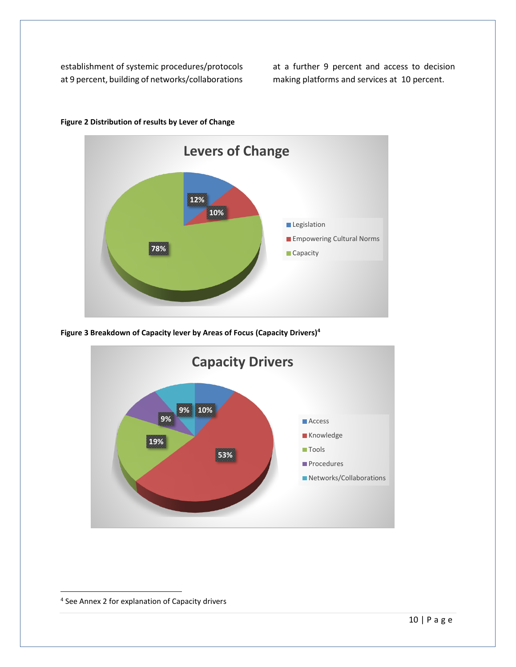establishment of systemic procedures/protocols at 9 percent, building of networks/collaborations at a further 9 percent and access to decision making platforms and services at 10 percent.



**Figure 2 Distribution of results by Lever of Change**

**Figure 3 Breakdown of Capacity lever by Areas of Focus (Capacity Drivers)<sup>4</sup>**



 $\overline{\phantom{a}}$ 

<sup>&</sup>lt;sup>4</sup> See Annex 2 for explanation of Capacity drivers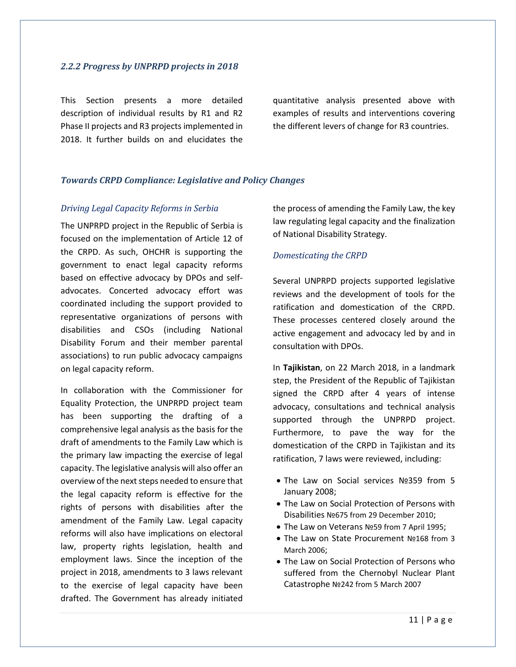#### <span id="page-10-0"></span>*2.2.2 Progress by UNPRPD projects in 2018*

This Section presents a more detailed description of individual results by R1 and R2 Phase II projects and R3 projects implemented in 2018. It further builds on and elucidates the

quantitative analysis presented above with examples of results and interventions covering the different levers of change for R3 countries.

#### <span id="page-10-1"></span>*Towards CRPD Compliance: Legislative and Policy Changes*

#### *Driving Legal Capacity Reforms in Serbia*

The UNPRPD project in the Republic of Serbia is focused on the implementation of Article 12 of the CRPD. As such, OHCHR is supporting the government to enact legal capacity reforms based on effective advocacy by DPOs and selfadvocates. Concerted advocacy effort was coordinated including the support provided to representative organizations of persons with disabilities and CSOs (including National Disability Forum and their member parental associations) to run public advocacy campaigns on legal capacity reform.

In collaboration with the Commissioner for Equality Protection, the UNPRPD project team has been supporting the drafting of a comprehensive legal analysis as the basis for the draft of amendments to the Family Law which is the primary law impacting the exercise of legal capacity. The legislative analysis will also offer an overview of the next steps needed to ensure that the legal capacity reform is effective for the rights of persons with disabilities after the amendment of the Family Law. Legal capacity reforms will also have implications on electoral law, property rights legislation, health and employment laws. Since the inception of the project in 2018, amendments to 3 laws relevant to the exercise of legal capacity have been drafted. The Government has already initiated

the process of amending the Family Law, the key law regulating legal capacity and the finalization of National Disability Strategy.

#### *Domesticating the CRPD*

Several UNPRPD projects supported legislative reviews and the development of tools for the ratification and domestication of the CRPD. These processes centered closely around the active engagement and advocacy led by and in consultation with DPOs.

In **Tajikistan**, on 22 March 2018, in a landmark step, the President of the Republic of Tajikistan signed the CRPD after 4 years of intense advocacy, consultations and technical analysis supported through the UNPRPD project. Furthermore, to pave the way for the domestication of the CRPD in Tajikistan and its ratification, 7 laws were reviewed, including:

- The Law on Social services №359 from 5 January 2008;
- The Law on Social Protection of Persons with Disabilities №675 from 29 December 2010;
- The Law on Veterans №59 from 7 April 1995;
- The Law on State Procurement №168 from 3 March 2006;
- The Law on Social Protection of Persons who suffered from the Chernobyl Nuclear Plant Catastrophe №242 from 5 March 2007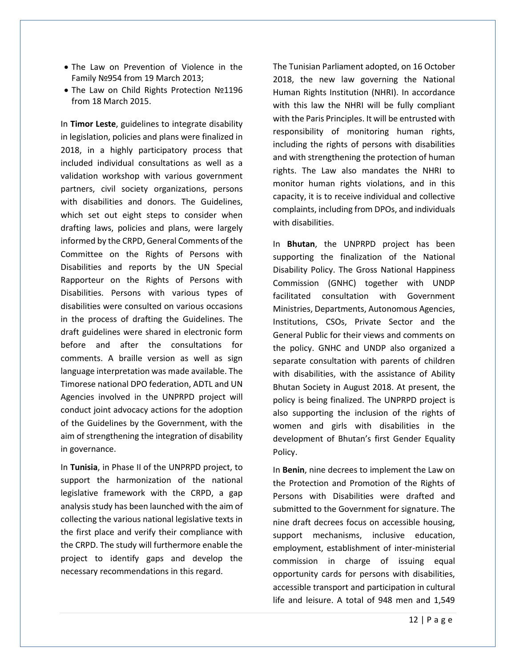- The Law on Prevention of Violence in the Family №954 from 19 March 2013;
- The Law on Child Rights Protection №1196 from 18 March 2015.

In **Timor Leste**, guidelines to integrate disability in legislation, policies and plans were finalized in 2018, in a highly participatory process that included individual consultations as well as a validation workshop with various government partners, civil society organizations, persons with disabilities and donors. The Guidelines, which set out eight steps to consider when drafting laws, policies and plans, were largely informed by the CRPD, General Comments of the Committee on the Rights of Persons with Disabilities and reports by the UN Special Rapporteur on the Rights of Persons with Disabilities. Persons with various types of disabilities were consulted on various occasions in the process of drafting the Guidelines. The draft guidelines were shared in electronic form before and after the consultations for comments. A braille version as well as sign language interpretation was made available. The Timorese national DPO federation, ADTL and UN Agencies involved in the UNPRPD project will conduct joint advocacy actions for the adoption of the Guidelines by the Government, with the aim of strengthening the integration of disability in governance.

In **Tunisia**, in Phase II of the UNPRPD project, to support the harmonization of the national legislative framework with the CRPD, a gap analysis study has been launched with the aim of collecting the various national legislative texts in the first place and verify their compliance with the CRPD. The study will furthermore enable the project to identify gaps and develop the necessary recommendations in this regard.

The Tunisian Parliament adopted, on 16 October 2018, the new law governing the National Human Rights Institution (NHRI). In accordance with this law the NHRI will be fully compliant with the Paris Principles. It will be entrusted with responsibility of monitoring human rights, including the rights of persons with disabilities and with strengthening the protection of human rights. The Law also mandates the NHRI to monitor human rights violations, and in this capacity, it is to receive individual and collective complaints, including from DPOs, and individuals with disabilities.

In **Bhutan**, the UNPRPD project has been supporting the finalization of the National Disability Policy. The Gross National Happiness Commission (GNHC) together with UNDP facilitated consultation with Government Ministries, Departments, Autonomous Agencies, Institutions, CSOs, Private Sector and the General Public for their views and comments on the policy. GNHC and UNDP also organized a separate consultation with parents of children with disabilities, with the assistance of Ability Bhutan Society in August 2018. At present, the policy is being finalized. The UNPRPD project is also supporting the inclusion of the rights of women and girls with disabilities in the development of Bhutan's first Gender Equality Policy.

In **Benin**, nine decrees to implement the Law on the Protection and Promotion of the Rights of Persons with Disabilities were drafted and submitted to the Government for signature. The nine draft decrees focus on accessible housing, support mechanisms, inclusive education, employment, establishment of inter-ministerial commission in charge of issuing equal opportunity cards for persons with disabilities, accessible transport and participation in cultural life and leisure. A total of 948 men and 1,549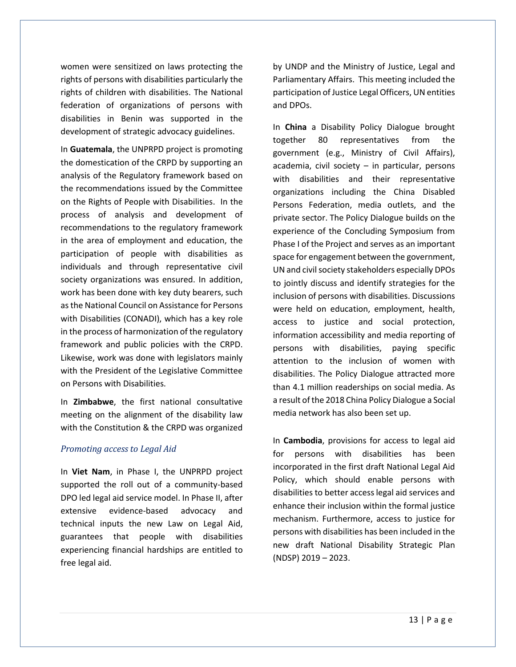women were sensitized on laws protecting the rights of persons with disabilities particularly the rights of children with disabilities. The National federation of organizations of persons with disabilities in Benin was supported in the development of strategic advocacy guidelines.

In **Guatemala**, the UNPRPD project is promoting the domestication of the CRPD by supporting an analysis of the Regulatory framework based on the recommendations issued by the Committee on the Rights of People with Disabilities. In the process of analysis and development of recommendations to the regulatory framework in the area of employment and education, the participation of people with disabilities as individuals and through representative civil society organizations was ensured. In addition, work has been done with key duty bearers, such as the National Council on Assistance for Persons with Disabilities (CONADI), which has a key role in the process of harmonization of the regulatory framework and public policies with the CRPD. Likewise, work was done with legislators mainly with the President of the Legislative Committee on Persons with Disabilities.

In **Zimbabwe**, the first national consultative meeting on the alignment of the disability law with the Constitution & the CRPD was organized

#### *Promoting access to Legal Aid*

In **Viet Nam**, in Phase I, the UNPRPD project supported the roll out of a community-based DPO led legal aid service model. In Phase II, after extensive evidence-based advocacy and technical inputs the new Law on Legal Aid, guarantees that people with disabilities experiencing financial hardships are entitled to free legal aid.

by UNDP and the Ministry of Justice, Legal and Parliamentary Affairs. This meeting included the participation of Justice Legal Officers, UN entities and DPOs.

In **China** a Disability Policy Dialogue brought together 80 representatives from the government (e.g., Ministry of Civil Affairs),  $academia$ , civil society – in particular, persons with disabilities and their representative organizations including the China Disabled Persons Federation, media outlets, and the private sector. The Policy Dialogue builds on the experience of the Concluding Symposium from Phase I of the Project and serves as an important space for engagement between the government, UN and civil society stakeholders especially DPOs to jointly discuss and identify strategies for the inclusion of persons with disabilities. Discussions were held on education, employment, health, access to justice and social protection, information accessibility and media reporting of persons with disabilities, paying specific attention to the inclusion of women with disabilities. The Policy Dialogue attracted more than 4.1 million readerships on social media. As a result of the 2018 China Policy Dialogue a Social media network has also been set up.

In **Cambodia**, provisions for access to legal aid for persons with disabilities has been incorporated in the first draft National Legal Aid Policy, which should enable persons with disabilities to better access legal aid services and enhance their inclusion within the formal justice mechanism. Furthermore, access to justice for persons with disabilities has been included in the new draft National Disability Strategic Plan (NDSP) 2019 – 2023.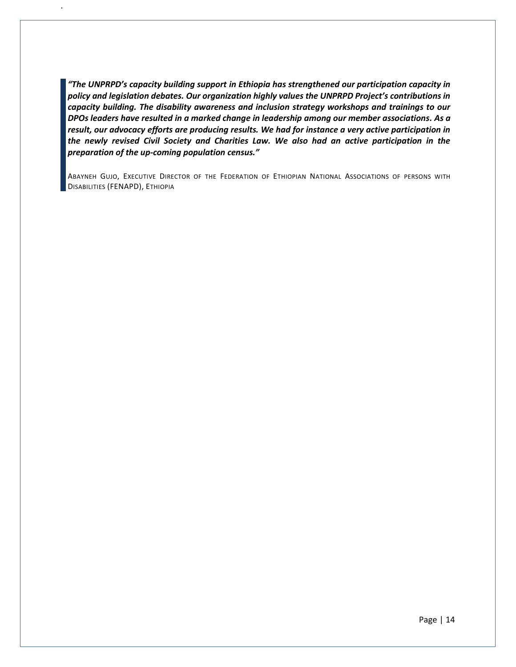*"The UNPRPD's capacity building support in Ethiopia has strengthened our participation capacity in policy and legislation debates. Our organization highly values the UNPRPD Project's contributions in capacity building. The disability awareness and inclusion strategy workshops and trainings to our DPOs leaders have resulted in a marked change in leadership among our member associations. As a result, our advocacy efforts are producing results. We had for instance a very active participation in the newly revised Civil Society and Charities Law. We also had an active participation in the preparation of the up-coming population census."* 

.

ABAYNEH GUJO, EXECUTIVE DIRECTOR OF THE FEDERATION OF ETHIOPIAN NATIONAL ASSOCIATIONS OF PERSONS WITH DISABILITIES (FENAPD), ETHIOPIA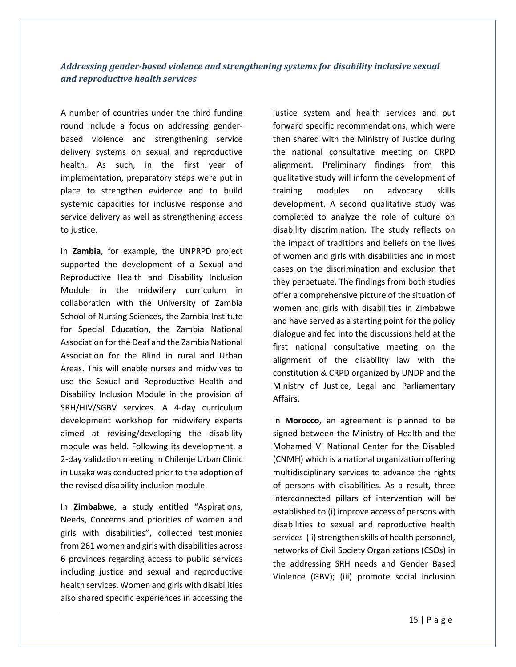#### <span id="page-14-0"></span>*Addressing gender-based violence and strengthening systems for disability inclusive sexual and reproductive health services*

A number of countries under the third funding round include a focus on addressing genderbased violence and strengthening service delivery systems on sexual and reproductive health. As such, in the first year of implementation, preparatory steps were put in place to strengthen evidence and to build systemic capacities for inclusive response and service delivery as well as strengthening access to justice.

In **Zambia**, for example, the UNPRPD project supported the development of a Sexual and Reproductive Health and Disability Inclusion Module in the midwifery curriculum in collaboration with the University of Zambia School of Nursing Sciences, the Zambia Institute for Special Education, the Zambia National Association for the Deaf and the Zambia National Association for the Blind in rural and Urban Areas. This will enable nurses and midwives to use the Sexual and Reproductive Health and Disability Inclusion Module in the provision of SRH/HIV/SGBV services. A 4-day curriculum development workshop for midwifery experts aimed at revising/developing the disability module was held. Following its development, a 2-day validation meeting in Chilenje Urban Clinic in Lusaka was conducted prior to the adoption of the revised disability inclusion module.

In **Zimbabwe**, a study entitled "Aspirations, Needs, Concerns and priorities of women and girls with disabilities", collected testimonies from 261 women and girls with disabilities across 6 provinces regarding access to public services including justice and sexual and reproductive health services. Women and girls with disabilities also shared specific experiences in accessing the

justice system and health services and put forward specific recommendations, which were then shared with the Ministry of Justice during the national consultative meeting on CRPD alignment. Preliminary findings from this qualitative study will inform the development of training modules on advocacy skills development. A second qualitative study was completed to analyze the role of culture on disability discrimination. The study reflects on the impact of traditions and beliefs on the lives of women and girls with disabilities and in most cases on the discrimination and exclusion that they perpetuate. The findings from both studies offer a comprehensive picture of the situation of women and girls with disabilities in Zimbabwe and have served as a starting point for the policy dialogue and fed into the discussions held at the first national consultative meeting on the alignment of the disability law with the constitution & CRPD organized by UNDP and the Ministry of Justice, Legal and Parliamentary Affairs.

In **Morocco**, an agreement is planned to be signed between the Ministry of Health and the Mohamed VI National Center for the Disabled (CNMH) which is a national organization offering multidisciplinary services to advance the rights of persons with disabilities. As a result, three interconnected pillars of intervention will be established to (i) improve access of persons with disabilities to sexual and reproductive health services (ii) strengthen skills of health personnel, networks of Civil Society Organizations (CSOs) in the addressing SRH needs and Gender Based Violence (GBV); (iii) promote social inclusion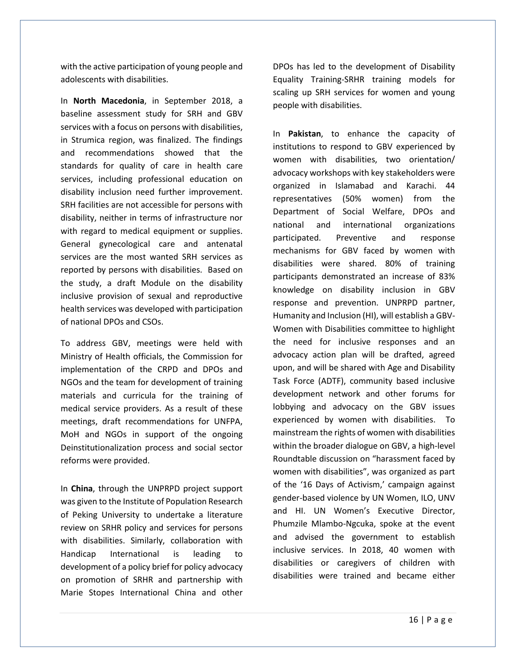with the active participation of young people and adolescents with disabilities.

In **North Macedonia**, in September 2018, a baseline assessment study for SRH and GBV services with a focus on persons with disabilities, in Strumica region, was finalized. The findings and recommendations showed that the standards for quality of care in health care services, including professional education on disability inclusion need further improvement. SRH facilities are not accessible for persons with disability, neither in terms of infrastructure nor with regard to medical equipment or supplies. General gynecological care and antenatal services are the most wanted SRH services as reported by persons with disabilities. Based on the study, a draft Module on the disability inclusive provision of sexual and reproductive health services was developed with participation of national DPOs and CSOs.

To address GBV, meetings were held with Ministry of Health officials, the Commission for implementation of the CRPD and DPOs and NGOs and the team for development of training materials and curricula for the training of medical service providers. As a result of these meetings, draft recommendations for UNFPA, MoH and NGOs in support of the ongoing Deinstitutionalization process and social sector reforms were provided.

In **China**, through the UNPRPD project support was given to the Institute of Population Research of Peking University to undertake a literature review on SRHR policy and services for persons with disabilities. Similarly, collaboration with Handicap International is leading to development of a policy brief for policy advocacy on promotion of SRHR and partnership with Marie Stopes International China and other

DPOs has led to the development of Disability Equality Training-SRHR training models for scaling up SRH services for women and young people with disabilities.

In **Pakistan**, to enhance the capacity of institutions to respond to GBV experienced by women with disabilities, two orientation/ advocacy workshops with key stakeholders were organized in Islamabad and Karachi. 44 representatives (50% women) from the Department of Social Welfare, DPOs and national and international organizations participated. Preventive and response mechanisms for GBV faced by women with disabilities were shared. 80% of training participants demonstrated an increase of 83% knowledge on disability inclusion in GBV response and prevention. UNPRPD partner, Humanity and Inclusion (HI), will establish a GBV-Women with Disabilities committee to highlight the need for inclusive responses and an advocacy action plan will be drafted, agreed upon, and will be shared with Age and Disability Task Force (ADTF), community based inclusive development network and other forums for lobbying and advocacy on the GBV issues experienced by women with disabilities. To mainstream the rights of women with disabilities within the broader dialogue on GBV, a high-level Roundtable discussion on "harassment faced by women with disabilities", was organized as part of the '16 Days of Activism,' campaign against gender-based violence by UN Women, ILO, UNV and HI. UN Women's Executive Director, Phumzile Mlambo-Ngcuka, spoke at the event and advised the government to establish inclusive services. In 2018, 40 women with disabilities or caregivers of children with disabilities were trained and became either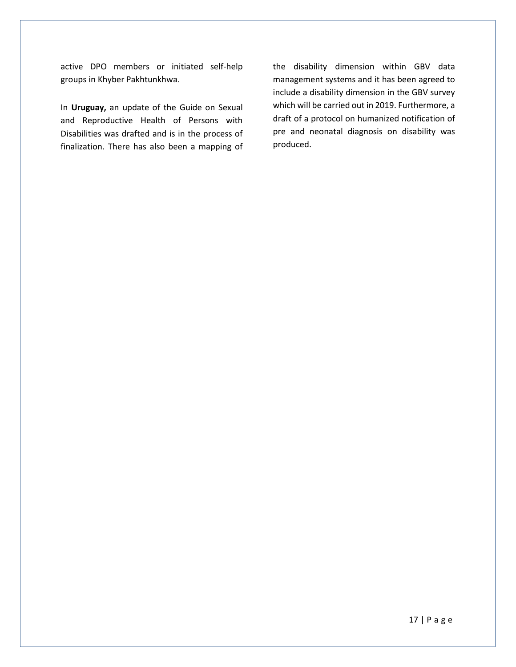active DPO members or initiated self-help groups in Khyber Pakhtunkhwa.

In **Uruguay,** an update of the Guide on Sexual and Reproductive Health of Persons with Disabilities was drafted and is in the process of finalization. There has also been a mapping of the disability dimension within GBV data management systems and it has been agreed to include a disability dimension in the GBV survey which will be carried out in 2019. Furthermore, a draft of a protocol on humanized notification of pre and neonatal diagnosis on disability was produced.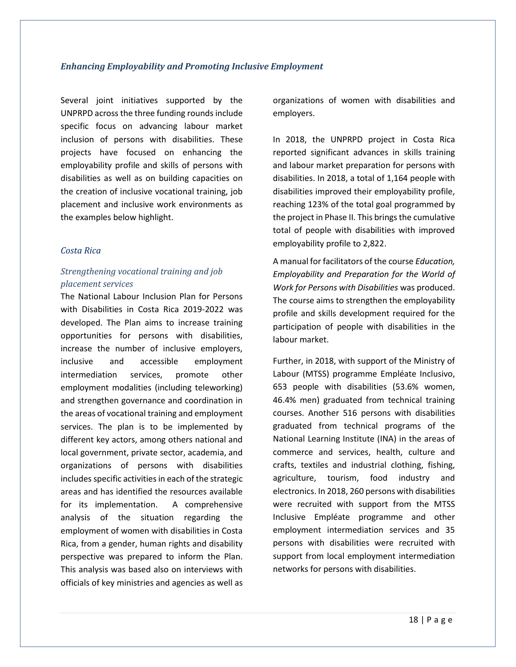#### <span id="page-17-0"></span>*Enhancing Employability and Promoting Inclusive Employment*

Several joint initiatives supported by the UNPRPD across the three funding rounds include specific focus on advancing labour market inclusion of persons with disabilities. These projects have focused on enhancing the employability profile and skills of persons with disabilities as well as on building capacities on the creation of inclusive vocational training, job placement and inclusive work environments as the examples below highlight.

#### *Costa Rica*

#### *Strengthening vocational training and job placement services*

The National Labour Inclusion Plan for Persons with Disabilities in Costa Rica 2019-2022 was developed. The Plan aims to increase training opportunities for persons with disabilities, increase the number of inclusive employers, inclusive and accessible employment intermediation services, promote other employment modalities (including teleworking) and strengthen governance and coordination in the areas of vocational training and employment services. The plan is to be implemented by different key actors, among others national and local government, private sector, academia, and organizations of persons with disabilities includes specific activities in each of the strategic areas and has identified the resources available for its implementation. A comprehensive analysis of the situation regarding the employment of women with disabilities in Costa Rica, from a gender, human rights and disability perspective was prepared to inform the Plan. This analysis was based also on interviews with officials of key ministries and agencies as well as

organizations of women with disabilities and employers.

In 2018, the UNPRPD project in Costa Rica reported significant advances in skills training and labour market preparation for persons with disabilities. In 2018, a total of 1,164 people with disabilities improved their employability profile, reaching 123% of the total goal programmed by the project in Phase II. This brings the cumulative total of people with disabilities with improved employability profile to 2,822.

A manual for facilitators of the course *Education, Employability and Preparation for the World of Work for Persons with Disabilities* was produced. The course aims to strengthen the employability profile and skills development required for the participation of people with disabilities in the labour market.

Further, in 2018, with support of the Ministry of Labour (MTSS) programme Empléate Inclusivo, 653 people with disabilities (53.6% women, 46.4% men) graduated from technical training courses. Another 516 persons with disabilities graduated from technical programs of the National Learning Institute (INA) in the areas of commerce and services, health, culture and crafts, textiles and industrial clothing, fishing, agriculture, tourism, food industry and electronics. In 2018, 260 persons with disabilities were recruited with support from the MTSS Inclusive Empléate programme and other employment intermediation services and 35 persons with disabilities were recruited with support from local employment intermediation networks for persons with disabilities.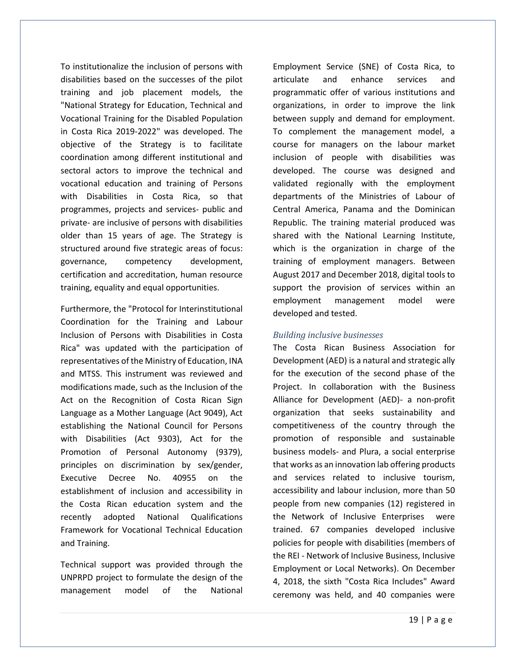To institutionalize the inclusion of persons with disabilities based on the successes of the pilot training and job placement models, the "National Strategy for Education, Technical and Vocational Training for the Disabled Population in Costa Rica 2019-2022" was developed. The objective of the Strategy is to facilitate coordination among different institutional and sectoral actors to improve the technical and vocational education and training of Persons with Disabilities in Costa Rica, so that programmes, projects and services- public and private- are inclusive of persons with disabilities older than 15 years of age. The Strategy is structured around five strategic areas of focus: governance, competency development, certification and accreditation, human resource training, equality and equal opportunities.

Furthermore, the "Protocol for Interinstitutional Coordination for the Training and Labour Inclusion of Persons with Disabilities in Costa Rica" was updated with the participation of representatives of the Ministry of Education, INA and MTSS. This instrument was reviewed and modifications made, such as the Inclusion of the Act on the Recognition of Costa Rican Sign Language as a Mother Language (Act 9049), Act establishing the National Council for Persons with Disabilities (Act 9303), Act for the Promotion of Personal Autonomy (9379), principles on discrimination by sex/gender, Executive Decree No. 40955 on the establishment of inclusion and accessibility in the Costa Rican education system and the recently adopted National Qualifications Framework for Vocational Technical Education and Training.

Technical support was provided through the UNPRPD project to formulate the design of the management model of the National

Employment Service (SNE) of Costa Rica, to articulate and enhance services and programmatic offer of various institutions and organizations, in order to improve the link between supply and demand for employment. To complement the management model, a course for managers on the labour market inclusion of people with disabilities was developed. The course was designed and validated regionally with the employment departments of the Ministries of Labour of Central America, Panama and the Dominican Republic. The training material produced was shared with the National Learning Institute, which is the organization in charge of the training of employment managers. Between August 2017 and December 2018, digital tools to support the provision of services within an employment management model were developed and tested.

#### *Building inclusive businesses*

The Costa Rican Business Association for Development (AED) is a natural and strategic ally for the execution of the second phase of the Project. In collaboration with the Business Alliance for Development (AED)- a non-profit organization that seeks sustainability and competitiveness of the country through the promotion of responsible and sustainable business models- and Plura, a social enterprise that works as an innovation lab offering products and services related to inclusive tourism, accessibility and labour inclusion, more than 50 people from new companies (12) registered in the Network of Inclusive Enterprises were trained. 67 companies developed inclusive policies for people with disabilities (members of the REI - Network of Inclusive Business, Inclusive Employment or Local Networks). On December 4, 2018, the sixth "Costa Rica Includes" Award ceremony was held, and 40 companies were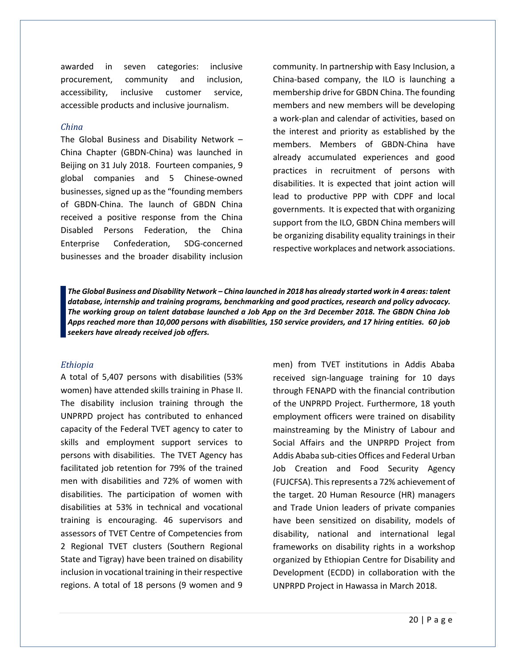awarded in seven categories: inclusive procurement, community and inclusion, accessibility, inclusive customer service, accessible products and inclusive journalism.

#### *China*

The Global Business and Disability Network – China Chapter (GBDN-China) was launched in Beijing on 31 July 2018. Fourteen companies, 9 global companies and 5 Chinese-owned businesses, signed up as the "founding members of GBDN-China. The launch of GBDN China received a positive response from the China Disabled Persons Federation, the China Enterprise Confederation, SDG-concerned businesses and the broader disability inclusion

community. In partnership with Easy Inclusion, a China-based company, the ILO is launching a membership drive for GBDN China. The founding members and new members will be developing a work-plan and calendar of activities, based on the interest and priority as established by the members. Members of GBDN-China have already accumulated experiences and good practices in recruitment of persons with disabilities. It is expected that joint action will lead to productive PPP with CDPF and local governments. It is expected that with organizing support from the ILO, GBDN China members will be organizing disability equality trainings in their respective workplaces and network associations.

*The Global Business and Disability Network – China launched in 2018 has already started work in 4 areas: talent database, internship and training programs, benchmarking and good practices, research and policy advocacy. The working group on talent database launched a Job App on the 3rd December 2018. The GBDN China Job Apps reached more than 10,000 persons with disabilities, 150 service providers, and 17 hiring entities. 60 job seekers have already received job offers.*

#### *Ethiopia*

A total of 5,407 persons with disabilities (53% women) have attended skills training in Phase II. The disability inclusion training through the UNPRPD project has contributed to enhanced capacity of the Federal TVET agency to cater to skills and employment support services to persons with disabilities. The TVET Agency has facilitated job retention for 79% of the trained men with disabilities and 72% of women with disabilities. The participation of women with disabilities at 53% in technical and vocational training is encouraging. 46 supervisors and assessors of TVET Centre of Competencies from 2 Regional TVET clusters (Southern Regional State and Tigray) have been trained on disability inclusion in vocational training in their respective regions. A total of 18 persons (9 women and 9

men) from TVET institutions in Addis Ababa received sign-language training for 10 days through FENAPD with the financial contribution of the UNPRPD Project. Furthermore, 18 youth employment officers were trained on disability mainstreaming by the Ministry of Labour and Social Affairs and the UNPRPD Project from Addis Ababa sub-cities Offices and Federal Urban Job Creation and Food Security Agency (FUJCFSA). This represents a 72% achievement of the target. 20 Human Resource (HR) managers and Trade Union leaders of private companies have been sensitized on disability, models of disability, national and international legal frameworks on disability rights in a workshop organized by Ethiopian Centre for Disability and Development (ECDD) in collaboration with the UNPRPD Project in Hawassa in March 2018.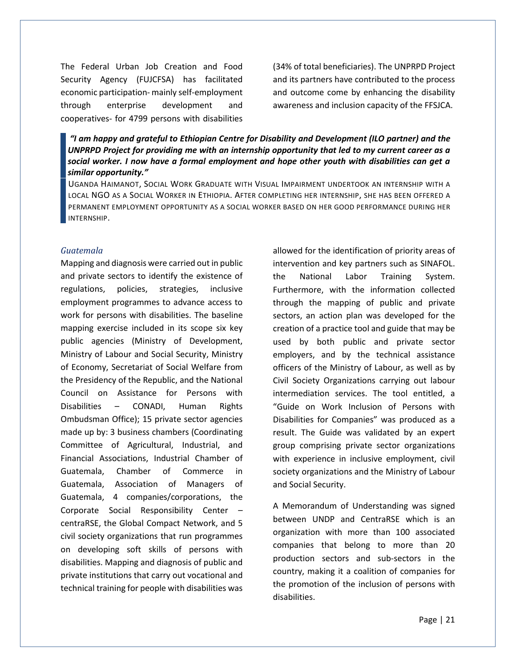The Federal Urban Job Creation and Food Security Agency (FUJCFSA) has facilitated economic participation- mainly self-employment through enterprise development and cooperatives- for 4799 persons with disabilities

(34% of total beneficiaries). The UNPRPD Project and its partners have contributed to the process and outcome come by enhancing the disability awareness and inclusion capacity of the FFSJCA.

*"I am happy and grateful to Ethiopian Centre for Disability and Development (ILO partner) and the UNPRPD Project for providing me with an internship opportunity that led to my current career as a social worker. I now have a formal employment and hope other youth with disabilities can get a similar opportunity."*

UGANDA HAIMANOT, SOCIAL WORK GRADUATE WITH VISUAL IMPAIRMENT UNDERTOOK AN INTERNSHIP WITH A LOCAL NGO AS A SOCIAL WORKER IN ETHIOPIA. AFTER COMPLETING HER INTERNSHIP, SHE HAS BEEN OFFERED A PERMANENT EMPLOYMENT OPPORTUNITY AS A SOCIAL WORKER BASED ON HER GOOD PERFORMANCE DURING HER INTERNSHIP.

#### *Guatemala*

Mapping and diagnosis were carried out in public and private sectors to identify the existence of regulations, policies, strategies, inclusive employment programmes to advance access to work for persons with disabilities. The baseline mapping exercise included in its scope six key public agencies (Ministry of Development, Ministry of Labour and Social Security, Ministry of Economy, Secretariat of Social Welfare from the Presidency of the Republic, and the National Council on Assistance for Persons with Disabilities – CONADI, Human Rights Ombudsman Office); 15 private sector agencies made up by: 3 business chambers (Coordinating Committee of Agricultural, Industrial, and Financial Associations, Industrial Chamber of Guatemala, Chamber of Commerce in Guatemala, Association of Managers of Guatemala, 4 companies/corporations, the Corporate Social Responsibility Center – centraRSE, the Global Compact Network, and 5 civil society organizations that run programmes on developing soft skills of persons with disabilities. Mapping and diagnosis of public and private institutions that carry out vocational and technical training for people with disabilities was

allowed for the identification of priority areas of intervention and key partners such as SINAFOL. the National Labor Training System. Furthermore, with the information collected through the mapping of public and private sectors, an action plan was developed for the creation of a practice tool and guide that may be used by both public and private sector employers, and by the technical assistance officers of the Ministry of Labour, as well as by Civil Society Organizations carrying out labour intermediation services. The tool entitled, a "Guide on Work Inclusion of Persons with Disabilities for Companies" was produced as a result. The Guide was validated by an expert group comprising private sector organizations with experience in inclusive employment, civil society organizations and the Ministry of Labour and Social Security.

A Memorandum of Understanding was signed between UNDP and CentraRSE which is an organization with more than 100 associated companies that belong to more than 20 production sectors and sub-sectors in the country, making it a coalition of companies for the promotion of the inclusion of persons with disabilities.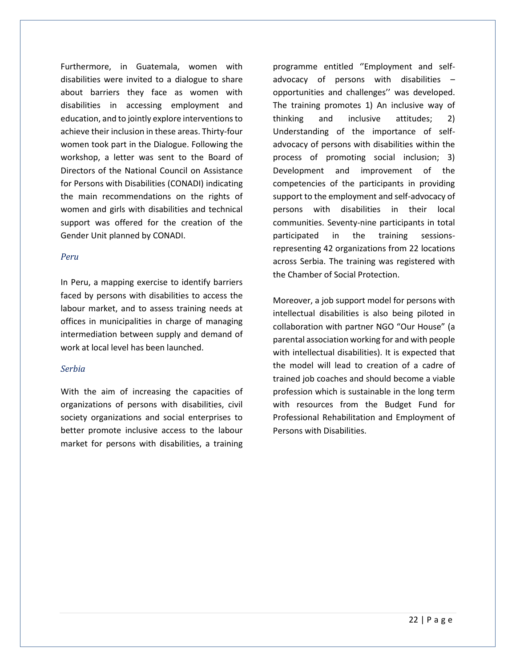Furthermore, in Guatemala, women with disabilities were invited to a dialogue to share about barriers they face as women with disabilities in accessing employment and education, and to jointly explore interventionsto achieve their inclusion in these areas. Thirty-four women took part in the Dialogue. Following the workshop, a letter was sent to the Board of Directors of the National Council on Assistance for Persons with Disabilities (CONADI) indicating the main recommendations on the rights of women and girls with disabilities and technical support was offered for the creation of the Gender Unit planned by CONADI.

#### *Peru*

In Peru, a mapping exercise to identify barriers faced by persons with disabilities to access the labour market, and to assess training needs at offices in municipalities in charge of managing intermediation between supply and demand of work at local level has been launched.

#### *Serbia*

With the aim of increasing the capacities of organizations of persons with disabilities, civil society organizations and social enterprises to better promote inclusive access to the labour market for persons with disabilities, a training programme entitled ''Employment and selfadvocacy of persons with disabilities – opportunities and challenges'' was developed. The training promotes 1) An inclusive way of thinking and inclusive attitudes; 2) Understanding of the importance of selfadvocacy of persons with disabilities within the process of promoting social inclusion; 3) Development and improvement of the competencies of the participants in providing support to the employment and self-advocacy of persons with disabilities in their local communities. Seventy-nine participants in total participated in the training sessionsrepresenting 42 organizations from 22 locations across Serbia. The training was registered with the Chamber of Social Protection.

Moreover, a job support model for persons with intellectual disabilities is also being piloted in collaboration with partner NGO "Our House" (a parental association working for and with people with intellectual disabilities). It is expected that the model will lead to creation of a cadre of trained job coaches and should become a viable profession which is sustainable in the long term with resources from the Budget Fund for Professional Rehabilitation and Employment of Persons with Disabilities.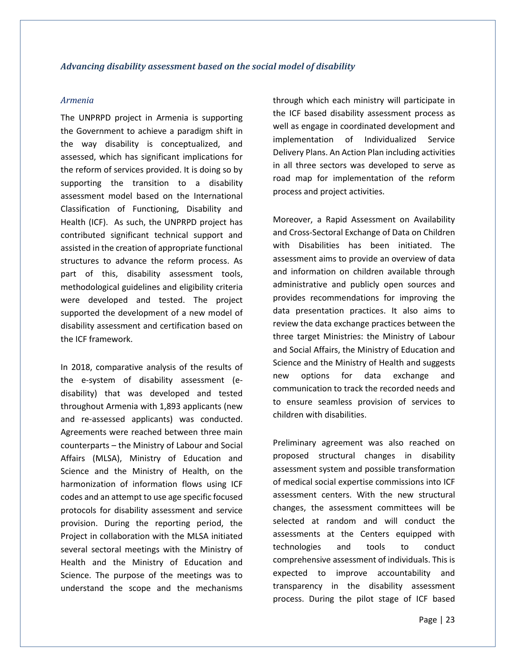#### <span id="page-22-0"></span>*Armenia*

The UNPRPD project in Armenia is supporting the Government to achieve a paradigm shift in the way disability is conceptualized, and assessed, which has significant implications for the reform of services provided. It is doing so by supporting the transition to a disability assessment model based on the International Classification of Functioning, Disability and Health (ICF). As such, the UNPRPD project has contributed significant technical support and assisted in the creation of appropriate functional structures to advance the reform process. As part of this, disability assessment tools, methodological guidelines and eligibility criteria were developed and tested. The project supported the development of a new model of disability assessment and certification based on the ICF framework.

In 2018, comparative analysis of the results of the e-system of disability assessment (edisability) that was developed and tested throughout Armenia with 1,893 applicants (new and re-assessed applicants) was conducted. Agreements were reached between three main counterparts – the Ministry of Labour and Social Affairs (MLSA), Ministry of Education and Science and the Ministry of Health, on the harmonization of information flows using ICF codes and an attempt to use age specific focused protocols for disability assessment and service provision. During the reporting period, the Project in collaboration with the MLSA initiated several sectoral meetings with the Ministry of Health and the Ministry of Education and Science. The purpose of the meetings was to understand the scope and the mechanisms

through which each ministry will participate in the ICF based disability assessment process as well as engage in coordinated development and implementation of Individualized Service Delivery Plans. An Action Plan including activities in all three sectors was developed to serve as road map for implementation of the reform process and project activities.

Moreover, a Rapid Assessment on Availability and Cross-Sectoral Exchange of Data on Children with Disabilities has been initiated. The assessment aims to provide an overview of data and information on children available through administrative and publicly open sources and provides recommendations for improving the data presentation practices. It also aims to review the data exchange practices between the three target Ministries: the Ministry of Labour and Social Affairs, the Ministry of Education and Science and the Ministry of Health and suggests new options for data exchange and communication to track the recorded needs and to ensure seamless provision of services to children with disabilities.

Preliminary agreement was also reached on proposed structural changes in disability assessment system and possible transformation of medical social expertise commissions into ICF assessment centers. With the new structural changes, the assessment committees will be selected at random and will conduct the assessments at the Centers equipped with technologies and tools to conduct comprehensive assessment of individuals. This is expected to improve accountability and transparency in the disability assessment process. During the pilot stage of ICF based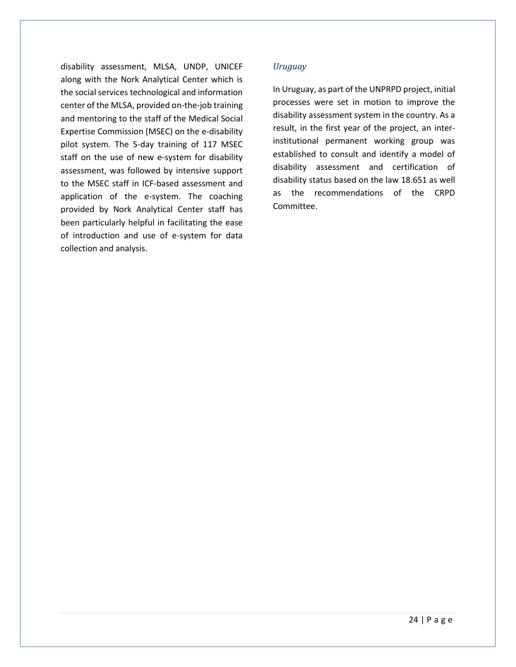disability assessment, MLSA, UNDP, UNICEF along with the Nork Analytical Center which is the social services technological and information center of the MLSA, provided on-the-job training and mentoring to the staff of the Medical Social Expertise Commission (MSEC) on the e-disability pilot system. The 5-day training of 117 MSEC staff on the use of new e-system for disability assessment, was followed by intensive support to the MSEC staff in ICF-based assessment and application of the e-system. The coaching provided by Nork Analytical Center staff has been particularly helpful in facilitating the ease of introduction and use of e-system for data collection and analysis.

#### *Uruguay*

In Uruguay, as part of the UNPRPD project, initial processes were set in motion to improve the disability assessment system in the country. As a result, in the first year of the project, an interinstitutional permanent working group was established to consult and identify a model of disability assessment and certification of disability status based on the law 18.651 as well as the recommendations of the CRPD Committee.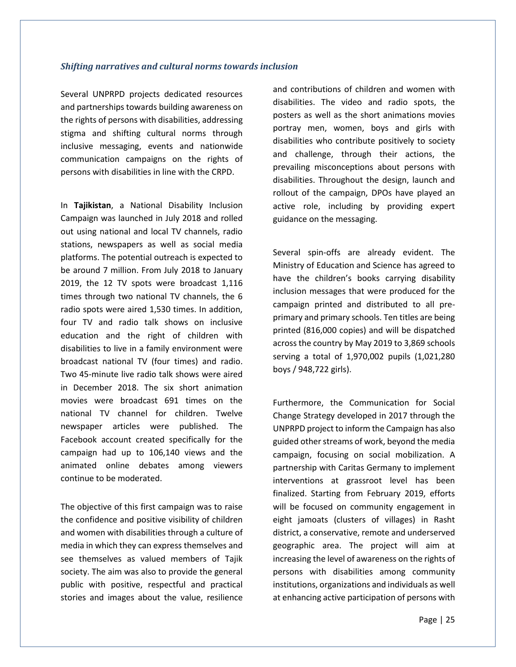#### <span id="page-24-0"></span>*Shifting narratives and cultural norms towards inclusion*

Several UNPRPD projects dedicated resources and partnerships towards building awareness on the rights of persons with disabilities, addressing stigma and shifting cultural norms through inclusive messaging, events and nationwide communication campaigns on the rights of persons with disabilities in line with the CRPD.

In **Tajikistan**, a National Disability Inclusion Campaign was launched in July 2018 and rolled out using national and local TV channels, radio stations, newspapers as well as social media platforms. The potential outreach is expected to be around 7 million. From July 2018 to January 2019, the 12 TV spots were broadcast 1,116 times through two national TV channels, the 6 radio spots were aired 1,530 times. In addition, four TV and radio talk shows on inclusive education and the right of children with disabilities to live in a family environment were broadcast national TV (four times) and radio. Two 45-minute live radio talk shows were aired in December 2018. The six short animation movies were broadcast 691 times on the national TV channel for children. Twelve newspaper articles were published. The Facebook account created specifically for the campaign had up to 106,140 views and the animated online debates among viewers continue to be moderated.

The objective of this first campaign was to raise the confidence and positive visibility of children and women with disabilities through a culture of media in which they can express themselves and see themselves as valued members of Tajik society. The aim was also to provide the general public with positive, respectful and practical stories and images about the value, resilience

and contributions of children and women with disabilities. The video and radio spots, the posters as well as the short animations movies portray men, women, boys and girls with disabilities who contribute positively to society and challenge, through their actions, the prevailing misconceptions about persons with disabilities. Throughout the design, launch and rollout of the campaign, DPOs have played an active role, including by providing expert guidance on the messaging.

Several spin-offs are already evident. The Ministry of Education and Science has agreed to have the children's books carrying disability inclusion messages that were produced for the campaign printed and distributed to all preprimary and primary schools. Ten titles are being printed (816,000 copies) and will be dispatched across the country by May 2019 to 3,869 schools serving a total of 1,970,002 pupils (1,021,280 boys / 948,722 girls).

Furthermore, the Communication for Social Change Strategy developed in 2017 through the UNPRPD project to inform the Campaign has also guided other streams of work, beyond the media campaign, focusing on social mobilization. A partnership with Caritas Germany to implement interventions at grassroot level has been finalized. Starting from February 2019, efforts will be focused on community engagement in eight jamoats (clusters of villages) in Rasht district, a conservative, remote and underserved geographic area. The project will aim at increasing the level of awareness on the rights of persons with disabilities among community institutions, organizations and individuals as well at enhancing active participation of persons with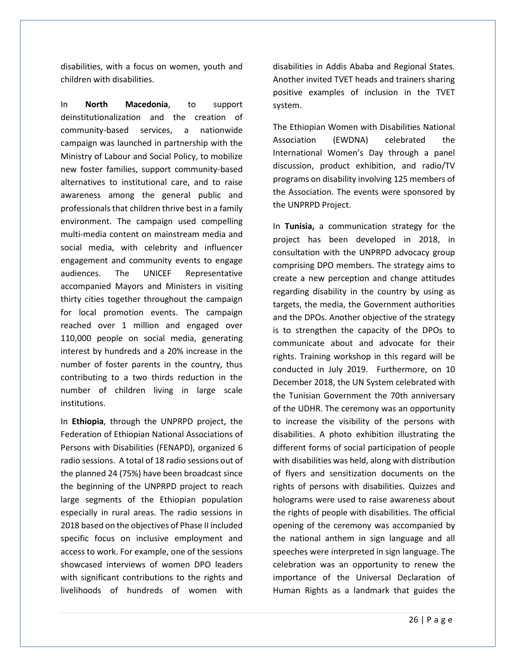disabilities, with a focus on women, youth and children with disabilities.

In **North Macedonia**, to support deinstitutionalization and the creation of community-based services, a nationwide campaign was launched in partnership with the Ministry of Labour and Social Policy, to mobilize new foster families, support community-based alternatives to institutional care, and to raise awareness among the general public and professionals that children thrive best in a family environment. The campaign used compelling multi-media content on mainstream media and social media, with celebrity and influencer engagement and community events to engage audiences. The UNICEF Representative accompanied Mayors and Ministers in visiting thirty cities together throughout the campaign for local promotion events. The campaign reached over 1 million and engaged over 110,000 people on social media, generating interest by hundreds and a 20% increase in the number of foster parents in the country, thus contributing to a two thirds reduction in the number of children living in large scale institutions.

In **Ethiopia**, through the UNPRPD project, the Federation of Ethiopian National Associations of Persons with Disabilities (FENAPD), organized 6 radio sessions. A total of 18 radio sessions out of the planned 24 (75%) have been broadcast since the beginning of the UNPRPD project to reach large segments of the Ethiopian population especially in rural areas. The radio sessions in 2018 based on the objectives of Phase II included specific focus on inclusive employment and access to work. For example, one of the sessions showcased interviews of women DPO leaders with significant contributions to the rights and livelihoods of hundreds of women with

disabilities in Addis Ababa and Regional States. Another invited TVET heads and trainers sharing positive examples of inclusion in the TVET system.

The Ethiopian Women with Disabilities National Association (EWDNA) celebrated the International Women's Day through a panel discussion, product exhibition, and radio/TV programs on disability involving 125 members of the Association. The events were sponsored by the UNPRPD Project.

In **Tunisia,** a communication strategy for the project has been developed in 2018, in consultation with the UNPRPD advocacy group comprising DPO members. The strategy aims to create a new perception and change attitudes regarding disability in the country by using as targets, the media, the Government authorities and the DPOs. Another objective of the strategy is to strengthen the capacity of the DPOs to communicate about and advocate for their rights. Training workshop in this regard will be conducted in July 2019. Furthermore, on 10 December 2018, the UN System celebrated with the Tunisian Government the 70th anniversary of the UDHR. The ceremony was an opportunity to increase the visibility of the persons with disabilities. A photo exhibition illustrating the different forms of social participation of people with disabilities was held, along with distribution of flyers and sensitization documents on the rights of persons with disabilities. Quizzes and holograms were used to raise awareness about the rights of people with disabilities. The official opening of the ceremony was accompanied by the national anthem in sign language and all speeches were interpreted in sign language. The celebration was an opportunity to renew the importance of the Universal Declaration of Human Rights as a landmark that guides the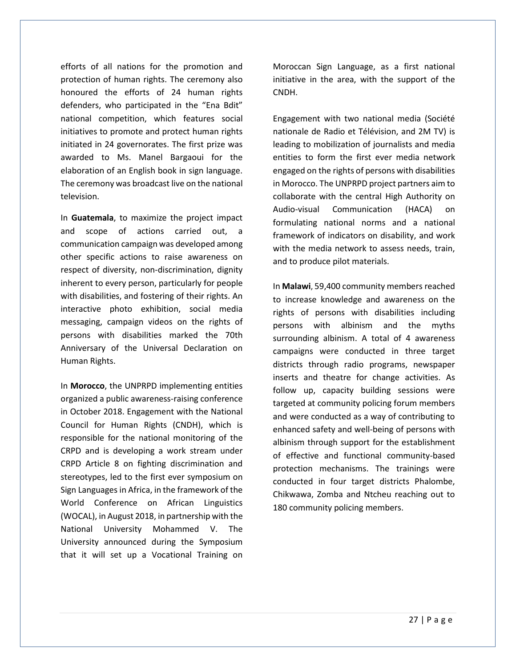efforts of all nations for the promotion and protection of human rights. The ceremony also honoured the efforts of 24 human rights defenders, who participated in the "Ena Bdit" national competition, which features social initiatives to promote and protect human rights initiated in 24 governorates. The first prize was awarded to Ms. Manel Bargaoui for the elaboration of an English book in sign language. The ceremony was broadcast live on the national television.

In **Guatemala**, to maximize the project impact and scope of actions carried out, a communication campaign was developed among other specific actions to raise awareness on respect of diversity, non-discrimination, dignity inherent to every person, particularly for people with disabilities, and fostering of their rights. An interactive photo exhibition, social media messaging, campaign videos on the rights of persons with disabilities marked the 70th Anniversary of the Universal Declaration on Human Rights.

In **Morocco**, the UNPRPD implementing entities organized a public awareness-raising conference in October 2018. Engagement with the National Council for Human Rights (CNDH), which is responsible for the national monitoring of the CRPD and is developing a work stream under CRPD Article 8 on fighting discrimination and stereotypes, led to the first ever symposium on Sign Languages in Africa, in the framework of the World Conference on African Linguistics (WOCAL), in August 2018, in partnership with the National University Mohammed V. The University announced during the Symposium that it will set up a Vocational Training on

Moroccan Sign Language, as a first national initiative in the area, with the support of the CNDH.

Engagement with two national media (Société nationale de Radio et Télévision, and 2M TV) is leading to mobilization of journalists and media entities to form the first ever media network engaged on the rights of persons with disabilities in Morocco. The UNPRPD project partners aim to collaborate with the central High Authority on Audio-visual Communication (HACA) on formulating national norms and a national framework of indicators on disability, and work with the media network to assess needs, train, and to produce pilot materials.

In **Malawi**, 59,400 community members reached to increase knowledge and awareness on the rights of persons with disabilities including persons with albinism and the myths surrounding albinism. A total of 4 awareness campaigns were conducted in three target districts through radio programs, newspaper inserts and theatre for change activities. As follow up, capacity building sessions were targeted at community policing forum members and were conducted as a way of contributing to enhanced safety and well-being of persons with albinism through support for the establishment of effective and functional community-based protection mechanisms. The trainings were conducted in four target districts Phalombe, Chikwawa, Zomba and Ntcheu reaching out to 180 community policing members.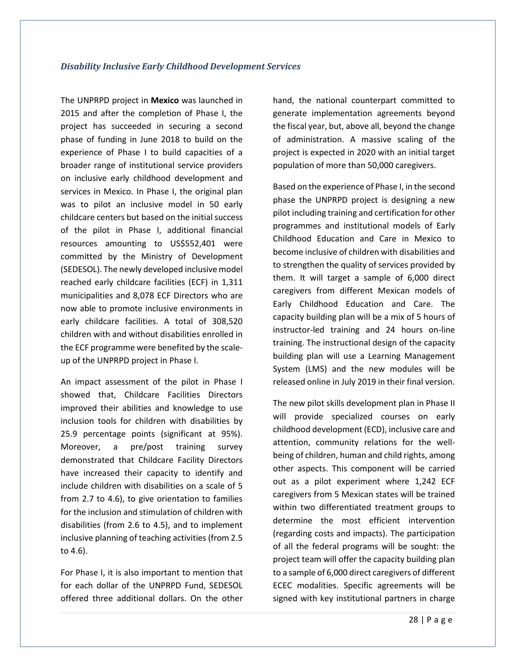<span id="page-27-0"></span>The UNPRPD project in **Mexico** was launched in 2015 and after the completion of Phase I, the project has succeeded in securing a second phase of funding in June 2018 to build on the experience of Phase I to build capacities of a broader range of institutional service providers on inclusive early childhood development and services in Mexico. In Phase I, the original plan was to pilot an inclusive model in 50 early childcare centers but based on the initial success of the pilot in Phase I, additional financial resources amounting to US\$552,401 were committed by the Ministry of Development (SEDESOL). The newly developed inclusive model reached early childcare facilities (ECF) in 1,311 municipalities and 8,078 ECF Directors who are now able to promote inclusive environments in early childcare facilities. A total of 308,520 children with and without disabilities enrolled in the ECF programme were benefited by the scaleup of the UNPRPD project in Phase I.

An impact assessment of the pilot in Phase I showed that, Childcare Facilities Directors improved their abilities and knowledge to use inclusion tools for children with disabilities by 25.9 percentage points (significant at 95%). Moreover, a pre/post training survey demonstrated that Childcare Facility Directors have increased their capacity to identify and include children with disabilities on a scale of 5 from 2.7 to 4.6), to give orientation to families for the inclusion and stimulation of children with disabilities (from 2.6 to 4.5), and to implement inclusive planning of teaching activities (from 2.5 to 4.6).

For Phase I, it is also important to mention that for each dollar of the UNPRPD Fund, SEDESOL offered three additional dollars. On the other hand, the national counterpart committed to generate implementation agreements beyond the fiscal year, but, above all, beyond the change of administration. A massive scaling of the project is expected in 2020 with an initial target population of more than 50,000 caregivers.

Based on the experience of Phase I, in the second phase the UNPRPD project is designing a new pilot including training and certification for other programmes and institutional models of Early Childhood Education and Care in Mexico to become inclusive of children with disabilities and to strengthen the quality of services provided by them. It will target a sample of 6,000 direct caregivers from different Mexican models of Early Childhood Education and Care. The capacity building plan will be a mix of 5 hours of instructor-led training and 24 hours on-line training. The instructional design of the capacity building plan will use a Learning Management System (LMS) and the new modules will be released online in July 2019 in their final version.

The new pilot skills development plan in Phase II will provide specialized courses on early childhood development (ECD), inclusive care and attention, community relations for the wellbeing of children, human and child rights, among other aspects. This component will be carried out as a pilot experiment where 1,242 ECF caregivers from 5 Mexican states will be trained within two differentiated treatment groups to determine the most efficient intervention (regarding costs and impacts). The participation of all the federal programs will be sought: the project team will offer the capacity building plan to a sample of 6,000 direct caregivers of different ECEC modalities. Specific agreements will be signed with key institutional partners in charge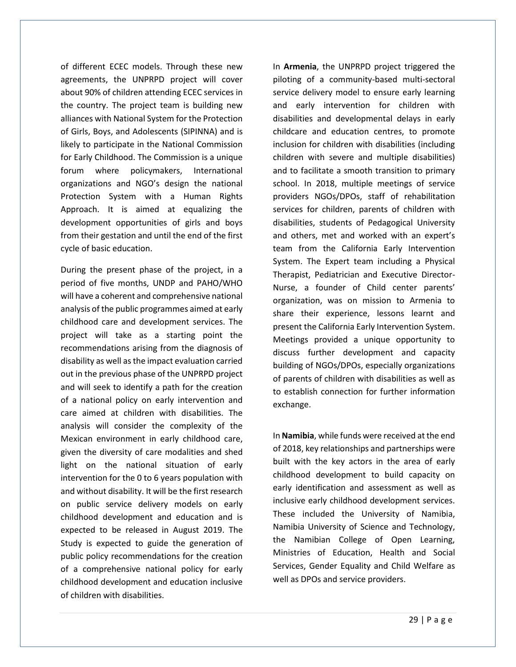of different ECEC models. Through these new agreements, the UNPRPD project will cover about 90% of children attending ECEC services in the country. The project team is building new alliances with National System for the Protection of Girls, Boys, and Adolescents (SIPINNA) and is likely to participate in the National Commission for Early Childhood. The Commission is a unique forum where policymakers, International organizations and NGO's design the national Protection System with a Human Rights Approach. It is aimed at equalizing the development opportunities of girls and boys from their gestation and until the end of the first cycle of basic education.

During the present phase of the project, in a period of five months, UNDP and PAHO/WHO will have a coherent and comprehensive national analysis of the public programmes aimed at early childhood care and development services. The project will take as a starting point the recommendations arising from the diagnosis of disability as well as the impact evaluation carried out in the previous phase of the UNPRPD project and will seek to identify a path for the creation of a national policy on early intervention and care aimed at children with disabilities. The analysis will consider the complexity of the Mexican environment in early childhood care, given the diversity of care modalities and shed light on the national situation of early intervention for the 0 to 6 years population with and without disability. It will be the first research on public service delivery models on early childhood development and education and is expected to be released in August 2019. The Study is expected to guide the generation of public policy recommendations for the creation of a comprehensive national policy for early childhood development and education inclusive of children with disabilities.

In **Armenia**, the UNPRPD project triggered the piloting of a community-based multi-sectoral service delivery model to ensure early learning and early intervention for children with disabilities and developmental delays in early childcare and education centres, to promote inclusion for children with disabilities (including children with severe and multiple disabilities) and to facilitate a smooth transition to primary school. In 2018, multiple meetings of service providers NGOs/DPOs, staff of rehabilitation services for children, parents of children with disabilities, students of Pedagogical University and others, met and worked with an expert's team from the California Early Intervention System. The Expert team including a Physical Therapist, Pediatrician and Executive Director-Nurse, a founder of Child center parents' organization, was on mission to Armenia to share their experience, lessons learnt and present the California Early Intervention System. Meetings provided a unique opportunity to discuss further development and capacity building of NGOs/DPOs, especially organizations of parents of children with disabilities as well as to establish connection for further information exchange.

In **Namibia**, while funds were received at the end of 2018, key relationships and partnerships were built with the key actors in the area of early childhood development to build capacity on early identification and assessment as well as inclusive early childhood development services. These included the University of Namibia, Namibia University of Science and Technology, the Namibian College of Open Learning, Ministries of Education, Health and Social Services, Gender Equality and Child Welfare as well as DPOs and service providers.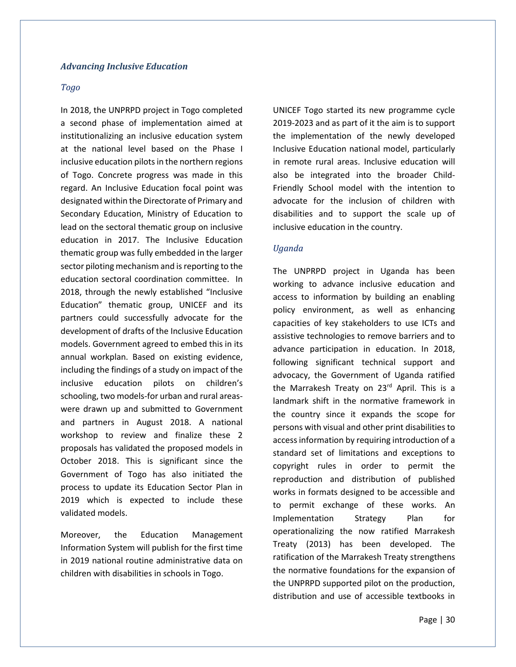#### <span id="page-29-0"></span>*Advancing Inclusive Education*

#### *Togo*

In 2018, the UNPRPD project in Togo completed a second phase of implementation aimed at institutionalizing an inclusive education system at the national level based on the Phase I inclusive education pilots in the northern regions of Togo. Concrete progress was made in this regard. An Inclusive Education focal point was designated within the Directorate of Primary and Secondary Education, Ministry of Education to lead on the sectoral thematic group on inclusive education in 2017. The Inclusive Education thematic group was fully embedded in the larger sector piloting mechanism and is reporting to the education sectoral coordination committee. In 2018, through the newly established "Inclusive Education" thematic group, UNICEF and its partners could successfully advocate for the development of drafts of the Inclusive Education models. Government agreed to embed this in its annual workplan. Based on existing evidence, including the findings of a study on impact of the inclusive education pilots on children's schooling, two models-for urban and rural areaswere drawn up and submitted to Government and partners in August 2018. A national workshop to review and finalize these 2 proposals has validated the proposed models in October 2018. This is significant since the Government of Togo has also initiated the process to update its Education Sector Plan in 2019 which is expected to include these validated models.

Moreover, the Education Management Information System will publish for the first time in 2019 national routine administrative data on children with disabilities in schools in Togo.

UNICEF Togo started its new programme cycle 2019-2023 and as part of it the aim is to support the implementation of the newly developed Inclusive Education national model, particularly in remote rural areas. Inclusive education will also be integrated into the broader Child-Friendly School model with the intention to advocate for the inclusion of children with disabilities and to support the scale up of inclusive education in the country.

#### *Uganda*

The UNPRPD project in Uganda has been working to advance inclusive education and access to information by building an enabling policy environment, as well as enhancing capacities of key stakeholders to use ICTs and assistive technologies to remove barriers and to advance participation in education. In 2018, following significant technical support and advocacy, the Government of Uganda ratified the Marrakesh Treaty on 23rd April. This is a landmark shift in the normative framework in the country since it expands the scope for persons with visual and other print disabilities to access information by requiring introduction of a standard set of limitations and exceptions to copyright rules in order to permit the reproduction and distribution of published works in formats designed to be accessible and to permit exchange of these works. An Implementation Strategy Plan for operationalizing the now ratified Marrakesh Treaty (2013) has been developed. The ratification of the Marrakesh Treaty strengthens the normative foundations for the expansion of the UNPRPD supported pilot on the production, distribution and use of accessible textbooks in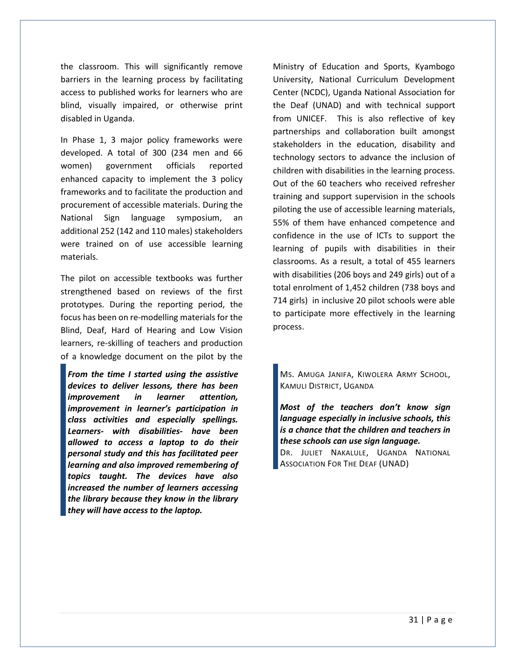the classroom. This will significantly remove barriers in the learning process by facilitating access to published works for learners who are blind, visually impaired, or otherwise print disabled in Uganda.

In Phase 1, 3 major policy frameworks were developed. A total of 300 (234 men and 66 women) government officials reported enhanced capacity to implement the 3 policy frameworks and to facilitate the production and procurement of accessible materials. During the National Sign language symposium, an additional 252 (142 and 110 males) stakeholders were trained on of use accessible learning materials.

The pilot on accessible textbooks was further strengthened based on reviews of the first prototypes. During the reporting period, the focus has been on re-modelling materials for the Blind, Deaf, Hard of Hearing and Low Vision learners, re-skilling of teachers and production of a knowledge document on the pilot by the

*From the time I started using the assistive devices to deliver lessons, there has been improvement in learner attention, improvement in learner's participation in class activities and especially spellings. Learners- with disabilities- have been allowed to access a laptop to do their personal study and this has facilitated peer learning and also improved remembering of topics taught. The devices have also increased the number of learners accessing the library because they know in the library they will have access to the laptop.*

Ministry of Education and Sports, Kyambogo University, National Curriculum Development Center (NCDC), Uganda National Association for the Deaf (UNAD) and with technical support from UNICEF. This is also reflective of key partnerships and collaboration built amongst stakeholders in the education, disability and technology sectors to advance the inclusion of children with disabilities in the learning process. Out of the 60 teachers who received refresher training and support supervision in the schools piloting the use of accessible learning materials, 55% of them have enhanced competence and confidence in the use of ICTs to support the learning of pupils with disabilities in their classrooms. As a result, a total of 455 learners with disabilities (206 boys and 249 girls) out of a total enrolment of 1,452 children (738 boys and 714 girls) in inclusive 20 pilot schools were able to participate more effectively in the learning process.

MS. AMUGA JANIFA, KIWOLERA ARMY SCHOOL, KAMULI DISTRICT, UGANDA

*Most of the teachers don't know sign language especially in inclusive schools, this is a chance that the children and teachers in these schools can use sign language.* DR. JULIET NAKALULE, UGANDA NATIONAL

ASSOCIATION FOR THE DEAF (UNAD)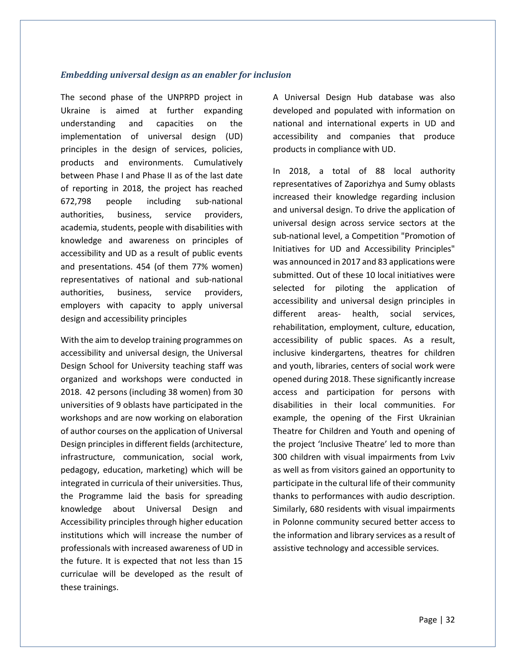#### <span id="page-31-0"></span>*Embedding universal design as an enabler for inclusion*

The second phase of the UNPRPD project in Ukraine is aimed at further expanding understanding and capacities on the implementation of universal design (UD) principles in the design of services, policies, products and environments. Cumulatively between Phase I and Phase II as of the last date of reporting in 2018, the project has reached 672,798 people including sub-national authorities, business, service providers, academia, students, people with disabilities with knowledge and awareness on principles of accessibility and UD as a result of public events and presentations. 454 (of them 77% women) representatives of national and sub-national authorities, business, service providers, employers with capacity to apply universal design and accessibility principles

With the aim to develop training programmes on accessibility and universal design, the Universal Design School for University teaching staff was organized and workshops were conducted in 2018. 42 persons (including 38 women) from 30 universities of 9 oblasts have participated in the workshops and are now working on elaboration of author courses on the application of Universal Design principles in different fields (architecture, infrastructure, communication, social work, pedagogy, education, marketing) which will be integrated in curricula of their universities. Thus, the Programme laid the basis for spreading knowledge about Universal Design and Accessibility principles through higher education institutions which will increase the number of professionals with increased awareness of UD in the future. It is expected that not less than 15 curriculae will be developed as the result of these trainings.

A Universal Design Hub database was also developed and populated with information on national and international experts in UD and accessibility and companies that produce products in compliance with UD.

In 2018, a total of 88 local authority representatives of Zaporizhya and Sumy oblasts increased their knowledge regarding inclusion and universal design. To drive the application of universal design across service sectors at the sub-national level, a Competition "Promotion of Initiatives for UD and Accessibility Principles" was announced in 2017 and 83 applications were submitted. Out of these 10 local initiatives were selected for piloting the application of accessibility and universal design principles in different areas- health, social services, rehabilitation, employment, culture, education, accessibility of public spaces. As a result, inclusive kindergartens, theatres for children and youth, libraries, centers of social work were opened during 2018. These significantly increase access and participation for persons with disabilities in their local communities. For example, the opening of the First Ukrainian Theatre for Children and Youth and opening of the project 'Inclusive Theatre' led to more than 300 children with visual impairments from Lviv as well as from visitors gained an opportunity to participate in the cultural life of their community thanks to performances with audio description. Similarly, 680 residents with visual impairments in Polonne community secured better access to the information and library services as a result of assistive technology and accessible services.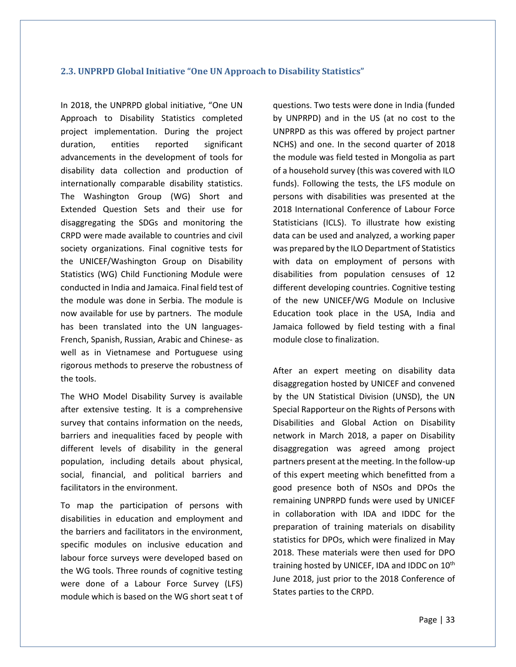#### <span id="page-32-0"></span>**2.3. UNPRPD Global Initiative "One UN Approach to Disability Statistics"**

In 2018, the UNPRPD global initiative, "One UN Approach to Disability Statistics completed project implementation. During the project duration, entities reported significant advancements in the development of tools for disability data collection and production of internationally comparable disability statistics. The Washington Group (WG) Short and Extended Question Sets and their use for disaggregating the SDGs and monitoring the CRPD were made available to countries and civil society organizations. Final cognitive tests for the UNICEF/Washington Group on Disability Statistics (WG) Child Functioning Module were conducted in India and Jamaica. Final field test of the module was done in Serbia. The module is now available for use by partners. The module has been translated into the UN languages-French, Spanish, Russian, Arabic and Chinese- as well as in Vietnamese and Portuguese using rigorous methods to preserve the robustness of the tools.

The WHO Model Disability Survey is available after extensive testing. It is a comprehensive survey that contains information on the needs, barriers and inequalities faced by people with different levels of disability in the general population, including details about physical, social, financial, and political barriers and facilitators in the environment.

To map the participation of persons with disabilities in education and employment and the barriers and facilitators in the environment, specific modules on inclusive education and labour force surveys were developed based on the WG tools. Three rounds of cognitive testing were done of a Labour Force Survey (LFS) module which is based on the WG short seat t of questions. Two tests were done in India (funded by UNPRPD) and in the US (at no cost to the UNPRPD as this was offered by project partner NCHS) and one. In the second quarter of 2018 the module was field tested in Mongolia as part of a household survey (this was covered with ILO funds). Following the tests, the LFS module on persons with disabilities was presented at the 2018 International Conference of Labour Force Statisticians (ICLS). To illustrate how existing data can be used and analyzed, a working paper was prepared by the ILO Department of Statistics with data on employment of persons with disabilities from population censuses of 12 different developing countries. Cognitive testing of the new UNICEF/WG Module on Inclusive Education took place in the USA, India and Jamaica followed by field testing with a final module close to finalization.

After an expert meeting on disability data disaggregation hosted by UNICEF and convened by the UN Statistical Division (UNSD), the UN Special Rapporteur on the Rights of Persons with Disabilities and Global Action on Disability network in March 2018, a paper on Disability disaggregation was agreed among project partners present at the meeting. In the follow-up of this expert meeting which benefitted from a good presence both of NSOs and DPOs the remaining UNPRPD funds were used by UNICEF in collaboration with IDA and IDDC for the preparation of training materials on disability statistics for DPOs, which were finalized in May 2018. These materials were then used for DPO training hosted by UNICEF, IDA and IDDC on 10<sup>th</sup> June 2018, just prior to the 2018 Conference of States parties to the CRPD.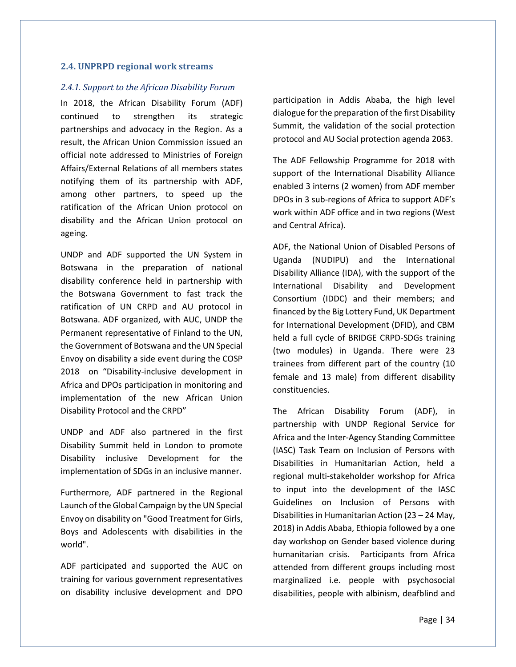#### <span id="page-33-0"></span>**2.4. UNPRPD regional work streams**

#### *2.4.1. Support to the African Disability Forum*

In 2018, the African Disability Forum (ADF) continued to strengthen its strategic partnerships and advocacy in the Region. As a result, the African Union Commission issued an official note addressed to Ministries of Foreign Affairs/External Relations of all members states notifying them of its partnership with ADF, among other partners, to speed up the ratification of the African Union protocol on disability and the African Union protocol on ageing.

UNDP and ADF supported the UN System in Botswana in the preparation of national disability conference held in partnership with the Botswana Government to fast track the ratification of UN CRPD and AU protocol in Botswana. ADF organized, with AUC, UNDP the Permanent representative of Finland to the UN, the Government of Botswana and the UN Special Envoy on disability a side event during the COSP 2018 on "Disability-inclusive development in Africa and DPOs participation in monitoring and implementation of the new African Union Disability Protocol and the CRPD"

UNDP and ADF also partnered in the first Disability Summit held in London to promote Disability inclusive Development for the implementation of SDGs in an inclusive manner.

Furthermore, ADF partnered in the Regional Launch of the Global Campaign by the UN Special Envoy on disability on "Good Treatment for Girls, Boys and Adolescents with disabilities in the world".

ADF participated and supported the AUC on training for various government representatives on disability inclusive development and DPO participation in Addis Ababa, the high level dialogue for the preparation of the first Disability Summit, the validation of the social protection protocol and AU Social protection agenda 2063.

The ADF Fellowship Programme for 2018 with support of the International Disability Alliance enabled 3 interns (2 women) from ADF member DPOs in 3 sub-regions of Africa to support ADF's work within ADF office and in two regions (West and Central Africa).

ADF, the National Union of Disabled Persons of Uganda (NUDIPU) and the International Disability Alliance (IDA), with the support of the International Disability and Development Consortium (IDDC) and their members; and financed by the Big Lottery Fund, UK Department for International Development (DFID), and CBM held a full cycle of BRIDGE CRPD-SDGs training (two modules) in Uganda. There were 23 trainees from different part of the country (10 female and 13 male) from different disability constituencies.

The African Disability Forum (ADF), in partnership with UNDP Regional Service for Africa and the Inter-Agency Standing Committee (IASC) Task Team on Inclusion of Persons with Disabilities in Humanitarian Action, held a regional multi-stakeholder workshop for Africa to input into the development of the IASC Guidelines on Inclusion of Persons with Disabilities in Humanitarian Action (23 – 24 May, 2018) in Addis Ababa, Ethiopia followed by a one day workshop on Gender based violence during humanitarian crisis. Participants from Africa attended from different groups including most marginalized i.e. people with psychosocial disabilities, people with albinism, deafblind and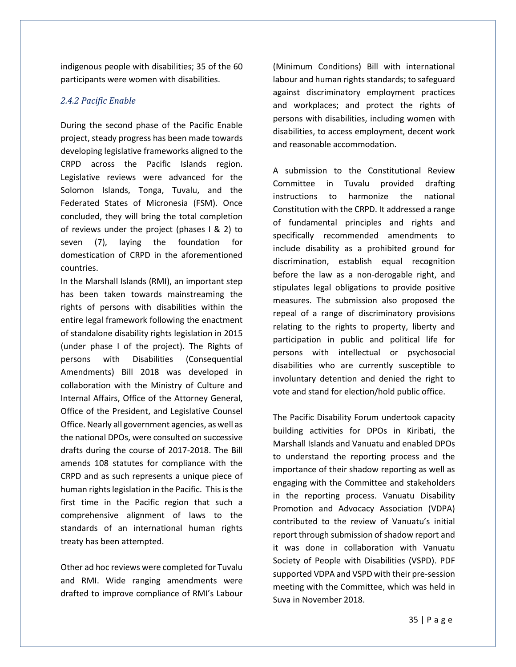indigenous people with disabilities; 35 of the 60 participants were women with disabilities.

#### *2.4.2 Pacific Enable*

During the second phase of the Pacific Enable project, steady progress has been made towards developing legislative frameworks aligned to the CRPD across the Pacific Islands region. Legislative reviews were advanced for the Solomon Islands, Tonga, Tuvalu, and the Federated States of Micronesia (FSM). Once concluded, they will bring the total completion of reviews under the project (phases I & 2) to seven (7), laying the foundation for domestication of CRPD in the aforementioned countries.

In the Marshall Islands (RMI), an important step has been taken towards mainstreaming the rights of persons with disabilities within the entire legal framework following the enactment of standalone disability rights legislation in 2015 (under phase I of the project). The Rights of persons with Disabilities (Consequential Amendments) Bill 2018 was developed in collaboration with the Ministry of Culture and Internal Affairs, Office of the Attorney General, Office of the President, and Legislative Counsel Office. Nearly all government agencies, as well as the national DPOs, were consulted on successive drafts during the course of 2017-2018. The Bill amends 108 statutes for compliance with the CRPD and as such represents a unique piece of human rights legislation in the Pacific. This is the first time in the Pacific region that such a comprehensive alignment of laws to the standards of an international human rights treaty has been attempted.

Other ad hoc reviews were completed for Tuvalu and RMI. Wide ranging amendments were drafted to improve compliance of RMI's Labour

(Minimum Conditions) Bill with international labour and human rights standards; to safeguard against discriminatory employment practices and workplaces; and protect the rights of persons with disabilities, including women with disabilities, to access employment, decent work and reasonable accommodation.

A submission to the Constitutional Review Committee in Tuvalu provided drafting instructions to harmonize the national Constitution with the CRPD. It addressed a range of fundamental principles and rights and specifically recommended amendments to include disability as a prohibited ground for discrimination, establish equal recognition before the law as a non-derogable right, and stipulates legal obligations to provide positive measures. The submission also proposed the repeal of a range of discriminatory provisions relating to the rights to property, liberty and participation in public and political life for persons with intellectual or psychosocial disabilities who are currently susceptible to involuntary detention and denied the right to vote and stand for election/hold public office.

The Pacific Disability Forum undertook capacity building activities for DPOs in Kiribati, the Marshall Islands and Vanuatu and enabled DPOs to understand the reporting process and the importance of their shadow reporting as well as engaging with the Committee and stakeholders in the reporting process. Vanuatu Disability Promotion and Advocacy Association (VDPA) contributed to the review of Vanuatu's initial report through submission of shadow report and it was done in collaboration with Vanuatu Society of People with Disabilities (VSPD). PDF supported VDPA and VSPD with their pre-session meeting with the Committee, which was held in Suva in November 2018.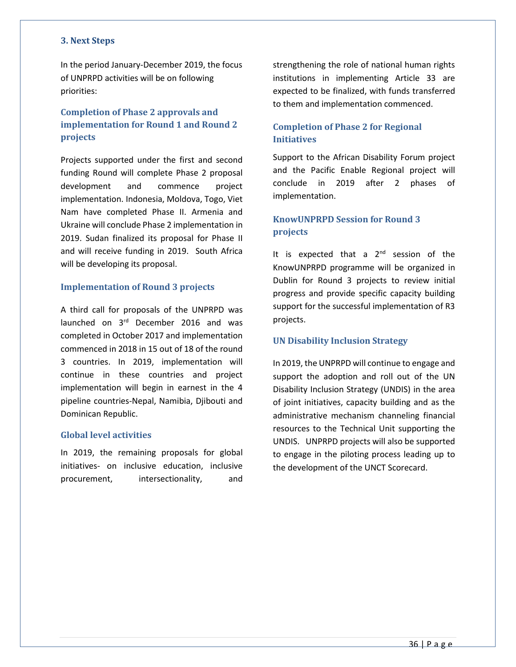#### <span id="page-35-0"></span>**3. Next Steps**

In the period January-December 2019, the focus of UNPRPD activities will be on following priorities:

#### <span id="page-35-1"></span>**Completion of Phase 2 approvals and implementation for Round 1 and Round 2 projects**

Projects supported under the first and second funding Round will complete Phase 2 proposal development and commence project implementation. Indonesia, Moldova, Togo, Viet Nam have completed Phase II. Armenia and Ukraine will conclude Phase 2 implementation in 2019. Sudan finalized its proposal for Phase II and will receive funding in 2019. South Africa will be developing its proposal.

#### <span id="page-35-2"></span>**Implementation of Round 3 projects**

A third call for proposals of the UNPRPD was launched on 3rd December 2016 and was completed in October 2017 and implementation commenced in 2018 in 15 out of 18 of the round 3 countries. In 2019, implementation will continue in these countries and project implementation will begin in earnest in the 4 pipeline countries-Nepal, Namibia, Djibouti and Dominican Republic.

#### <span id="page-35-3"></span>**Global level activities**

In 2019, the remaining proposals for global initiatives- on inclusive education, inclusive procurement, intersectionality, and strengthening the role of national human rights institutions in implementing Article 33 are expected to be finalized, with funds transferred to them and implementation commenced.

#### <span id="page-35-4"></span>**Completion of Phase 2 for Regional Initiatives**

Support to the African Disability Forum project and the Pacific Enable Regional project will conclude in 2019 after 2 phases of implementation.

#### <span id="page-35-5"></span>**KnowUNPRPD Session for Round 3 projects**

It is expected that a 2<sup>nd</sup> session of the KnowUNPRPD programme will be organized in Dublin for Round 3 projects to review initial progress and provide specific capacity building support for the successful implementation of R3 projects.

#### <span id="page-35-6"></span>**UN Disability Inclusion Strategy**

In 2019, the UNPRPD will continue to engage and support the adoption and roll out of the UN Disability Inclusion Strategy (UNDIS) in the area of joint initiatives, capacity building and as the administrative mechanism channeling financial resources to the Technical Unit supporting the UNDIS. UNPRPD projects will also be supported to engage in the piloting process leading up to the development of the UNCT Scorecard.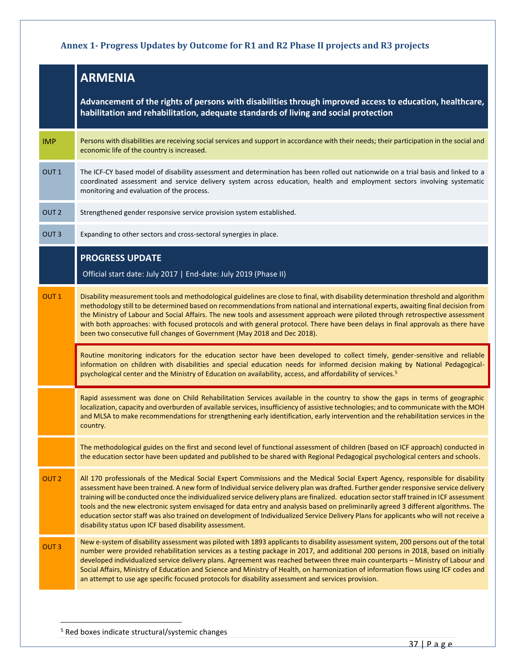## <span id="page-36-0"></span>**Annex 1- Progress Updates by Outcome for R1 and R2 Phase II projects and R3 projects**

|                  | <b>ARMENIA</b>                                                                                                                                                                                                                                                                                                                                                                                                                                                                                                                                                                                                                                                                                                                                                  |
|------------------|-----------------------------------------------------------------------------------------------------------------------------------------------------------------------------------------------------------------------------------------------------------------------------------------------------------------------------------------------------------------------------------------------------------------------------------------------------------------------------------------------------------------------------------------------------------------------------------------------------------------------------------------------------------------------------------------------------------------------------------------------------------------|
|                  | Advancement of the rights of persons with disabilities through improved access to education, healthcare,<br>habilitation and rehabilitation, adequate standards of living and social protection                                                                                                                                                                                                                                                                                                                                                                                                                                                                                                                                                                 |
| <b>IMP</b>       | Persons with disabilities are receiving social services and support in accordance with their needs; their participation in the social and<br>economic life of the country is increased.                                                                                                                                                                                                                                                                                                                                                                                                                                                                                                                                                                         |
| OUT <sub>1</sub> | The ICF-CY based model of disability assessment and determination has been rolled out nationwide on a trial basis and linked to a<br>coordinated assessment and service delivery system across education, health and employment sectors involving systematic<br>monitoring and evaluation of the process.                                                                                                                                                                                                                                                                                                                                                                                                                                                       |
| OUT <sub>2</sub> | Strengthened gender responsive service provision system established.                                                                                                                                                                                                                                                                                                                                                                                                                                                                                                                                                                                                                                                                                            |
| OUT <sub>3</sub> | Expanding to other sectors and cross-sectoral synergies in place.                                                                                                                                                                                                                                                                                                                                                                                                                                                                                                                                                                                                                                                                                               |
|                  | <b>PROGRESS UPDATE</b><br>Official start date: July 2017   End-date: July 2019 (Phase II)                                                                                                                                                                                                                                                                                                                                                                                                                                                                                                                                                                                                                                                                       |
| OUT <sub>1</sub> | Disability measurement tools and methodological guidelines are close to final, with disability determination threshold and algorithm<br>methodology still to be determined based on recommendations from national and international experts, awaiting final decision from<br>the Ministry of Labour and Social Affairs. The new tools and assessment approach were piloted through retrospective assessment<br>with both approaches: with focused protocols and with general protocol. There have been delays in final approvals as there have<br>been two consecutive full changes of Government (May 2018 and Dec 2018).                                                                                                                                      |
|                  | Routine monitoring indicators for the education sector have been developed to collect timely, gender-sensitive and reliable<br>information on children with disabilities and special education needs for informed decision making by National Pedagogical-<br>psychological center and the Ministry of Education on availability, access, and affordability of services. <sup>5</sup>                                                                                                                                                                                                                                                                                                                                                                           |
|                  | Rapid assessment was done on Child Rehabilitation Services available in the country to show the gaps in terms of geographic<br>localization, capacity and overburden of available services, insufficiency of assistive technologies; and to communicate with the MOH<br>and MLSA to make recommendations for strengthening early identification, early intervention and the rehabilitation services in the<br>country.                                                                                                                                                                                                                                                                                                                                          |
|                  | The methodological guides on the first and second level of functional assessment of children (based on ICF approach) conducted in<br>the education sector have been updated and published to be shared with Regional Pedagogical psychological centers and schools.                                                                                                                                                                                                                                                                                                                                                                                                                                                                                             |
| OUT <sub>2</sub> | All 170 professionals of the Medical Social Expert Commissions and the Medical Social Expert Agency, responsible for disability<br>assessment have been trained. A new form of Individual service delivery plan was drafted. Further gender responsive service delivery<br>training will be conducted once the individualized service delivery plans are finalized. education sector staff trained in ICF assessment<br>tools and the new electronic system envisaged for data entry and analysis based on preliminarily agreed 3 different algorithms. The<br>education sector staff was also trained on development of Individualized Service Delivery Plans for applicants who will not receive a<br>disability status upon ICF based disability assessment. |
| OUT <sub>3</sub> | New e-system of disability assessment was piloted with 1893 applicants to disability assessment system, 200 persons out of the total<br>number were provided rehabilitation services as a testing package in 2017, and additional 200 persons in 2018, based on initially<br>developed individualized service delivery plans. Agreement was reached between three main counterparts - Ministry of Labour and<br>Social Affairs, Ministry of Education and Science and Ministry of Health, on harmonization of information flows using ICF codes and<br>an attempt to use age specific focused protocols for disability assessment and services provision.                                                                                                       |

 $\overline{a}$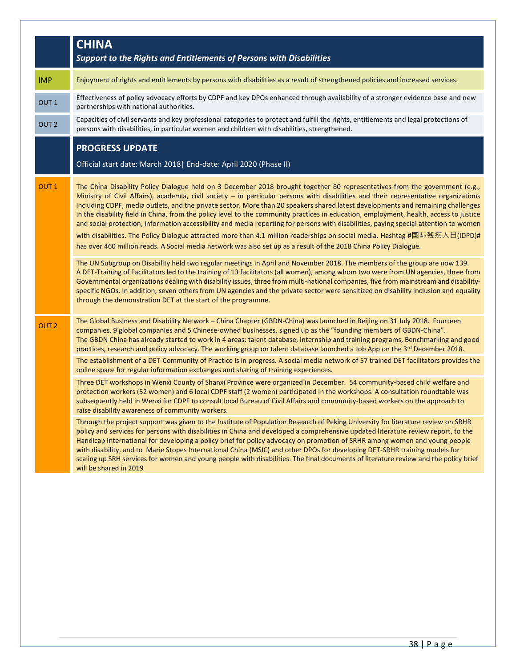|                  | <b>CHINA</b><br>Support to the Rights and Entitlements of Persons with Disabilities                                                                                                                                                                                                                                                                                                                                                                                                                                                                                                                                                                                                                                                                                                                                                                                                                                                           |
|------------------|-----------------------------------------------------------------------------------------------------------------------------------------------------------------------------------------------------------------------------------------------------------------------------------------------------------------------------------------------------------------------------------------------------------------------------------------------------------------------------------------------------------------------------------------------------------------------------------------------------------------------------------------------------------------------------------------------------------------------------------------------------------------------------------------------------------------------------------------------------------------------------------------------------------------------------------------------|
| <b>IMP</b>       | Enjoyment of rights and entitlements by persons with disabilities as a result of strengthened policies and increased services.                                                                                                                                                                                                                                                                                                                                                                                                                                                                                                                                                                                                                                                                                                                                                                                                                |
| OUT <sub>1</sub> | Effectiveness of policy advocacy efforts by CDPF and key DPOs enhanced through availability of a stronger evidence base and new<br>partnerships with national authorities.                                                                                                                                                                                                                                                                                                                                                                                                                                                                                                                                                                                                                                                                                                                                                                    |
| OUT <sub>2</sub> | Capacities of civil servants and key professional categories to protect and fulfill the rights, entitlements and legal protections of<br>persons with disabilities, in particular women and children with disabilities, strengthened.                                                                                                                                                                                                                                                                                                                                                                                                                                                                                                                                                                                                                                                                                                         |
|                  | <b>PROGRESS UPDATE</b><br>Official start date: March 2018   End-date: April 2020 (Phase II)                                                                                                                                                                                                                                                                                                                                                                                                                                                                                                                                                                                                                                                                                                                                                                                                                                                   |
| OUT <sub>1</sub> | The China Disability Policy Dialogue held on 3 December 2018 brought together 80 representatives from the government (e.g.,<br>Ministry of Civil Affairs), academia, civil society - in particular persons with disabilities and their representative organizations<br>including CDPF, media outlets, and the private sector. More than 20 speakers shared latest developments and remaining challenges<br>in the disability field in China, from the policy level to the community practices in education, employment, health, access to justice<br>and social protection, information accessibility and media reporting for persons with disabilities, paying special attention to women<br>with disabilities. The Policy Dialogue attracted more than 4.1 million readerships on social media. Hashtag #国际残疾人日(IDPD)#<br>has over 460 million reads. A Social media network was also set up as a result of the 2018 China Policy Dialogue. |
|                  | The UN Subgroup on Disability held two regular meetings in April and November 2018. The members of the group are now 139.<br>A DET-Training of Facilitators led to the training of 13 facilitators (all women), among whom two were from UN agencies, three from<br>Governmental organizations dealing with disability issues, three from multi-national companies, five from mainstream and disability-<br>specific NGOs. In addition, seven others from UN agencies and the private sector were sensitized on disability inclusion and equality<br>through the demonstration DET at the start of the programme.                                                                                                                                                                                                                                                                                                                             |
| OUT <sub>2</sub> | The Global Business and Disability Network - China Chapter (GBDN-China) was launched in Beijing on 31 July 2018. Fourteen<br>companies, 9 global companies and 5 Chinese-owned businesses, signed up as the "founding members of GBDN-China".<br>The GBDN China has already started to work in 4 areas: talent database, internship and training programs, Benchmarking and good<br>practices, research and policy advocacy. The working group on talent database launched a Job App on the 3rd December 2018.                                                                                                                                                                                                                                                                                                                                                                                                                                |
|                  | The establishment of a DET-Community of Practice is in progress. A social media network of 57 trained DET facilitators provides the<br>online space for regular information exchanges and sharing of training experiences.                                                                                                                                                                                                                                                                                                                                                                                                                                                                                                                                                                                                                                                                                                                    |
|                  | Three DET workshops in Wenxi County of Shanxi Province were organized in December. 54 community-based child welfare and<br>protection workers (52 women) and 6 local CDPF staff (2 women) participated in the workshops. A consultation roundtable was<br>subsequently held in Wenxi for CDPF to consult local Bureau of Civil Affairs and community-based workers on the approach to<br>raise disability awareness of community workers.                                                                                                                                                                                                                                                                                                                                                                                                                                                                                                     |
|                  | Through the project support was given to the Institute of Population Research of Peking University for literature review on SRHR<br>policy and services for persons with disabilities in China and developed a comprehensive updated literature review report, to the<br>Handicap International for developing a policy brief for policy advocacy on promotion of SRHR among women and young people<br>with disability, and to Marie Stopes International China (MSIC) and other DPOs for developing DET-SRHR training models for<br>scaling up SRH services for women and young people with disabilities. The final documents of literature review and the policy brief<br>will be shared in 2019                                                                                                                                                                                                                                            |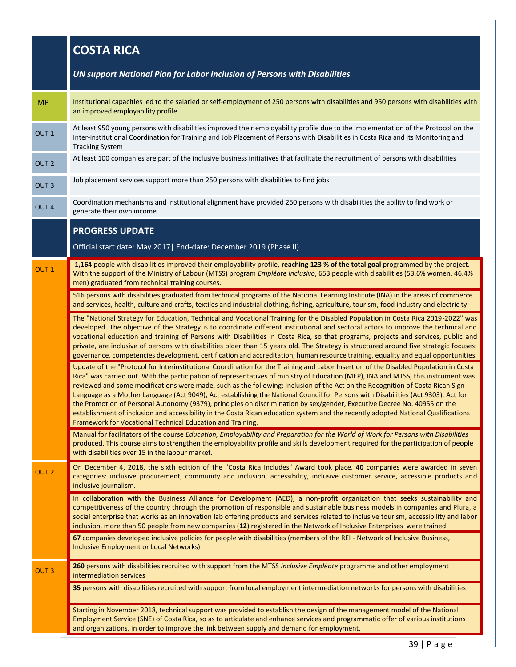|                  | <b>COSTA RICA</b>                                                                                                                                                                                                                                                                                                                                                                                                                                                                                                                                                                                                                                                                                                                                                                                                                                                               |
|------------------|---------------------------------------------------------------------------------------------------------------------------------------------------------------------------------------------------------------------------------------------------------------------------------------------------------------------------------------------------------------------------------------------------------------------------------------------------------------------------------------------------------------------------------------------------------------------------------------------------------------------------------------------------------------------------------------------------------------------------------------------------------------------------------------------------------------------------------------------------------------------------------|
|                  | UN support National Plan for Labor Inclusion of Persons with Disabilities                                                                                                                                                                                                                                                                                                                                                                                                                                                                                                                                                                                                                                                                                                                                                                                                       |
| <b>IMP</b>       | Institutional capacities led to the salaried or self-employment of 250 persons with disabilities and 950 persons with disabilities with<br>an improved employability profile                                                                                                                                                                                                                                                                                                                                                                                                                                                                                                                                                                                                                                                                                                    |
| OUT <sub>1</sub> | At least 950 young persons with disabilities improved their employability profile due to the implementation of the Protocol on the<br>Inter-institutional Coordination for Training and Job Placement of Persons with Disabilities in Costa Rica and its Monitoring and<br><b>Tracking System</b>                                                                                                                                                                                                                                                                                                                                                                                                                                                                                                                                                                               |
| OUT <sub>2</sub> | At least 100 companies are part of the inclusive business initiatives that facilitate the recruitment of persons with disabilities                                                                                                                                                                                                                                                                                                                                                                                                                                                                                                                                                                                                                                                                                                                                              |
| OUT <sub>3</sub> | Job placement services support more than 250 persons with disabilities to find jobs                                                                                                                                                                                                                                                                                                                                                                                                                                                                                                                                                                                                                                                                                                                                                                                             |
| OUT <sub>4</sub> | Coordination mechanisms and institutional alignment have provided 250 persons with disabilities the ability to find work or<br>generate their own income                                                                                                                                                                                                                                                                                                                                                                                                                                                                                                                                                                                                                                                                                                                        |
|                  | <b>PROGRESS UPDATE</b>                                                                                                                                                                                                                                                                                                                                                                                                                                                                                                                                                                                                                                                                                                                                                                                                                                                          |
|                  | Official start date: May 2017   End-date: December 2019 (Phase II)                                                                                                                                                                                                                                                                                                                                                                                                                                                                                                                                                                                                                                                                                                                                                                                                              |
| OUT <sub>1</sub> | 1,164 people with disabilities improved their employability profile, reaching 123 % of the total goal programmed by the project.<br>With the support of the Ministry of Labour (MTSS) program Empléate Inclusivo, 653 people with disabilities (53.6% women, 46.4%<br>men) graduated from technical training courses.                                                                                                                                                                                                                                                                                                                                                                                                                                                                                                                                                           |
|                  | 516 persons with disabilities graduated from technical programs of the National Learning Institute (INA) in the areas of commerce<br>and services, health, culture and crafts, textiles and industrial clothing, fishing, agriculture, tourism, food industry and electricity.                                                                                                                                                                                                                                                                                                                                                                                                                                                                                                                                                                                                  |
|                  | The "National Strategy for Education, Technical and Vocational Training for the Disabled Population in Costa Rica 2019-2022" was<br>developed. The objective of the Strategy is to coordinate different institutional and sectoral actors to improve the technical and<br>vocational education and training of Persons with Disabilities in Costa Rica, so that programs, projects and services, public and<br>private, are inclusive of persons with disabilities older than 15 years old. The Strategy is structured around five strategic focuses:<br>governance, competencies development, certification and accreditation, human resource training, equality and equal opportunities.                                                                                                                                                                                      |
|                  | Update of the "Protocol for Interinstitutional Coordination for the Training and Labor Insertion of the Disabled Population in Costa<br>Rica" was carried out. With the participation of representatives of ministry of Education (MEP), INA and MTSS, this instrument was<br>reviewed and some modifications were made, such as the following: Inclusion of the Act on the Recognition of Costa Rican Sign<br>Language as a Mother Language (Act 9049), Act establishing the National Council for Persons with Disabilities (Act 9303), Act for<br>the Promotion of Personal Autonomy (9379), principles on discrimination by sex/gender, Executive Decree No. 40955 on the<br>establishment of inclusion and accessibility in the Costa Rican education system and the recently adopted National Qualifications<br>Framework for Vocational Technical Education and Training. |
|                  | Manual for facilitators of the course Education, Employability and Preparation for the World of Work for Persons with Disabilities<br>produced. This course aims to strengthen the employability profile and skills development required for the participation of people<br>with disabilities over 15 in the labour market.                                                                                                                                                                                                                                                                                                                                                                                                                                                                                                                                                     |
| OUT <sub>2</sub> | On December 4, 2018, the sixth edition of the "Costa Rica Includes" Award took place. 40 companies were awarded in seven<br>categories: inclusive procurement, community and inclusion, accessibility, inclusive customer service, accessible products and<br>inclusive journalism.                                                                                                                                                                                                                                                                                                                                                                                                                                                                                                                                                                                             |
|                  | In collaboration with the Business Alliance for Development (AED), a non-profit organization that seeks sustainability and<br>competitiveness of the country through the promotion of responsible and sustainable business models in companies and Plura, a<br>social enterprise that works as an innovation lab offering products and services related to inclusive tourism, accessibility and labor<br>inclusion, more than 50 people from new companies (12) registered in the Network of Inclusive Enterprises were trained.                                                                                                                                                                                                                                                                                                                                                |
|                  | 67 companies developed inclusive policies for people with disabilities (members of the REI - Network of Inclusive Business,<br>Inclusive Employment or Local Networks)                                                                                                                                                                                                                                                                                                                                                                                                                                                                                                                                                                                                                                                                                                          |
| <b>OUT3</b>      | 260 persons with disabilities recruited with support from the MTSS Inclusive Empléate programme and other employment<br>intermediation services                                                                                                                                                                                                                                                                                                                                                                                                                                                                                                                                                                                                                                                                                                                                 |
|                  | 35 persons with disabilities recruited with support from local employment intermediation networks for persons with disabilities                                                                                                                                                                                                                                                                                                                                                                                                                                                                                                                                                                                                                                                                                                                                                 |
|                  | Starting in November 2018, technical support was provided to establish the design of the management model of the National<br>Employment Service (SNE) of Costa Rica, so as to articulate and enhance services and programmatic offer of various institutions<br>and organizations, in order to improve the link between supply and demand for employment.                                                                                                                                                                                                                                                                                                                                                                                                                                                                                                                       |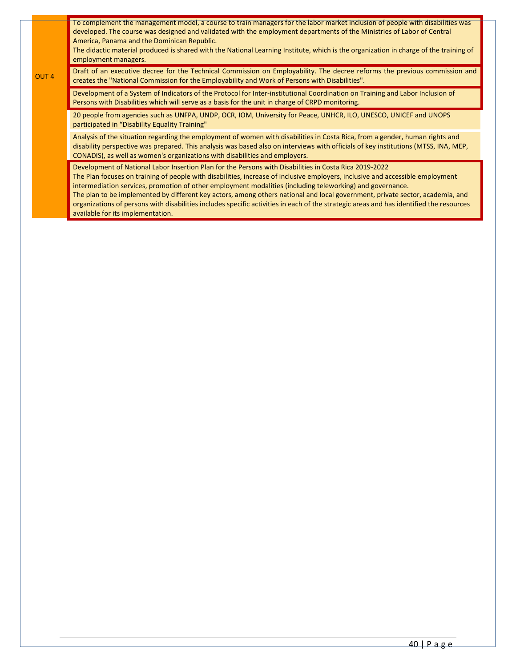|                  | To complement the management model, a course to train managers for the labor market inclusion of people with disabilities was<br>developed. The course was designed and validated with the employment departments of the Ministries of Labor of Central<br>America, Panama and the Dominican Republic.<br>The didactic material produced is shared with the National Learning Institute, which is the organization in charge of the training of<br>employment managers.                                                                                                                                                                                                |
|------------------|------------------------------------------------------------------------------------------------------------------------------------------------------------------------------------------------------------------------------------------------------------------------------------------------------------------------------------------------------------------------------------------------------------------------------------------------------------------------------------------------------------------------------------------------------------------------------------------------------------------------------------------------------------------------|
| OUT <sub>4</sub> | Draft of an executive decree for the Technical Commission on Employability. The decree reforms the previous commission and<br>creates the "National Commission for the Employability and Work of Persons with Disabilities".                                                                                                                                                                                                                                                                                                                                                                                                                                           |
|                  | Development of a System of Indicators of the Protocol for Inter-institutional Coordination on Training and Labor Inclusion of<br>Persons with Disabilities which will serve as a basis for the unit in charge of CRPD monitoring.                                                                                                                                                                                                                                                                                                                                                                                                                                      |
|                  | 20 people from agencies such as UNFPA, UNDP, OCR, IOM, University for Peace, UNHCR, ILO, UNESCO, UNICEF and UNOPS<br>participated in "Disability Equality Training"                                                                                                                                                                                                                                                                                                                                                                                                                                                                                                    |
|                  | Analysis of the situation regarding the employment of women with disabilities in Costa Rica, from a gender, human rights and<br>disability perspective was prepared. This analysis was based also on interviews with officials of key institutions (MTSS, INA, MEP,<br>CONADIS), as well as women's organizations with disabilities and employers.                                                                                                                                                                                                                                                                                                                     |
|                  | Development of National Labor Insertion Plan for the Persons with Disabilities in Costa Rica 2019-2022<br>The Plan focuses on training of people with disabilities, increase of inclusive employers, inclusive and accessible employment<br>intermediation services, promotion of other employment modalities (including teleworking) and governance.<br>The plan to be implemented by different key actors, among others national and local government, private sector, academia, and<br>organizations of persons with disabilities includes specific activities in each of the strategic areas and has identified the resources<br>available for its implementation. |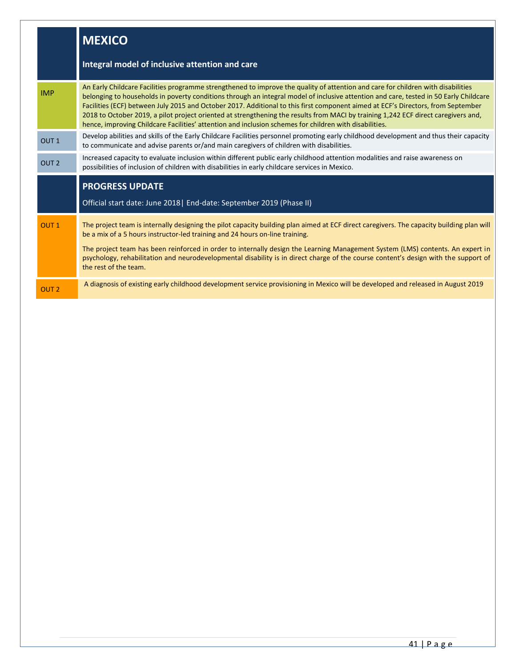|                  | <b>MEXICO</b>                                                                                                                                                                                                                                                                                                                                                                                                                                                                                                                                                                                                                                                 |
|------------------|---------------------------------------------------------------------------------------------------------------------------------------------------------------------------------------------------------------------------------------------------------------------------------------------------------------------------------------------------------------------------------------------------------------------------------------------------------------------------------------------------------------------------------------------------------------------------------------------------------------------------------------------------------------|
|                  | Integral model of inclusive attention and care                                                                                                                                                                                                                                                                                                                                                                                                                                                                                                                                                                                                                |
| <b>IMP</b>       | An Early Childcare Facilities programme strengthened to improve the quality of attention and care for children with disabilities<br>belonging to households in poverty conditions through an integral model of inclusive attention and care, tested in 50 Early Childcare<br>Facilities (ECF) between July 2015 and October 2017. Additional to this first component aimed at ECF's Directors, from September<br>2018 to October 2019, a pilot project oriented at strengthening the results from MACI by training 1,242 ECF direct caregivers and,<br>hence, improving Childcare Facilities' attention and inclusion schemes for children with disabilities. |
| OUT <sub>1</sub> | Develop abilities and skills of the Early Childcare Facilities personnel promoting early childhood development and thus their capacity<br>to communicate and advise parents or/and main caregivers of children with disabilities.                                                                                                                                                                                                                                                                                                                                                                                                                             |
| OUT <sub>2</sub> | Increased capacity to evaluate inclusion within different public early childhood attention modalities and raise awareness on<br>possibilities of inclusion of children with disabilities in early childcare services in Mexico.                                                                                                                                                                                                                                                                                                                                                                                                                               |
|                  | <b>PROGRESS UPDATE</b>                                                                                                                                                                                                                                                                                                                                                                                                                                                                                                                                                                                                                                        |
|                  | Official start date: June 2018   End-date: September 2019 (Phase II)                                                                                                                                                                                                                                                                                                                                                                                                                                                                                                                                                                                          |
| OUT <sub>1</sub> | The project team is internally designing the pilot capacity building plan aimed at ECF direct caregivers. The capacity building plan will<br>be a mix of a 5 hours instructor-led training and 24 hours on-line training.<br>The project team has been reinforced in order to internally design the Learning Management System (LMS) contents. An expert in<br>psychology, rehabilitation and neurodevelopmental disability is in direct charge of the course content's design with the support of<br>the rest of the team.                                                                                                                                   |
| OUT <sub>2</sub> | A diagnosis of existing early childhood development service provisioning in Mexico will be developed and released in August 2019                                                                                                                                                                                                                                                                                                                                                                                                                                                                                                                              |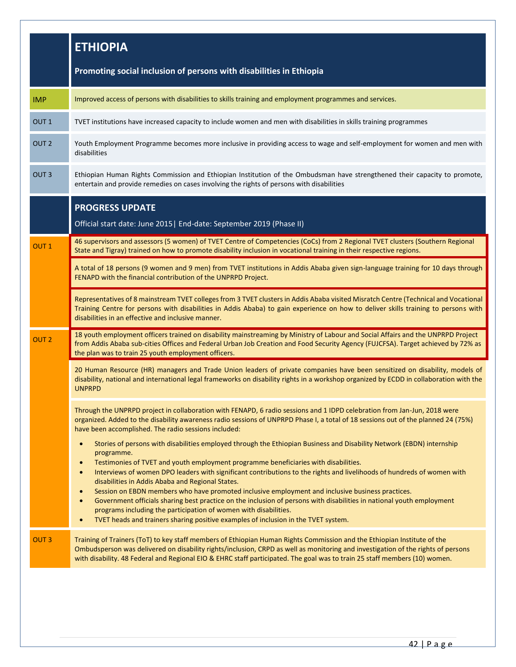|                  | <b>ETHIOPIA</b>                                                                                                                                                                                                                                                                                                                                                                                                                                                                                                                                                                                                                                                                                                                                                                                                                                                  |
|------------------|------------------------------------------------------------------------------------------------------------------------------------------------------------------------------------------------------------------------------------------------------------------------------------------------------------------------------------------------------------------------------------------------------------------------------------------------------------------------------------------------------------------------------------------------------------------------------------------------------------------------------------------------------------------------------------------------------------------------------------------------------------------------------------------------------------------------------------------------------------------|
|                  | Promoting social inclusion of persons with disabilities in Ethiopia                                                                                                                                                                                                                                                                                                                                                                                                                                                                                                                                                                                                                                                                                                                                                                                              |
| <b>IMP</b>       | Improved access of persons with disabilities to skills training and employment programmes and services.                                                                                                                                                                                                                                                                                                                                                                                                                                                                                                                                                                                                                                                                                                                                                          |
| OUT <sub>1</sub> | TVET institutions have increased capacity to include women and men with disabilities in skills training programmes                                                                                                                                                                                                                                                                                                                                                                                                                                                                                                                                                                                                                                                                                                                                               |
| OUT <sub>2</sub> | Youth Employment Programme becomes more inclusive in providing access to wage and self-employment for women and men with<br>disabilities                                                                                                                                                                                                                                                                                                                                                                                                                                                                                                                                                                                                                                                                                                                         |
| OUT <sub>3</sub> | Ethiopian Human Rights Commission and Ethiopian Institution of the Ombudsman have strengthened their capacity to promote,<br>entertain and provide remedies on cases involving the rights of persons with disabilities                                                                                                                                                                                                                                                                                                                                                                                                                                                                                                                                                                                                                                           |
|                  | <b>PROGRESS UPDATE</b>                                                                                                                                                                                                                                                                                                                                                                                                                                                                                                                                                                                                                                                                                                                                                                                                                                           |
|                  | Official start date: June 2015   End-date: September 2019 (Phase II)                                                                                                                                                                                                                                                                                                                                                                                                                                                                                                                                                                                                                                                                                                                                                                                             |
| OUT <sub>1</sub> | 46 supervisors and assessors (5 women) of TVET Centre of Competencies (CoCs) from 2 Regional TVET clusters (Southern Regional<br>State and Tigray) trained on how to promote disability inclusion in vocational training in their respective regions.                                                                                                                                                                                                                                                                                                                                                                                                                                                                                                                                                                                                            |
|                  | A total of 18 persons (9 women and 9 men) from TVET institutions in Addis Ababa given sign-language training for 10 days through<br>FENAPD with the financial contribution of the UNPRPD Project.                                                                                                                                                                                                                                                                                                                                                                                                                                                                                                                                                                                                                                                                |
|                  | Representatives of 8 mainstream TVET colleges from 3 TVET clusters in Addis Ababa visited Misratch Centre (Technical and Vocational<br>Training Centre for persons with disabilities in Addis Ababa) to gain experience on how to deliver skills training to persons with<br>disabilities in an effective and inclusive manner.                                                                                                                                                                                                                                                                                                                                                                                                                                                                                                                                  |
| OUT <sub>2</sub> | 18 youth employment officers trained on disability mainstreaming by Ministry of Labour and Social Affairs and the UNPRPD Project<br>from Addis Ababa sub-cities Offices and Federal Urban Job Creation and Food Security Agency (FUJCFSA). Target achieved by 72% as<br>the plan was to train 25 youth employment officers.                                                                                                                                                                                                                                                                                                                                                                                                                                                                                                                                      |
|                  | 20 Human Resource (HR) managers and Trade Union leaders of private companies have been sensitized on disability, models of<br>disability, national and international legal frameworks on disability rights in a workshop organized by ECDD in collaboration with the<br><b>UNPRPD</b>                                                                                                                                                                                                                                                                                                                                                                                                                                                                                                                                                                            |
|                  | Through the UNPRPD project in collaboration with FENAPD, 6 radio sessions and 1 IDPD celebration from Jan-Jun, 2018 were<br>organized. Added to the disability awareness radio sessions of UNPRPD Phase I, a total of 18 sessions out of the planned 24 (75%)<br>have been accomplished. The radio sessions included:                                                                                                                                                                                                                                                                                                                                                                                                                                                                                                                                            |
|                  | Stories of persons with disabilities employed through the Ethiopian Business and Disability Network (EBDN) internship<br>programme.<br>Testimonies of TVET and youth employment programme beneficiaries with disabilities.<br>$\bullet$<br>Interviews of women DPO leaders with significant contributions to the rights and livelihoods of hundreds of women with<br>$\bullet$<br>disabilities in Addis Ababa and Regional States.<br>Session on EBDN members who have promoted inclusive employment and inclusive business practices.<br>$\bullet$<br>Government officials sharing best practice on the inclusion of persons with disabilities in national youth employment<br>$\bullet$<br>programs including the participation of women with disabilities.<br>TVET heads and trainers sharing positive examples of inclusion in the TVET system.<br>$\bullet$ |
| OUT <sub>3</sub> | Training of Trainers (ToT) to key staff members of Ethiopian Human Rights Commission and the Ethiopian Institute of the<br>Ombudsperson was delivered on disability rights/inclusion, CRPD as well as monitoring and investigation of the rights of persons<br>with disability. 48 Federal and Regional EIO & EHRC staff participated. The goal was to train 25 staff members (10) women.                                                                                                                                                                                                                                                                                                                                                                                                                                                                        |
|                  |                                                                                                                                                                                                                                                                                                                                                                                                                                                                                                                                                                                                                                                                                                                                                                                                                                                                  |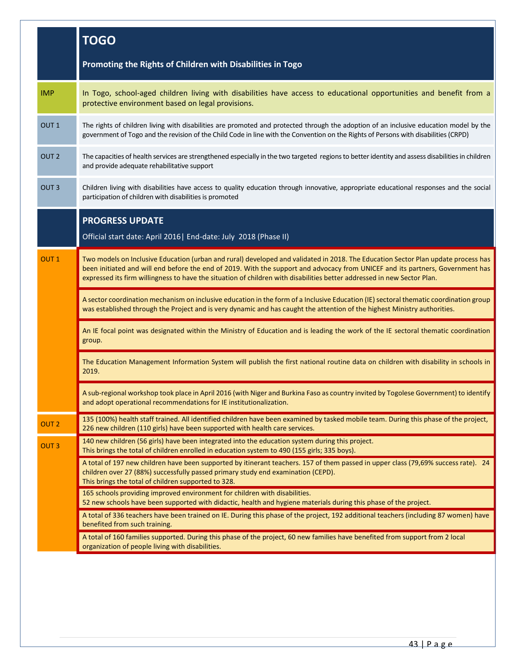|                  | <b>TOGO</b>                                                                                                                                                                                                                                                                                                                                                                                    |
|------------------|------------------------------------------------------------------------------------------------------------------------------------------------------------------------------------------------------------------------------------------------------------------------------------------------------------------------------------------------------------------------------------------------|
|                  | Promoting the Rights of Children with Disabilities in Togo                                                                                                                                                                                                                                                                                                                                     |
| <b>IMP</b>       | In Togo, school-aged children living with disabilities have access to educational opportunities and benefit from a<br>protective environment based on legal provisions.                                                                                                                                                                                                                        |
| OUT <sub>1</sub> | The rights of children living with disabilities are promoted and protected through the adoption of an inclusive education model by the<br>government of Togo and the revision of the Child Code in line with the Convention on the Rights of Persons with disabilities (CRPD)                                                                                                                  |
| OUT <sub>2</sub> | The capacities of health services are strengthened especially in the two targeted regions to better identity and assess disabilities in children<br>and provide adequate rehabilitative support                                                                                                                                                                                                |
| OUT <sub>3</sub> | Children living with disabilities have access to quality education through innovative, appropriate educational responses and the social<br>participation of children with disabilities is promoted                                                                                                                                                                                             |
|                  | <b>PROGRESS UPDATE</b><br>Official start date: April 2016   End-date: July 2018 (Phase II)                                                                                                                                                                                                                                                                                                     |
| OUT <sub>1</sub> | Two models on Inclusive Education (urban and rural) developed and validated in 2018. The Education Sector Plan update process has<br>been initiated and will end before the end of 2019. With the support and advocacy from UNICEF and its partners, Government has<br>expressed its firm willingness to have the situation of children with disabilities better addressed in new Sector Plan. |
|                  | A sector coordination mechanism on inclusive education in the form of a Inclusive Education (IE) sectoral thematic coordination group<br>was established through the Project and is very dynamic and has caught the attention of the highest Ministry authorities.                                                                                                                             |
|                  | An IE focal point was designated within the Ministry of Education and is leading the work of the IE sectoral thematic coordination<br>group.                                                                                                                                                                                                                                                   |
|                  | The Education Management Information System will publish the first national routine data on children with disability in schools in<br>2019.                                                                                                                                                                                                                                                    |
|                  | A sub-regional workshop took place in April 2016 (with Niger and Burkina Faso as country invited by Togolese Government) to identify<br>and adopt operational recommendations for IE institutionalization.                                                                                                                                                                                     |
| OUT <sub>2</sub> | 135 (100%) health staff trained. All identified children have been examined by tasked mobile team. During this phase of the project,<br>226 new children (110 girls) have been supported with health care services.                                                                                                                                                                            |
| OUT <sub>3</sub> | 140 new children (56 girls) have been integrated into the education system during this project.<br>This brings the total of children enrolled in education system to 490 (155 girls; 335 boys).                                                                                                                                                                                                |
|                  | A total of 197 new children have been supported by itinerant teachers. 157 of them passed in upper class (79,69% success rate). 24<br>children over 27 (88%) successfully passed primary study end examination (CEPD).<br>This brings the total of children supported to 328.                                                                                                                  |
|                  | 165 schools providing improved environment for children with disabilities.<br>52 new schools have been supported with didactic, health and hygiene materials during this phase of the project.                                                                                                                                                                                                 |
|                  | A total of 336 teachers have been trained on IE. During this phase of the project, 192 additional teachers (including 87 women) have<br>benefited from such training.                                                                                                                                                                                                                          |
|                  | A total of 160 families supported. During this phase of the project, 60 new families have benefited from support from 2 local<br>organization of people living with disabilities.                                                                                                                                                                                                              |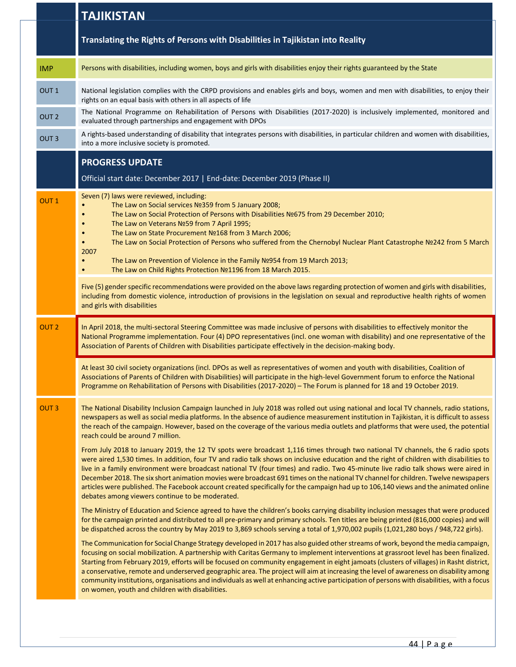|                  | <b>TAJIKISTAN</b>                                                                                                                                                                                                                                                                                                                                                                                                                                                                                                                                                                                                                                                                                                                                              |
|------------------|----------------------------------------------------------------------------------------------------------------------------------------------------------------------------------------------------------------------------------------------------------------------------------------------------------------------------------------------------------------------------------------------------------------------------------------------------------------------------------------------------------------------------------------------------------------------------------------------------------------------------------------------------------------------------------------------------------------------------------------------------------------|
|                  | Translating the Rights of Persons with Disabilities in Tajikistan into Reality                                                                                                                                                                                                                                                                                                                                                                                                                                                                                                                                                                                                                                                                                 |
| <b>IMP</b>       | Persons with disabilities, including women, boys and girls with disabilities enjoy their rights guaranteed by the State                                                                                                                                                                                                                                                                                                                                                                                                                                                                                                                                                                                                                                        |
| OUT <sub>1</sub> | National legislation complies with the CRPD provisions and enables girls and boys, women and men with disabilities, to enjoy their<br>rights on an equal basis with others in all aspects of life                                                                                                                                                                                                                                                                                                                                                                                                                                                                                                                                                              |
| OUT <sub>2</sub> | The National Programme on Rehabilitation of Persons with Disabilities (2017-2020) is inclusively implemented, monitored and<br>evaluated through partnerships and engagement with DPOs                                                                                                                                                                                                                                                                                                                                                                                                                                                                                                                                                                         |
| OUT <sub>3</sub> | A rights-based understanding of disability that integrates persons with disabilities, in particular children and women with disabilities,<br>into a more inclusive society is promoted.                                                                                                                                                                                                                                                                                                                                                                                                                                                                                                                                                                        |
|                  | <b>PROGRESS UPDATE</b>                                                                                                                                                                                                                                                                                                                                                                                                                                                                                                                                                                                                                                                                                                                                         |
|                  | Official start date: December 2017   End-date: December 2019 (Phase II)                                                                                                                                                                                                                                                                                                                                                                                                                                                                                                                                                                                                                                                                                        |
| <b>OUT1</b>      | Seven (7) laws were reviewed, including:<br>The Law on Social services Nº359 from 5 January 2008;<br>The Law on Social Protection of Persons with Disabilities Nº675 from 29 December 2010;<br>$\bullet$<br>The Law on Veterans Nº59 from 7 April 1995;<br>The Law on State Procurement Nº168 from 3 March 2006;<br>$\bullet$<br>The Law on Social Protection of Persons who suffered from the Chernobyl Nuclear Plant Catastrophe Nº242 from 5 March<br>$\bullet$<br>2007<br>The Law on Prevention of Violence in the Family Nº954 from 19 March 2013;<br>$\bullet$<br>The Law on Child Rights Protection №1196 from 18 March 2015.<br>$\bullet$                                                                                                              |
|                  | Five (5) gender specific recommendations were provided on the above laws regarding protection of women and girls with disabilities,<br>including from domestic violence, introduction of provisions in the legislation on sexual and reproductive health rights of women<br>and girls with disabilities                                                                                                                                                                                                                                                                                                                                                                                                                                                        |
| OUT <sub>2</sub> | In April 2018, the multi-sectoral Steering Committee was made inclusive of persons with disabilities to effectively monitor the<br>National Programme implementation. Four (4) DPO representatives (incl. one woman with disability) and one representative of the<br>Association of Parents of Children with Disabilities participate effectively in the decision-making body.                                                                                                                                                                                                                                                                                                                                                                                |
|                  | At least 30 civil society organizations (incl. DPOs as well as representatives of women and youth with disabilities, Coalition of<br>Associations of Parents of Children with Disabilities) will participate in the high-level Government forum to enforce the National<br>Programme on Rehabilitation of Persons with Disabilities (2017-2020) – The Forum is planned for 18 and 19 October 2019.                                                                                                                                                                                                                                                                                                                                                             |
| <b>OUT3</b>      | The National Disability Inclusion Campaign launched in July 2018 was rolled out using national and local TV channels, radio stations,<br>newspapers as well as social media platforms. In the absence of audience measurement institution in Tajikistan, it is difficult to assess<br>the reach of the campaign. However, based on the coverage of the various media outlets and platforms that were used, the potential<br>reach could be around 7 million.                                                                                                                                                                                                                                                                                                   |
|                  | From July 2018 to January 2019, the 12 TV spots were broadcast 1,116 times through two national TV channels, the 6 radio spots<br>were aired 1,530 times. In addition, four TV and radio talk shows on inclusive education and the right of children with disabilities to<br>live in a family environment were broadcast national TV (four times) and radio. Two 45-minute live radio talk shows were aired in<br>December 2018. The six short animation movies were broadcast 691 times on the national TV channel for children. Twelve newspapers<br>articles were published. The Facebook account created specifically for the campaign had up to 106,140 views and the animated online<br>debates among viewers continue to be moderated.                  |
|                  | The Ministry of Education and Science agreed to have the children's books carrying disability inclusion messages that were produced<br>for the campaign printed and distributed to all pre-primary and primary schools. Ten titles are being printed (816,000 copies) and will<br>be dispatched across the country by May 2019 to 3,869 schools serving a total of 1,970,002 pupils (1,021,280 boys / 948,722 girls).                                                                                                                                                                                                                                                                                                                                          |
|                  | The Communication for Social Change Strategy developed in 2017 has also guided other streams of work, beyond the media campaign,<br>focusing on social mobilization. A partnership with Caritas Germany to implement interventions at grassroot level has been finalized.<br>Starting from February 2019, efforts will be focused on community engagement in eight jamoats (clusters of villages) in Rasht district,<br>a conservative, remote and underserved geographic area. The project will aim at increasing the level of awareness on disability among<br>community institutions, organisations and individuals as well at enhancing active participation of persons with disabilities, with a focus<br>on women, youth and children with disabilities. |
|                  |                                                                                                                                                                                                                                                                                                                                                                                                                                                                                                                                                                                                                                                                                                                                                                |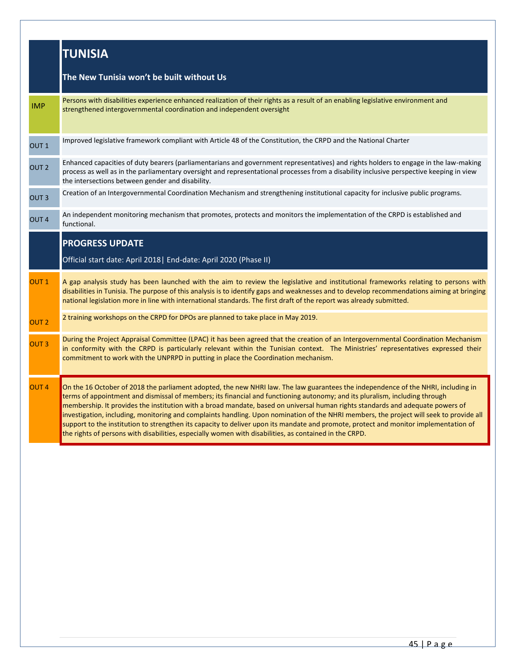|                  | <b>TUNISIA</b>                                                                                                                                                                                                                                                                                                                                                                                                                                                                                                                                                                                                                                                                                                                                                                                  |
|------------------|-------------------------------------------------------------------------------------------------------------------------------------------------------------------------------------------------------------------------------------------------------------------------------------------------------------------------------------------------------------------------------------------------------------------------------------------------------------------------------------------------------------------------------------------------------------------------------------------------------------------------------------------------------------------------------------------------------------------------------------------------------------------------------------------------|
|                  | The New Tunisia won't be built without Us                                                                                                                                                                                                                                                                                                                                                                                                                                                                                                                                                                                                                                                                                                                                                       |
| <b>IMP</b>       | Persons with disabilities experience enhanced realization of their rights as a result of an enabling legislative environment and<br>strengthened intergovernmental coordination and independent oversight                                                                                                                                                                                                                                                                                                                                                                                                                                                                                                                                                                                       |
| OUT <sub>1</sub> | Improved legislative framework compliant with Article 48 of the Constitution, the CRPD and the National Charter                                                                                                                                                                                                                                                                                                                                                                                                                                                                                                                                                                                                                                                                                 |
| OUT <sub>2</sub> | Enhanced capacities of duty bearers (parliamentarians and government representatives) and rights holders to engage in the law-making<br>process as well as in the parliamentary oversight and representational processes from a disability inclusive perspective keeping in view<br>the intersections between gender and disability.                                                                                                                                                                                                                                                                                                                                                                                                                                                            |
| OUT <sub>3</sub> | Creation of an Intergovernmental Coordination Mechanism and strengthening institutional capacity for inclusive public programs.                                                                                                                                                                                                                                                                                                                                                                                                                                                                                                                                                                                                                                                                 |
| OUT <sub>4</sub> | An independent monitoring mechanism that promotes, protects and monitors the implementation of the CRPD is established and<br>functional.                                                                                                                                                                                                                                                                                                                                                                                                                                                                                                                                                                                                                                                       |
|                  | <b>PROGRESS UPDATE</b><br>Official start date: April 2018   End-date: April 2020 (Phase II)                                                                                                                                                                                                                                                                                                                                                                                                                                                                                                                                                                                                                                                                                                     |
| OUT <sub>1</sub> | A gap analysis study has been launched with the aim to review the legislative and institutional frameworks relating to persons with<br>disabilities in Tunisia. The purpose of this analysis is to identify gaps and weaknesses and to develop recommendations aiming at bringing<br>national legislation more in line with international standards. The first draft of the report was already submitted.                                                                                                                                                                                                                                                                                                                                                                                       |
| OUT <sub>2</sub> | 2 training workshops on the CRPD for DPOs are planned to take place in May 2019.                                                                                                                                                                                                                                                                                                                                                                                                                                                                                                                                                                                                                                                                                                                |
| OUT <sub>3</sub> | During the Project Appraisal Committee (LPAC) it has been agreed that the creation of an Intergovernmental Coordination Mechanism<br>in conformity with the CRPD is particularly relevant within the Tunisian context. The Ministries' representatives expressed their<br>commitment to work with the UNPRPD in putting in place the Coordination mechanism.                                                                                                                                                                                                                                                                                                                                                                                                                                    |
| OUT <sub>4</sub> | On the 16 October of 2018 the parliament adopted, the new NHRI law. The law guarantees the independence of the NHRI, including in<br>terms of appointment and dismissal of members; its financial and functioning autonomy; and its pluralism, including through<br>membership. It provides the institution with a broad mandate, based on universal human rights standards and adequate powers of<br>investigation, including, monitoring and complaints handling. Upon nomination of the NHRI members, the project will seek to provide all<br>support to the institution to strengthen its capacity to deliver upon its mandate and promote, protect and monitor implementation of<br>the rights of persons with disabilities, especially women with disabilities, as contained in the CRPD. |
|                  |                                                                                                                                                                                                                                                                                                                                                                                                                                                                                                                                                                                                                                                                                                                                                                                                 |
|                  |                                                                                                                                                                                                                                                                                                                                                                                                                                                                                                                                                                                                                                                                                                                                                                                                 |
|                  |                                                                                                                                                                                                                                                                                                                                                                                                                                                                                                                                                                                                                                                                                                                                                                                                 |
|                  |                                                                                                                                                                                                                                                                                                                                                                                                                                                                                                                                                                                                                                                                                                                                                                                                 |
|                  |                                                                                                                                                                                                                                                                                                                                                                                                                                                                                                                                                                                                                                                                                                                                                                                                 |
|                  |                                                                                                                                                                                                                                                                                                                                                                                                                                                                                                                                                                                                                                                                                                                                                                                                 |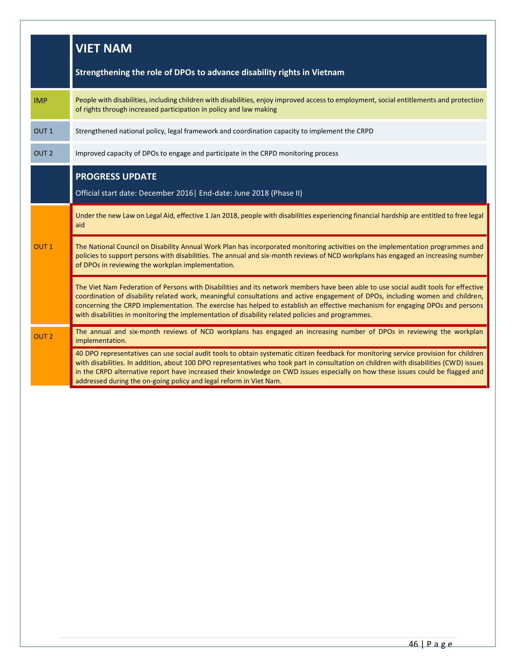|                  | <b>VIET NAM</b>                                                                                                                                                                                                                                                                                                                                                                                                                                                                                             |
|------------------|-------------------------------------------------------------------------------------------------------------------------------------------------------------------------------------------------------------------------------------------------------------------------------------------------------------------------------------------------------------------------------------------------------------------------------------------------------------------------------------------------------------|
|                  | Strengthening the role of DPOs to advance disability rights in Vietnam                                                                                                                                                                                                                                                                                                                                                                                                                                      |
| <b>IMP</b>       | People with disabilities, including children with disabilities, enjoy improved access to employment, social entitlements and protection<br>of rights through increased participation in policy and law making                                                                                                                                                                                                                                                                                               |
| OUT <sub>1</sub> | Strengthened national policy, legal framework and coordination capacity to implement the CRPD                                                                                                                                                                                                                                                                                                                                                                                                               |
| OUT <sub>2</sub> | Improved capacity of DPOs to engage and participate in the CRPD monitoring process                                                                                                                                                                                                                                                                                                                                                                                                                          |
|                  | <b>PROGRESS UPDATE</b><br>Official start date: December 2016   End-date: June 2018 (Phase II)                                                                                                                                                                                                                                                                                                                                                                                                               |
| OUT <sub>1</sub> | Under the new Law on Legal Aid, effective 1 Jan 2018, people with disabilities experiencing financial hardship are entitled to free legal<br>aid                                                                                                                                                                                                                                                                                                                                                            |
|                  | The National Council on Disability Annual Work Plan has incorporated monitoring activities on the implementation programmes and<br>policies to support persons with disabilities. The annual and six-month reviews of NCD workplans has engaged an increasing number<br>of DPOs in reviewing the workplan implementation.                                                                                                                                                                                   |
|                  | The Viet Nam Federation of Persons with Disabilities and its network members have been able to use social audit tools for effective<br>coordination of disability related work, meaningful consultations and active engagement of DPOs, including women and children,<br>concerning the CRPD implementation. The exercise has helped to establish an effective mechanism for engaging DPOs and persons<br>with disabilities in monitoring the implementation of disability related policies and programmes. |
| OUT <sub>2</sub> | The annual and six-month reviews of NCD workplans has engaged an increasing number of DPOs in reviewing the workplan<br>implementation.                                                                                                                                                                                                                                                                                                                                                                     |
|                  | 40 DPO representatives can use social audit tools to obtain systematic citizen feedback for monitoring service provision for children<br>with disabilities. In addition, about 100 DPO representatives who took part in consultation on children with disabilities (CWD) issues<br>in the CRPD alternative report have increased their knowledge on CWD issues especially on how these issues could be flagged and<br>addressed during the on-going policy and legal reform in Viet Nam.                    |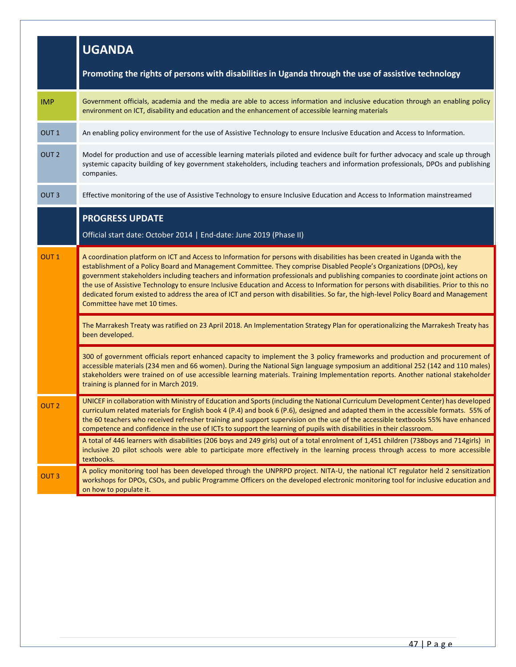|                  | <b>UGANDA</b>                                                                                                                                                                                                                                                                                                                                                                                                                                                                                                                                                                                                                                                                                           |
|------------------|---------------------------------------------------------------------------------------------------------------------------------------------------------------------------------------------------------------------------------------------------------------------------------------------------------------------------------------------------------------------------------------------------------------------------------------------------------------------------------------------------------------------------------------------------------------------------------------------------------------------------------------------------------------------------------------------------------|
|                  | Promoting the rights of persons with disabilities in Uganda through the use of assistive technology                                                                                                                                                                                                                                                                                                                                                                                                                                                                                                                                                                                                     |
| <b>IMP</b>       | Government officials, academia and the media are able to access information and inclusive education through an enabling policy<br>environment on ICT, disability and education and the enhancement of accessible learning materials                                                                                                                                                                                                                                                                                                                                                                                                                                                                     |
| OUT <sub>1</sub> | An enabling policy environment for the use of Assistive Technology to ensure Inclusive Education and Access to Information.                                                                                                                                                                                                                                                                                                                                                                                                                                                                                                                                                                             |
| OUT <sub>2</sub> | Model for production and use of accessible learning materials piloted and evidence built for further advocacy and scale up through<br>systemic capacity building of key government stakeholders, including teachers and information professionals, DPOs and publishing<br>companies.                                                                                                                                                                                                                                                                                                                                                                                                                    |
| OUT <sub>3</sub> | Effective monitoring of the use of Assistive Technology to ensure Inclusive Education and Access to Information mainstreamed                                                                                                                                                                                                                                                                                                                                                                                                                                                                                                                                                                            |
|                  | <b>PROGRESS UPDATE</b><br>Official start date: October 2014   End-date: June 2019 (Phase II)                                                                                                                                                                                                                                                                                                                                                                                                                                                                                                                                                                                                            |
| OUT <sub>1</sub> | A coordination platform on ICT and Access to Information for persons with disabilities has been created in Uganda with the<br>establishment of a Policy Board and Management Committee. They comprise Disabled People's Organizations (DPOs), key<br>government stakeholders including teachers and information professionals and publishing companies to coordinate joint actions on<br>the use of Assistive Technology to ensure Inclusive Education and Access to Information for persons with disabilities. Prior to this no<br>dedicated forum existed to address the area of ICT and person with disabilities. So far, the high-level Policy Board and Management<br>Committee have met 10 times. |
|                  | The Marrakesh Treaty was ratified on 23 April 2018. An Implementation Strategy Plan for operationalizing the Marrakesh Treaty has<br>been developed.                                                                                                                                                                                                                                                                                                                                                                                                                                                                                                                                                    |
|                  | 300 of government officials report enhanced capacity to implement the 3 policy frameworks and production and procurement of<br>accessible materials (234 men and 66 women). During the National Sign language symposium an additional 252 (142 and 110 males)<br>stakeholders were trained on of use accessible learning materials. Training Implementation reports. Another national stakeholder<br>training is planned for in March 2019.                                                                                                                                                                                                                                                             |
| OUT <sub>2</sub> | UNICEF in collaboration with Ministry of Education and Sports (including the National Curriculum Development Center) has developed<br>curriculum related materials for English book 4 (P.4) and book 6 (P.6), designed and adapted them in the accessible formats. 55% of<br>the 60 teachers who received refresher training and support supervision on the use of the accessible textbooks 55% have enhanced<br>competence and confidence in the use of ICTs to support the learning of pupils with disabilities in their classroom.                                                                                                                                                                   |
|                  | A total of 446 learners with disabilities (206 boys and 249 girls) out of a total enrolment of 1,451 children (738boys and 714girls) in<br>inclusive 20 pilot schools were able to participate more effectively in the learning process through access to more accessible<br>textbooks.                                                                                                                                                                                                                                                                                                                                                                                                                 |
| OUT <sub>3</sub> | A policy monitoring tool has been developed through the UNPRPD project. NITA-U, the national ICT regulator held 2 sensitization<br>workshops for DPOs, CSOs, and public Programme Officers on the developed electronic monitoring tool for inclusive education and<br>on how to populate it.                                                                                                                                                                                                                                                                                                                                                                                                            |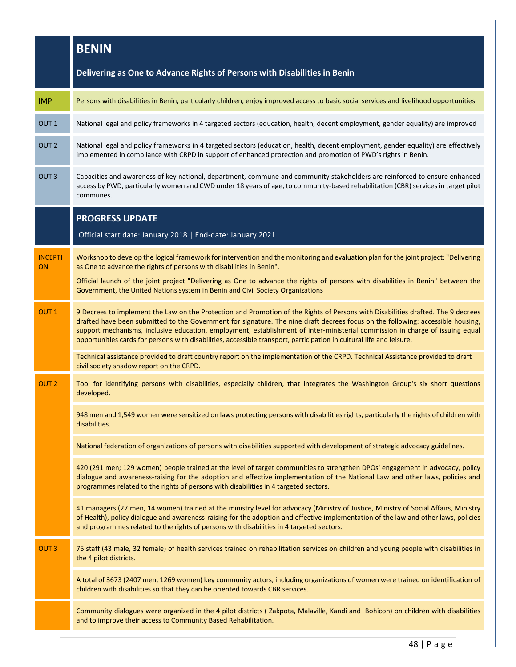|                             | <b>BENIN</b>                                                                                                                                                                                                                                                                                                                                                                                                                                                                                                                 |
|-----------------------------|------------------------------------------------------------------------------------------------------------------------------------------------------------------------------------------------------------------------------------------------------------------------------------------------------------------------------------------------------------------------------------------------------------------------------------------------------------------------------------------------------------------------------|
|                             | Delivering as One to Advance Rights of Persons with Disabilities in Benin                                                                                                                                                                                                                                                                                                                                                                                                                                                    |
| <b>IMP</b>                  | Persons with disabilities in Benin, particularly children, enjoy improved access to basic social services and livelihood opportunities.                                                                                                                                                                                                                                                                                                                                                                                      |
| OUT <sub>1</sub>            | National legal and policy frameworks in 4 targeted sectors (education, health, decent employment, gender equality) are improved                                                                                                                                                                                                                                                                                                                                                                                              |
| OUT <sub>2</sub>            | National legal and policy frameworks in 4 targeted sectors (education, health, decent employment, gender equality) are effectively<br>implemented in compliance with CRPD in support of enhanced protection and promotion of PWD's rights in Benin.                                                                                                                                                                                                                                                                          |
| OUT <sub>3</sub>            | Capacities and awareness of key national, department, commune and community stakeholders are reinforced to ensure enhanced<br>access by PWD, particularly women and CWD under 18 years of age, to community-based rehabilitation (CBR) services in target pilot<br>communes.                                                                                                                                                                                                                                                 |
|                             | <b>PROGRESS UPDATE</b><br>Official start date: January 2018   End-date: January 2021                                                                                                                                                                                                                                                                                                                                                                                                                                         |
| <b>INCEPTI</b><br><b>ON</b> | Workshop to develop the logical framework for intervention and the monitoring and evaluation plan for the joint project: "Delivering<br>as One to advance the rights of persons with disabilities in Benin".<br>Official launch of the joint project "Delivering as One to advance the rights of persons with disabilities in Benin" between the<br>Government, the United Nations system in Benin and Civil Society Organizations                                                                                           |
| OUT <sub>1</sub>            | 9 Decrees to implement the Law on the Protection and Promotion of the Rights of Persons with Disabilities drafted. The 9 decrees<br>drafted have been submitted to the Government for signature. The nine draft decrees focus on the following: accessible housing,<br>support mechanisms, inclusive education, employment, establishment of inter-ministerial commission in charge of issuing equal<br>opportunities cards for persons with disabilities, accessible transport, participation in cultural life and leisure. |
|                             | Technical assistance provided to draft country report on the implementation of the CRPD. Technical Assistance provided to draft<br>civil society shadow report on the CRPD.                                                                                                                                                                                                                                                                                                                                                  |
| OUT <sub>2</sub>            | Tool for identifying persons with disabilities, especially children, that integrates the Washington Group's six short questions<br>developed.                                                                                                                                                                                                                                                                                                                                                                                |
|                             | 948 men and 1,549 women were sensitized on laws protecting persons with disabilities rights, particularly the rights of children with<br>disabilities.                                                                                                                                                                                                                                                                                                                                                                       |
|                             | National federation of organizations of persons with disabilities supported with development of strategic advocacy guidelines.                                                                                                                                                                                                                                                                                                                                                                                               |
|                             | 420 (291 men; 129 women) people trained at the level of target communities to strengthen DPOs' engagement in advocacy, policy<br>dialogue and awareness-raising for the adoption and effective implementation of the National Law and other laws, policies and<br>programmes related to the rights of persons with disabilities in 4 targeted sectors.                                                                                                                                                                       |
|                             | 41 managers (27 men, 14 women) trained at the ministry level for advocacy (Ministry of Justice, Ministry of Social Affairs, Ministry<br>of Health), policy dialogue and awareness-raising for the adoption and effective implementation of the law and other laws, policies<br>and programmes related to the rights of persons with disabilities in 4 targeted sectors.                                                                                                                                                      |
| <b>OUT3</b>                 | 75 staff (43 male, 32 female) of health services trained on rehabilitation services on children and young people with disabilities in<br>the 4 pilot districts.                                                                                                                                                                                                                                                                                                                                                              |
|                             | A total of 3673 (2407 men, 1269 women) key community actors, including organizations of women were trained on identification of<br>children with disabilities so that they can be oriented towards CBR services.                                                                                                                                                                                                                                                                                                             |
|                             | Community dialogues were organized in the 4 pilot districts (Zakpota, Malaville, Kandi and Bohicon) on children with disabilities<br>and to improve their access to Community Based Rehabilitation.                                                                                                                                                                                                                                                                                                                          |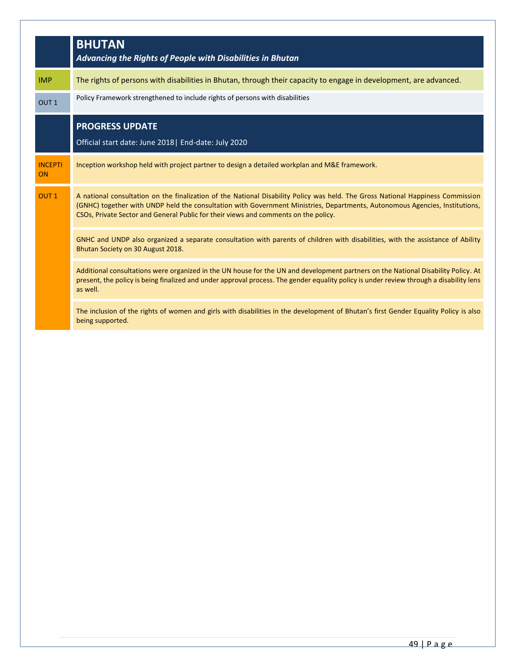|                      | <b>BHUTAN</b><br>Advancing the Rights of People with Disabilities in Bhutan                                                                                                                                                                                                                                                                           |
|----------------------|-------------------------------------------------------------------------------------------------------------------------------------------------------------------------------------------------------------------------------------------------------------------------------------------------------------------------------------------------------|
| <b>IMP</b>           | The rights of persons with disabilities in Bhutan, through their capacity to engage in development, are advanced.                                                                                                                                                                                                                                     |
| OUT <sub>1</sub>     | Policy Framework strengthened to include rights of persons with disabilities                                                                                                                                                                                                                                                                          |
|                      | <b>PROGRESS UPDATE</b>                                                                                                                                                                                                                                                                                                                                |
|                      | Official start date: June 2018   End-date: July 2020                                                                                                                                                                                                                                                                                                  |
| <b>INCEPTI</b><br>ON | Inception workshop held with project partner to design a detailed workplan and M&E framework.                                                                                                                                                                                                                                                         |
| OUT <sub>1</sub>     | A national consultation on the finalization of the National Disability Policy was held. The Gross National Happiness Commission<br>(GNHC) together with UNDP held the consultation with Government Ministries, Departments, Autonomous Agencies, Institutions,<br>CSOs, Private Sector and General Public for their views and comments on the policy. |
|                      | GNHC and UNDP also organized a separate consultation with parents of children with disabilities, with the assistance of Ability<br>Bhutan Society on 30 August 2018.                                                                                                                                                                                  |
|                      | Additional consultations were organized in the UN house for the UN and development partners on the National Disability Policy. At<br>present, the policy is being finalized and under approval process. The gender equality policy is under review through a disability lens<br>as well.                                                              |
|                      | The inclusion of the rights of women and girls with disabilities in the development of Bhutan's first Gender Equality Policy is also<br>being supported.                                                                                                                                                                                              |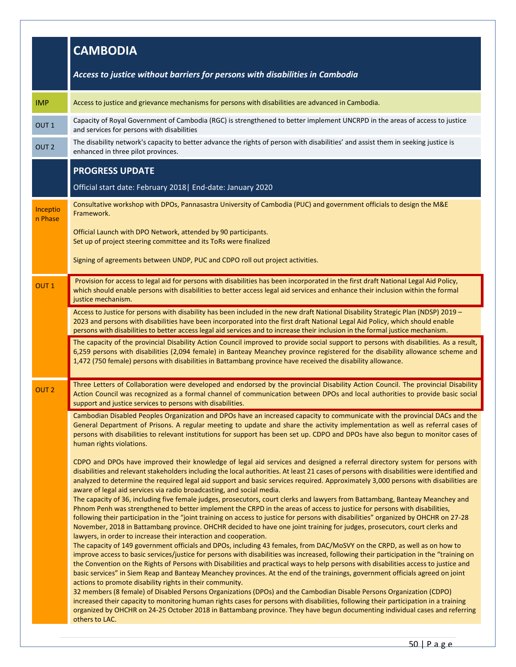|                     | <b>CAMBODIA</b>                                                                                                                                                                                                                                                                                                                                                                                                                                                                                                                                                                                                            |
|---------------------|----------------------------------------------------------------------------------------------------------------------------------------------------------------------------------------------------------------------------------------------------------------------------------------------------------------------------------------------------------------------------------------------------------------------------------------------------------------------------------------------------------------------------------------------------------------------------------------------------------------------------|
|                     | Access to justice without barriers for persons with disabilities in Cambodia                                                                                                                                                                                                                                                                                                                                                                                                                                                                                                                                               |
| <b>IMP</b>          | Access to justice and grievance mechanisms for persons with disabilities are advanced in Cambodia.                                                                                                                                                                                                                                                                                                                                                                                                                                                                                                                         |
| OUT <sub>1</sub>    | Capacity of Royal Government of Cambodia (RGC) is strengthened to better implement UNCRPD in the areas of access to justice<br>and services for persons with disabilities                                                                                                                                                                                                                                                                                                                                                                                                                                                  |
| OUT <sub>2</sub>    | The disability network's capacity to better advance the rights of person with disabilities' and assist them in seeking justice is<br>enhanced in three pilot provinces.                                                                                                                                                                                                                                                                                                                                                                                                                                                    |
|                     | <b>PROGRESS UPDATE</b><br>Official start date: February 2018   End-date: January 2020                                                                                                                                                                                                                                                                                                                                                                                                                                                                                                                                      |
| Inceptio<br>n Phase | Consultative workshop with DPOs, Pannasastra University of Cambodia (PUC) and government officials to design the M&E<br>Framework.                                                                                                                                                                                                                                                                                                                                                                                                                                                                                         |
|                     | Official Launch with DPO Network, attended by 90 participants.<br>Set up of project steering committee and its ToRs were finalized                                                                                                                                                                                                                                                                                                                                                                                                                                                                                         |
|                     | Signing of agreements between UNDP, PUC and CDPO roll out project activities.                                                                                                                                                                                                                                                                                                                                                                                                                                                                                                                                              |
| OUT <sub>1</sub>    | Provision for access to legal aid for persons with disabilities has been incorporated in the first draft National Legal Aid Policy,<br>which should enable persons with disabilities to better access legal aid services and enhance their inclusion within the formal<br>justice mechanism.                                                                                                                                                                                                                                                                                                                               |
|                     | Access to Justice for persons with disability has been included in the new draft National Disability Strategic Plan (NDSP) 2019 -<br>2023 and persons with disabilities have been incorporated into the first draft National Legal Aid Policy, which should enable<br>persons with disabilities to better access legal aid services and to increase their inclusion in the formal justice mechanism.                                                                                                                                                                                                                       |
|                     | The capacity of the provincial Disability Action Council improved to provide social support to persons with disabilities. As a result,<br>6,259 persons with disabilities (2,094 female) in Banteay Meanchey province registered for the disability allowance scheme and<br>1,472 (750 female) persons with disabilities in Battambang province have received the disability allowance.                                                                                                                                                                                                                                    |
| OUT <sub>2</sub>    | Three Letters of Collaboration were developed and endorsed by the provincial Disability Action Council. The provincial Disability<br>Action Council was recognized as a formal channel of communication between DPOs and local authorities to provide basic social<br>support and justice services to persons with disabilities.                                                                                                                                                                                                                                                                                           |
|                     | Cambodian Disabled Peoples Organization and DPOs have an increased capacity to communicate with the provincial DACs and the<br>General Department of Prisons. A regular meeting to update and share the activity implementation as well as referral cases of<br>persons with disabilities to relevant institutions for support has been set up. CDPO and DPOs have also begun to monitor cases of<br>human rights violations.                                                                                                                                                                                              |
|                     | CDPO and DPOs have improved their knowledge of legal aid services and designed a referral directory system for persons with<br>disabilities and relevant stakeholders including the local authorities. At least 21 cases of persons with disabilities were identified and<br>analyzed to determine the required legal aid support and basic services required. Approximately 3,000 persons with disabilities are<br>aware of legal aid services via radio broadcasting, and social media.<br>The capacity of 36, including five female judges, prosecutors, court clerks and lawyers from Battambang, Banteay Meanchey and |
|                     | Phnom Penh was strengthened to better implement the CRPD in the areas of access to justice for persons with disabilities,<br>following their participation in the "joint training on access to justice for persons with disabilities" organized by OHCHR on 27-28<br>November, 2018 in Battambang province. OHCHR decided to have one joint training for judges, prosecutors, court clerks and<br>lawyers, in order to increase their interaction and cooperation.                                                                                                                                                         |
|                     | The capacity of 149 government officials and DPOs, including 43 females, from DAC/MoSVY on the CRPD, as well as on how to<br>improve access to basic services/justice for persons with disabilities was increased, following their participation in the "training on<br>the Convention on the Rights of Persons with Disabilities and practical ways to help persons with disabilities access to justice and<br>basic services" in Siem Reap and Banteay Meanchey provinces. At the end of the trainings, government officials agreed on joint<br>actions to promote disability rights in their community.                 |
|                     | 32 members (8 female) of Disabled Persons Organizations (DPOs) and the Cambodian Disable Persons Organization (CDPO)<br>increased their capacity to monitoring human rights cases for persons with disabilities, following their participation in a training<br>organized by OHCHR on 24-25 October 2018 in Battambang province. They have begun documenting individual cases and referring<br>others to LAC.                                                                                                                                                                                                              |
|                     |                                                                                                                                                                                                                                                                                                                                                                                                                                                                                                                                                                                                                            |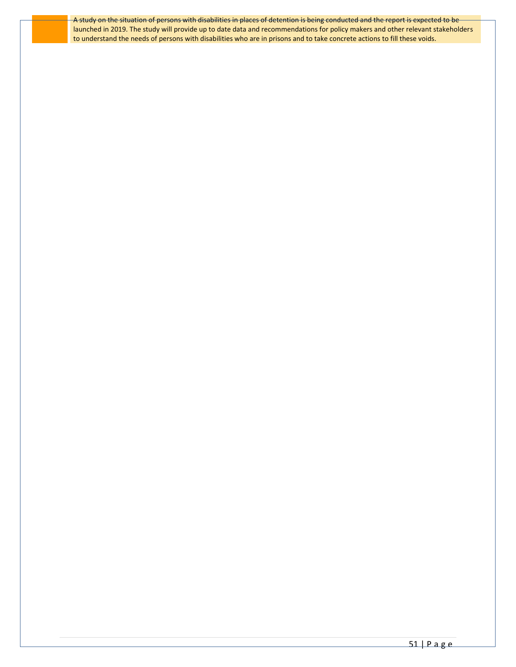A study on the situation of persons with disabilities in places of detention is being conducted and the report is expected to be launched in 2019. The study will provide up to date data and recommendations for policy makers and other relevant stakeholders to understand the needs of persons with disabilities who are in prisons and to take concrete actions to fill these voids.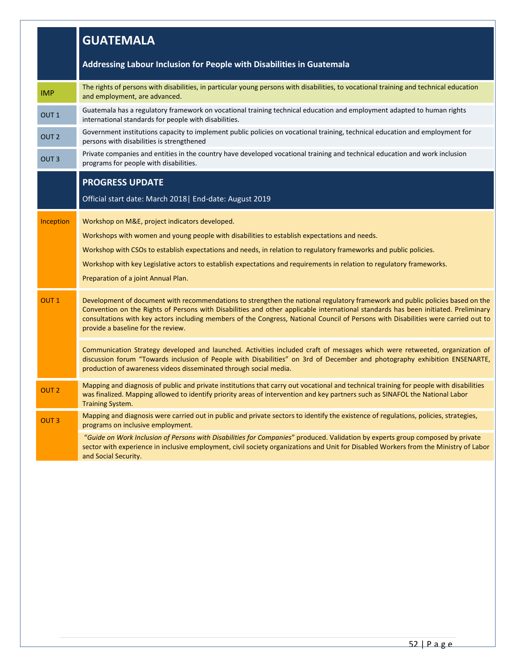|                  | <b>GUATEMALA</b>                                                                                                                                                                                                                                                                                                                                                                                                                                |
|------------------|-------------------------------------------------------------------------------------------------------------------------------------------------------------------------------------------------------------------------------------------------------------------------------------------------------------------------------------------------------------------------------------------------------------------------------------------------|
|                  | Addressing Labour Inclusion for People with Disabilities in Guatemala                                                                                                                                                                                                                                                                                                                                                                           |
| <b>IMP</b>       | The rights of persons with disabilities, in particular young persons with disabilities, to vocational training and technical education<br>and employment, are advanced.                                                                                                                                                                                                                                                                         |
| OUT <sub>1</sub> | Guatemala has a regulatory framework on vocational training technical education and employment adapted to human rights<br>international standards for people with disabilities.                                                                                                                                                                                                                                                                 |
| OUT <sub>2</sub> | Government institutions capacity to implement public policies on vocational training, technical education and employment for<br>persons with disabilities is strengthened                                                                                                                                                                                                                                                                       |
| OUT <sub>3</sub> | Private companies and entities in the country have developed vocational training and technical education and work inclusion<br>programs for people with disabilities.                                                                                                                                                                                                                                                                           |
|                  | <b>PROGRESS UPDATE</b>                                                                                                                                                                                                                                                                                                                                                                                                                          |
|                  | Official start date: March 2018   End-date: August 2019                                                                                                                                                                                                                                                                                                                                                                                         |
| Inception        | Workshop on M&E, project indicators developed.<br>Workshops with women and young people with disabilities to establish expectations and needs.<br>Workshop with CSOs to establish expectations and needs, in relation to regulatory frameworks and public policies.                                                                                                                                                                             |
|                  | Workshop with key Legislative actors to establish expectations and requirements in relation to regulatory frameworks.<br>Preparation of a joint Annual Plan.                                                                                                                                                                                                                                                                                    |
| OUT <sub>1</sub> | Development of document with recommendations to strengthen the national regulatory framework and public policies based on the<br>Convention on the Rights of Persons with Disabilities and other applicable international standards has been initiated. Preliminary<br>consultations with key actors including members of the Congress, National Council of Persons with Disabilities were carried out to<br>provide a baseline for the review. |
|                  | Communication Strategy developed and launched. Activities included craft of messages which were retweeted, organization of<br>discussion forum "Towards inclusion of People with Disabilities" on 3rd of December and photography exhibition ENSENARTE,<br>production of awareness videos disseminated through social media.                                                                                                                    |
| OUT <sub>2</sub> | Mapping and diagnosis of public and private institutions that carry out vocational and technical training for people with disabilities<br>was finalized. Mapping allowed to identify priority areas of intervention and key partners such as SINAFOL the National Labor<br><b>Training System.</b>                                                                                                                                              |
| <b>OUT3</b>      | Mapping and diagnosis were carried out in public and private sectors to identify the existence of regulations, policies, strategies,<br>programs on inclusive employment.                                                                                                                                                                                                                                                                       |
|                  | "Guide on Work Inclusion of Persons with Disabilities for Companies" produced. Validation by experts group composed by private<br>sector with experience in inclusive employment, civil society organizations and Unit for Disabled Workers from the Ministry of Labor<br>and Social Security.                                                                                                                                                  |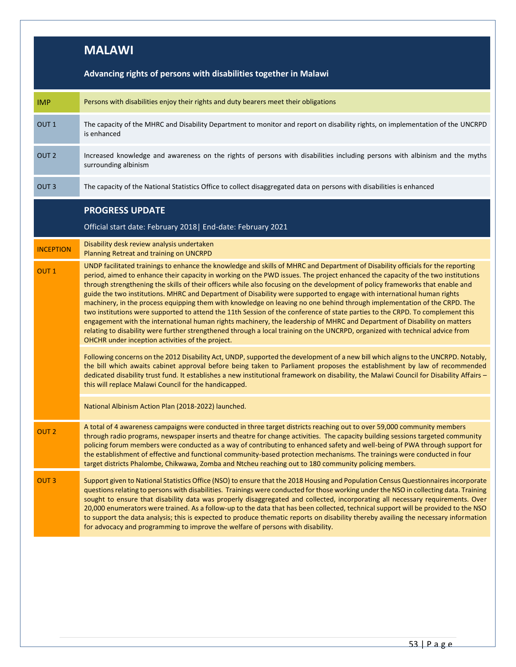|                  | <b>MALAWI</b>                                                                                                                                                                                                                                                                                                                                                                                                                                                                                                                                                                                                                                                                                                                                                                                                                                                                                                                                                                                                                                                                                                |
|------------------|--------------------------------------------------------------------------------------------------------------------------------------------------------------------------------------------------------------------------------------------------------------------------------------------------------------------------------------------------------------------------------------------------------------------------------------------------------------------------------------------------------------------------------------------------------------------------------------------------------------------------------------------------------------------------------------------------------------------------------------------------------------------------------------------------------------------------------------------------------------------------------------------------------------------------------------------------------------------------------------------------------------------------------------------------------------------------------------------------------------|
|                  | Advancing rights of persons with disabilities together in Malawi                                                                                                                                                                                                                                                                                                                                                                                                                                                                                                                                                                                                                                                                                                                                                                                                                                                                                                                                                                                                                                             |
| <b>IMP</b>       | Persons with disabilities enjoy their rights and duty bearers meet their obligations                                                                                                                                                                                                                                                                                                                                                                                                                                                                                                                                                                                                                                                                                                                                                                                                                                                                                                                                                                                                                         |
| OUT <sub>1</sub> | The capacity of the MHRC and Disability Department to monitor and report on disability rights, on implementation of the UNCRPD<br>is enhanced                                                                                                                                                                                                                                                                                                                                                                                                                                                                                                                                                                                                                                                                                                                                                                                                                                                                                                                                                                |
| OUT <sub>2</sub> | Increased knowledge and awareness on the rights of persons with disabilities including persons with albinism and the myths<br>surrounding albinism                                                                                                                                                                                                                                                                                                                                                                                                                                                                                                                                                                                                                                                                                                                                                                                                                                                                                                                                                           |
| OUT <sub>3</sub> | The capacity of the National Statistics Office to collect disaggregated data on persons with disabilities is enhanced                                                                                                                                                                                                                                                                                                                                                                                                                                                                                                                                                                                                                                                                                                                                                                                                                                                                                                                                                                                        |
|                  | <b>PROGRESS UPDATE</b>                                                                                                                                                                                                                                                                                                                                                                                                                                                                                                                                                                                                                                                                                                                                                                                                                                                                                                                                                                                                                                                                                       |
|                  | Official start date: February 2018   End-date: February 2021                                                                                                                                                                                                                                                                                                                                                                                                                                                                                                                                                                                                                                                                                                                                                                                                                                                                                                                                                                                                                                                 |
| <b>INCEPTION</b> | Disability desk review analysis undertaken<br>Planning Retreat and training on UNCRPD                                                                                                                                                                                                                                                                                                                                                                                                                                                                                                                                                                                                                                                                                                                                                                                                                                                                                                                                                                                                                        |
| OUT <sub>1</sub> | UNDP facilitated trainings to enhance the knowledge and skills of MHRC and Department of Disability officials for the reporting<br>period, aimed to enhance their capacity in working on the PWD issues. The project enhanced the capacity of the two institutions<br>through strengthening the skills of their officers while also focusing on the development of policy frameworks that enable and<br>guide the two institutions. MHRC and Department of Disability were supported to engage with international human rights<br>machinery, in the process equipping them with knowledge on leaving no one behind through implementation of the CRPD. The<br>two institutions were supported to attend the 11th Session of the conference of state parties to the CRPD. To complement this<br>engagement with the international human rights machinery, the leadership of MHRC and Department of Disability on matters<br>relating to disability were further strengthened through a local training on the UNCRPD, organized with technical advice from<br>OHCHR under inception activities of the project. |
|                  | Following concerns on the 2012 Disability Act, UNDP, supported the development of a new bill which aligns to the UNCRPD. Notably,<br>the bill which awaits cabinet approval before being taken to Parliament proposes the establishment by law of recommended<br>dedicated disability trust fund. It establishes a new institutional framework on disability, the Malawi Council for Disability Affairs -<br>this will replace Malawi Council for the handicapped.                                                                                                                                                                                                                                                                                                                                                                                                                                                                                                                                                                                                                                           |
|                  | National Albinism Action Plan (2018-2022) launched.                                                                                                                                                                                                                                                                                                                                                                                                                                                                                                                                                                                                                                                                                                                                                                                                                                                                                                                                                                                                                                                          |
| OUT <sub>2</sub> | A total of 4 awareness campaigns were conducted in three target districts reaching out to over 59,000 community members<br>through radio programs, newspaper inserts and theatre for change activities. The capacity building sessions targeted community<br>policing forum members were conducted as a way of contributing to enhanced safety and well-being of PWA through support for<br>the establishment of effective and functional community-based protection mechanisms. The trainings were conducted in four<br>target districts Phalombe, Chikwawa, Zomba and Ntcheu reaching out to 180 community policing members.                                                                                                                                                                                                                                                                                                                                                                                                                                                                               |
| OUT <sub>3</sub> | Support given to National Statistics Office (NSO) to ensure that the 2018 Housing and Population Census Questionnaires incorporate<br>questions relating to persons with disabilities. Trainings were conducted for those working under the NSO in collecting data. Training<br>sought to ensure that disability data was properly disaggregated and collected, incorporating all necessary requirements. Over<br>20,000 enumerators were trained. As a follow-up to the data that has been collected, technical support will be provided to the NSO<br>to support the data analysis; this is expected to produce thematic reports on disability thereby availing the necessary information<br>for advocacy and programming to improve the welfare of persons with disability.                                                                                                                                                                                                                                                                                                                               |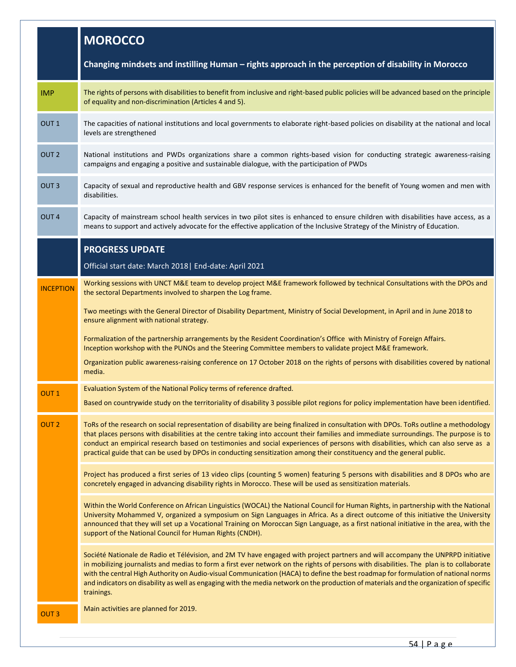|                  | <b>MOROCCO</b>                                                                                                                                                                                                                                                                                                                                                                                                                                                                                                                                                            |
|------------------|---------------------------------------------------------------------------------------------------------------------------------------------------------------------------------------------------------------------------------------------------------------------------------------------------------------------------------------------------------------------------------------------------------------------------------------------------------------------------------------------------------------------------------------------------------------------------|
|                  | Changing mindsets and instilling Human – rights approach in the perception of disability in Morocco                                                                                                                                                                                                                                                                                                                                                                                                                                                                       |
| <b>IMP</b>       | The rights of persons with disabilities to benefit from inclusive and right-based public policies will be advanced based on the principle<br>of equality and non-discrimination (Articles 4 and 5).                                                                                                                                                                                                                                                                                                                                                                       |
| OUT <sub>1</sub> | The capacities of national institutions and local governments to elaborate right-based policies on disability at the national and local<br>levels are strengthened                                                                                                                                                                                                                                                                                                                                                                                                        |
| OUT <sub>2</sub> | National institutions and PWDs organizations share a common rights-based vision for conducting strategic awareness-raising<br>campaigns and engaging a positive and sustainable dialogue, with the participation of PWDs                                                                                                                                                                                                                                                                                                                                                  |
| OUT <sub>3</sub> | Capacity of sexual and reproductive health and GBV response services is enhanced for the benefit of Young women and men with<br>disabilities.                                                                                                                                                                                                                                                                                                                                                                                                                             |
| OUT <sub>4</sub> | Capacity of mainstream school health services in two pilot sites is enhanced to ensure children with disabilities have access, as a<br>means to support and actively advocate for the effective application of the Inclusive Strategy of the Ministry of Education.                                                                                                                                                                                                                                                                                                       |
|                  | <b>PROGRESS UPDATE</b>                                                                                                                                                                                                                                                                                                                                                                                                                                                                                                                                                    |
|                  | Official start date: March 2018   End-date: April 2021                                                                                                                                                                                                                                                                                                                                                                                                                                                                                                                    |
| <b>INCEPTION</b> | Working sessions with UNCT M&E team to develop project M&E framework followed by technical Consultations with the DPOs and<br>the sectoral Departments involved to sharpen the Log frame.                                                                                                                                                                                                                                                                                                                                                                                 |
|                  | Two meetings with the General Director of Disability Department, Ministry of Social Development, in April and in June 2018 to<br>ensure alignment with national strategy.                                                                                                                                                                                                                                                                                                                                                                                                 |
|                  | Formalization of the partnership arrangements by the Resident Coordination's Office with Ministry of Foreign Affairs.<br>Inception workshop with the PUNOs and the Steering Committee members to validate project M&E framework.                                                                                                                                                                                                                                                                                                                                          |
|                  | Organization public awareness-raising conference on 17 October 2018 on the rights of persons with disabilities covered by national<br>media.                                                                                                                                                                                                                                                                                                                                                                                                                              |
| OUT <sub>1</sub> | Evaluation System of the National Policy terms of reference drafted.                                                                                                                                                                                                                                                                                                                                                                                                                                                                                                      |
|                  | Based on countrywide study on the territoriality of disability 3 possible pilot regions for policy implementation have been identified.                                                                                                                                                                                                                                                                                                                                                                                                                                   |
| OUT <sub>2</sub> | ToRs of the research on social representation of disability are being finalized in consultation with DPOs. ToRs outline a methodology<br>that places persons with disabilities at the centre taking into account their families and immediate surroundings. The purpose is to<br>conduct an empirical research based on testimonies and social experiences of persons with disabilities, which can also serve as a<br>practical guide that can be used by DPOs in conducting sensitization among their constituency and the general public.                               |
|                  | Project has produced a first series of 13 video clips (counting 5 women) featuring 5 persons with disabilities and 8 DPOs who are<br>concretely engaged in advancing disability rights in Morocco. These will be used as sensitization materials.                                                                                                                                                                                                                                                                                                                         |
|                  | Within the World Conference on African Linguistics (WOCAL) the National Council for Human Rights, in partnership with the National<br>University Mohammed V, organized a symposium on Sign Languages in Africa. As a direct outcome of this initiative the University<br>announced that they will set up a Vocational Training on Moroccan Sign Language, as a first national initiative in the area, with the<br>support of the National Council for Human Rights (CNDH).                                                                                                |
|                  | Société Nationale de Radio et Télévision, and 2M TV have engaged with project partners and will accompany the UNPRPD initiative<br>in mobilizing journalists and medias to form a first ever network on the rights of persons with disabilities. The plan is to collaborate<br>with the central High Authority on Audio-visual Communication (HACA) to define the best roadmap for formulation of national norms<br>and indicators on disability as well as engaging with the media network on the production of materials and the organization of specific<br>trainings. |
| OUT <sub>3</sub> | Main activities are planned for 2019.                                                                                                                                                                                                                                                                                                                                                                                                                                                                                                                                     |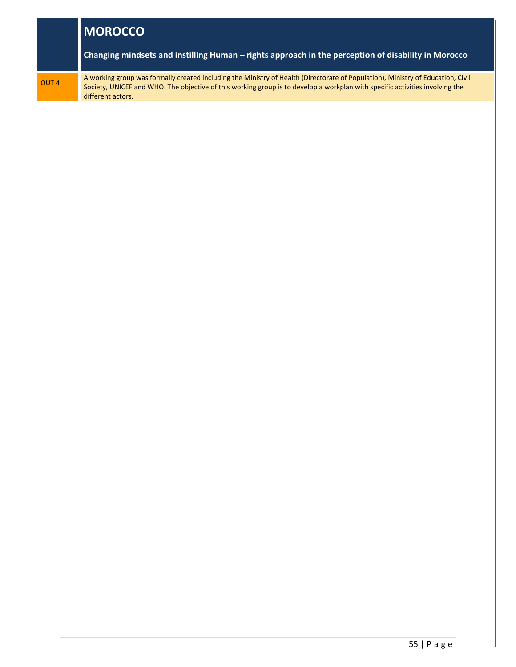|                  | <b>I MOROCCO</b>                                                                                                                                                                                                                                                                     |
|------------------|--------------------------------------------------------------------------------------------------------------------------------------------------------------------------------------------------------------------------------------------------------------------------------------|
|                  | Changing mindsets and instilling Human – rights approach in the perception of disability in Morocco                                                                                                                                                                                  |
| OUT <sub>4</sub> | A working group was formally created including the Ministry of Health (Directorate of Population), Ministry of Education, Civil<br>Society, UNICEF and WHO. The objective of this working group is to develop a workplan with specific activities involving the<br>different actors. |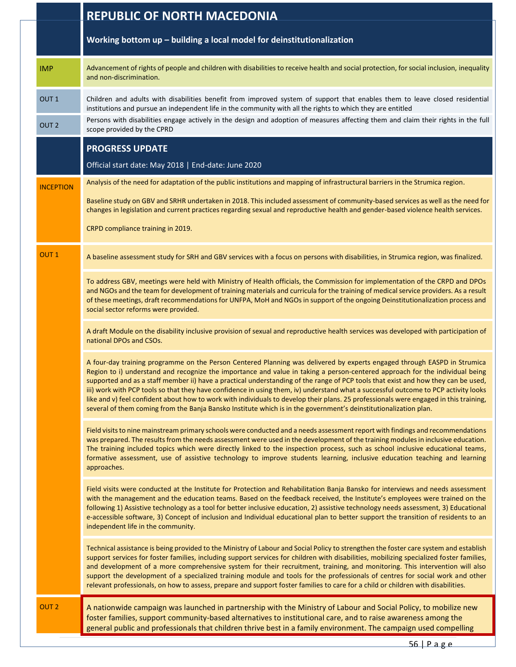|                  | <b>REPUBLIC OF NORTH MACEDONIA</b>                                                                                                                                                                                                                                                                                                                                                                                                                                                                                                                                                                                                                                                                                                                                                                |
|------------------|---------------------------------------------------------------------------------------------------------------------------------------------------------------------------------------------------------------------------------------------------------------------------------------------------------------------------------------------------------------------------------------------------------------------------------------------------------------------------------------------------------------------------------------------------------------------------------------------------------------------------------------------------------------------------------------------------------------------------------------------------------------------------------------------------|
|                  | Working bottom up - building a local model for deinstitutionalization                                                                                                                                                                                                                                                                                                                                                                                                                                                                                                                                                                                                                                                                                                                             |
| <b>IMP</b>       | Advancement of rights of people and children with disabilities to receive health and social protection, for social inclusion, inequality<br>and non-discrimination.                                                                                                                                                                                                                                                                                                                                                                                                                                                                                                                                                                                                                               |
| OUT <sub>1</sub> | Children and adults with disabilities benefit from improved system of support that enables them to leave closed residential<br>institutions and pursue an independent life in the community with all the rights to which they are entitled<br>Persons with disabilities engage actively in the design and adoption of measures affecting them and claim their rights in the full                                                                                                                                                                                                                                                                                                                                                                                                                  |
| OUT <sub>2</sub> | scope provided by the CPRD                                                                                                                                                                                                                                                                                                                                                                                                                                                                                                                                                                                                                                                                                                                                                                        |
|                  | <b>PROGRESS UPDATE</b>                                                                                                                                                                                                                                                                                                                                                                                                                                                                                                                                                                                                                                                                                                                                                                            |
|                  | Official start date: May 2018   End-date: June 2020                                                                                                                                                                                                                                                                                                                                                                                                                                                                                                                                                                                                                                                                                                                                               |
| <b>INCEPTION</b> | Analysis of the need for adaptation of the public institutions and mapping of infrastructural barriers in the Strumica region.                                                                                                                                                                                                                                                                                                                                                                                                                                                                                                                                                                                                                                                                    |
|                  | Baseline study on GBV and SRHR undertaken in 2018. This included assessment of community-based services as well as the need for<br>changes in legislation and current practices regarding sexual and reproductive health and gender-based violence health services.                                                                                                                                                                                                                                                                                                                                                                                                                                                                                                                               |
|                  | CRPD compliance training in 2019.                                                                                                                                                                                                                                                                                                                                                                                                                                                                                                                                                                                                                                                                                                                                                                 |
| <b>OUT1</b>      | A baseline assessment study for SRH and GBV services with a focus on persons with disabilities, in Strumica region, was finalized.                                                                                                                                                                                                                                                                                                                                                                                                                                                                                                                                                                                                                                                                |
|                  | To address GBV, meetings were held with Ministry of Health officials, the Commission for implementation of the CRPD and DPOs<br>and NGOs and the team for development of training materials and curricula for the training of medical service providers. As a result<br>of these meetings, draft recommendations for UNFPA, MoH and NGOs in support of the ongoing Deinstitutionalization process and<br>social sector reforms were provided.                                                                                                                                                                                                                                                                                                                                                     |
|                  | A draft Module on the disability inclusive provision of sexual and reproductive health services was developed with participation of<br>national DPOs and CSOs.                                                                                                                                                                                                                                                                                                                                                                                                                                                                                                                                                                                                                                    |
|                  | A four-day training programme on the Person Centered Planning was delivered by experts engaged through EASPD in Strumica<br>Region to i) understand and recognize the importance and value in taking a person-centered approach for the individual being<br>supported and as a staff member ii) have a practical understanding of the range of PCP tools that exist and how they can be used,<br>iii) work with PCP tools so that they have confidence in using them, iv) understand what a successful outcome to PCP activity looks<br>like and v) feel confident about how to work with individuals to develop their plans. 25 professionals were engaged in this training,<br>several of them coming from the Banja Bansko Institute which is in the government's deinstitutionalization plan. |
|                  | Field visits to nine mainstream primary schools were conducted and a needs assessment report with findings and recommendations<br>was prepared. The results from the needs assessment were used in the development of the training modules in inclusive education.<br>The training included topics which were directly linked to the inspection process, such as school inclusive educational teams,<br>formative assessment, use of assistive technology to improve students learning, inclusive education teaching and learning<br>approaches.                                                                                                                                                                                                                                                  |
|                  | Field visits were conducted at the Institute for Protection and Rehabilitation Banja Bansko for interviews and needs assessment<br>with the management and the education teams. Based on the feedback received, the Institute's employees were trained on the<br>following 1) Assistive technology as a tool for better inclusive education, 2) assistive technology needs assessment, 3) Educational<br>e-accessible software, 3) Concept of inclusion and Individual educational plan to better support the transition of residents to an<br>independent life in the community.                                                                                                                                                                                                                 |
|                  | Technical assistance is being provided to the Ministry of Labour and Social Policy to strengthen the foster care system and establish<br>support services for foster families, including support services for children with disabilities, mobilizing specialized foster families,<br>and development of a more comprehensive system for their recruitment, training, and monitoring. This intervention will also<br>support the development of a specialized training module and tools for the professionals of centres for social work and other<br>relevant professionals, on how to assess, prepare and support foster families to care for a child or children with disabilities.                                                                                                             |
| OUT <sub>2</sub> | A nationwide campaign was launched in partnership with the Ministry of Labour and Social Policy, to mobilize new<br>foster families, support community-based alternatives to institutional care, and to raise awareness among the<br>general public and professionals that children thrive best in a family environment. The campaign used compelling                                                                                                                                                                                                                                                                                                                                                                                                                                             |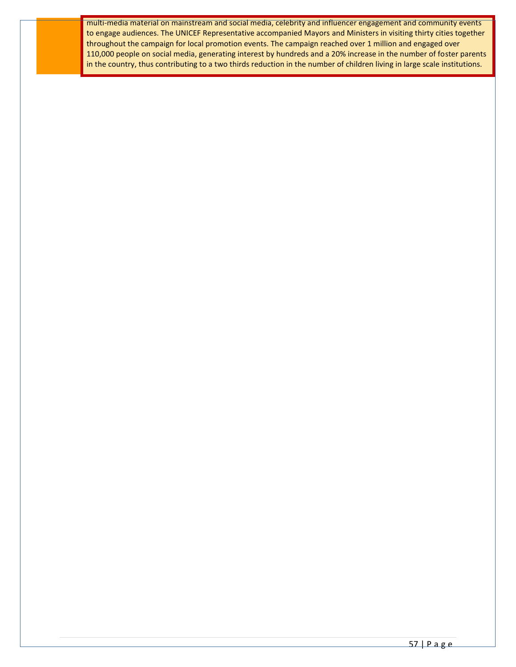multi-media material on mainstream and social media, celebrity and influencer engagement and community events to engage audiences. The UNICEF Representative accompanied Mayors and Ministers in visiting thirty cities together throughout the campaign for local promotion events. The campaign reached over 1 million and engaged over 110,000 people on social media, generating interest by hundreds and a 20% increase in the number of foster parents in the country, thus contributing to a two thirds reduction in the number of children living in large scale institutions.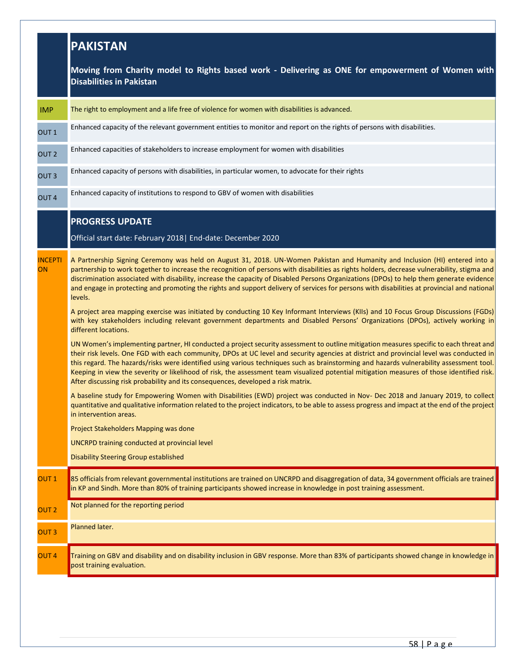|                      | <b>PAKISTAN</b>                                                                                                                                                                                                                                                                                                                                                                                                                                                                                                                                                                                                                                                                                                                                                                                                                                                                                                                                                                                                                                                                                                                                                                                                                                                                                                                                                                                                                                                                                                                                                                                                                                                                                                                                                                                                                                                                                                                                                            |  |
|----------------------|----------------------------------------------------------------------------------------------------------------------------------------------------------------------------------------------------------------------------------------------------------------------------------------------------------------------------------------------------------------------------------------------------------------------------------------------------------------------------------------------------------------------------------------------------------------------------------------------------------------------------------------------------------------------------------------------------------------------------------------------------------------------------------------------------------------------------------------------------------------------------------------------------------------------------------------------------------------------------------------------------------------------------------------------------------------------------------------------------------------------------------------------------------------------------------------------------------------------------------------------------------------------------------------------------------------------------------------------------------------------------------------------------------------------------------------------------------------------------------------------------------------------------------------------------------------------------------------------------------------------------------------------------------------------------------------------------------------------------------------------------------------------------------------------------------------------------------------------------------------------------------------------------------------------------------------------------------------------------|--|
|                      | Moving from Charity model to Rights based work - Delivering as ONE for empowerment of Women with<br><b>Disabilities in Pakistan</b>                                                                                                                                                                                                                                                                                                                                                                                                                                                                                                                                                                                                                                                                                                                                                                                                                                                                                                                                                                                                                                                                                                                                                                                                                                                                                                                                                                                                                                                                                                                                                                                                                                                                                                                                                                                                                                        |  |
| <b>IMP</b>           | The right to employment and a life free of violence for women with disabilities is advanced.                                                                                                                                                                                                                                                                                                                                                                                                                                                                                                                                                                                                                                                                                                                                                                                                                                                                                                                                                                                                                                                                                                                                                                                                                                                                                                                                                                                                                                                                                                                                                                                                                                                                                                                                                                                                                                                                               |  |
| OUT <sub>1</sub>     | Enhanced capacity of the relevant government entities to monitor and report on the rights of persons with disabilities.                                                                                                                                                                                                                                                                                                                                                                                                                                                                                                                                                                                                                                                                                                                                                                                                                                                                                                                                                                                                                                                                                                                                                                                                                                                                                                                                                                                                                                                                                                                                                                                                                                                                                                                                                                                                                                                    |  |
| OUT <sub>2</sub>     | Enhanced capacities of stakeholders to increase employment for women with disabilities                                                                                                                                                                                                                                                                                                                                                                                                                                                                                                                                                                                                                                                                                                                                                                                                                                                                                                                                                                                                                                                                                                                                                                                                                                                                                                                                                                                                                                                                                                                                                                                                                                                                                                                                                                                                                                                                                     |  |
| OUT <sub>3</sub>     | Enhanced capacity of persons with disabilities, in particular women, to advocate for their rights                                                                                                                                                                                                                                                                                                                                                                                                                                                                                                                                                                                                                                                                                                                                                                                                                                                                                                                                                                                                                                                                                                                                                                                                                                                                                                                                                                                                                                                                                                                                                                                                                                                                                                                                                                                                                                                                          |  |
| OUT <sub>4</sub>     | Enhanced capacity of institutions to respond to GBV of women with disabilities                                                                                                                                                                                                                                                                                                                                                                                                                                                                                                                                                                                                                                                                                                                                                                                                                                                                                                                                                                                                                                                                                                                                                                                                                                                                                                                                                                                                                                                                                                                                                                                                                                                                                                                                                                                                                                                                                             |  |
|                      | <b>PROGRESS UPDATE</b><br>Official start date: February 2018   End-date: December 2020                                                                                                                                                                                                                                                                                                                                                                                                                                                                                                                                                                                                                                                                                                                                                                                                                                                                                                                                                                                                                                                                                                                                                                                                                                                                                                                                                                                                                                                                                                                                                                                                                                                                                                                                                                                                                                                                                     |  |
| <b>INCEPTI</b><br>ON | A Partnership Signing Ceremony was held on August 31, 2018. UN-Women Pakistan and Humanity and Inclusion (HI) entered into a<br>partnership to work together to increase the recognition of persons with disabilities as rights holders, decrease vulnerability, stigma and<br>discrimination associated with disability, increase the capacity of Disabled Persons Organizations (DPOs) to help them generate evidence<br>and engage in protecting and promoting the rights and support delivery of services for persons with disabilities at provincial and national<br>levels.<br>A project area mapping exercise was initiated by conducting 10 Key Informant Interviews (KIIs) and 10 Focus Group Discussions (FGDs)<br>with key stakeholders including relevant government departments and Disabled Persons' Organizations (DPOs), actively working in<br>different locations.<br>UN Women's implementing partner, HI conducted a project security assessment to outline mitigation measures specific to each threat and<br>their risk levels. One FGD with each community, DPOs at UC level and security agencies at district and provincial level was conducted in<br>this regard. The hazards/risks were identified using various techniques such as brainstorming and hazards vulnerability assessment tool.<br>Keeping in view the severity or likelihood of risk, the assessment team visualized potential mitigation measures of those identified risk.<br>After discussing risk probability and its consequences, developed a risk matrix.<br>A baseline study for Empowering Women with Disabilities (EWD) project was conducted in Nov- Dec 2018 and January 2019, to collect<br>quantitative and qualitative information related to the project indicators, to be able to assess progress and impact at the end of the project<br>in intervention areas.<br>Project Stakeholders Mapping was done<br><b>UNCRPD training conducted at provincial level</b> |  |
| OUT <sub>1</sub>     | <b>Disability Steering Group established</b><br>85 officials from relevant governmental institutions are trained on UNCRPD and disaggregation of data, 34 government officials are trained                                                                                                                                                                                                                                                                                                                                                                                                                                                                                                                                                                                                                                                                                                                                                                                                                                                                                                                                                                                                                                                                                                                                                                                                                                                                                                                                                                                                                                                                                                                                                                                                                                                                                                                                                                                 |  |
| OUT <sub>2</sub>     | in KP and Sindh. More than 80% of training participants showed increase in knowledge in post training assessment.<br>Not planned for the reporting period                                                                                                                                                                                                                                                                                                                                                                                                                                                                                                                                                                                                                                                                                                                                                                                                                                                                                                                                                                                                                                                                                                                                                                                                                                                                                                                                                                                                                                                                                                                                                                                                                                                                                                                                                                                                                  |  |
| OUT <sub>3</sub>     | Planned later.                                                                                                                                                                                                                                                                                                                                                                                                                                                                                                                                                                                                                                                                                                                                                                                                                                                                                                                                                                                                                                                                                                                                                                                                                                                                                                                                                                                                                                                                                                                                                                                                                                                                                                                                                                                                                                                                                                                                                             |  |
| OUT <sub>4</sub>     | Training on GBV and disability and on disability inclusion in GBV response. More than 83% of participants showed change in knowledge in<br>post training evaluation.                                                                                                                                                                                                                                                                                                                                                                                                                                                                                                                                                                                                                                                                                                                                                                                                                                                                                                                                                                                                                                                                                                                                                                                                                                                                                                                                                                                                                                                                                                                                                                                                                                                                                                                                                                                                       |  |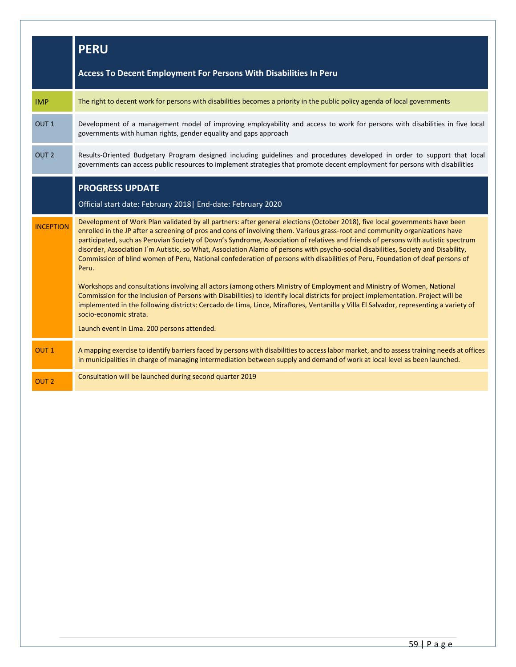|                  | <b>PERU</b>                                                                                                                                                                                                                                                                                                                                                                                                                                                                                                                                                                                                                                                                       |
|------------------|-----------------------------------------------------------------------------------------------------------------------------------------------------------------------------------------------------------------------------------------------------------------------------------------------------------------------------------------------------------------------------------------------------------------------------------------------------------------------------------------------------------------------------------------------------------------------------------------------------------------------------------------------------------------------------------|
|                  | Access To Decent Employment For Persons With Disabilities In Peru                                                                                                                                                                                                                                                                                                                                                                                                                                                                                                                                                                                                                 |
| <b>IMP</b>       | The right to decent work for persons with disabilities becomes a priority in the public policy agenda of local governments                                                                                                                                                                                                                                                                                                                                                                                                                                                                                                                                                        |
| OUT <sub>1</sub> | Development of a management model of improving employability and access to work for persons with disabilities in five local<br>governments with human rights, gender equality and gaps approach                                                                                                                                                                                                                                                                                                                                                                                                                                                                                   |
| OUT <sub>2</sub> | Results-Oriented Budgetary Program designed including guidelines and procedures developed in order to support that local<br>governments can access public resources to implement strategies that promote decent employment for persons with disabilities                                                                                                                                                                                                                                                                                                                                                                                                                          |
|                  | <b>PROGRESS UPDATE</b>                                                                                                                                                                                                                                                                                                                                                                                                                                                                                                                                                                                                                                                            |
|                  | Official start date: February 2018   End-date: February 2020                                                                                                                                                                                                                                                                                                                                                                                                                                                                                                                                                                                                                      |
| <b>INCEPTION</b> | Development of Work Plan validated by all partners: after general elections (October 2018), five local governments have been<br>enrolled in the JP after a screening of pros and cons of involving them. Various grass-root and community organizations have<br>participated, such as Peruvian Society of Down's Syndrome, Association of relatives and friends of persons with autistic spectrum<br>disorder, Association I'm Autistic, so What, Association Alamo of persons with psycho-social disabilities, Society and Disability,<br>Commission of blind women of Peru, National confederation of persons with disabilities of Peru, Foundation of deaf persons of<br>Peru. |
|                  | Workshops and consultations involving all actors (among others Ministry of Employment and Ministry of Women, National<br>Commission for the Inclusion of Persons with Disabilities) to identify local districts for project implementation. Project will be<br>implemented in the following districts: Cercado de Lima, Lince, Miraflores, Ventanilla y Villa El Salvador, representing a variety of<br>socio-economic strata.                                                                                                                                                                                                                                                    |
|                  | Launch event in Lima. 200 persons attended.                                                                                                                                                                                                                                                                                                                                                                                                                                                                                                                                                                                                                                       |
| OUT <sub>1</sub> | A mapping exercise to identify barriers faced by persons with disabilities to access labor market, and to assess training needs at offices<br>in municipalities in charge of managing intermediation between supply and demand of work at local level as been launched.                                                                                                                                                                                                                                                                                                                                                                                                           |
| OUT <sub>2</sub> | Consultation will be launched during second quarter 2019                                                                                                                                                                                                                                                                                                                                                                                                                                                                                                                                                                                                                          |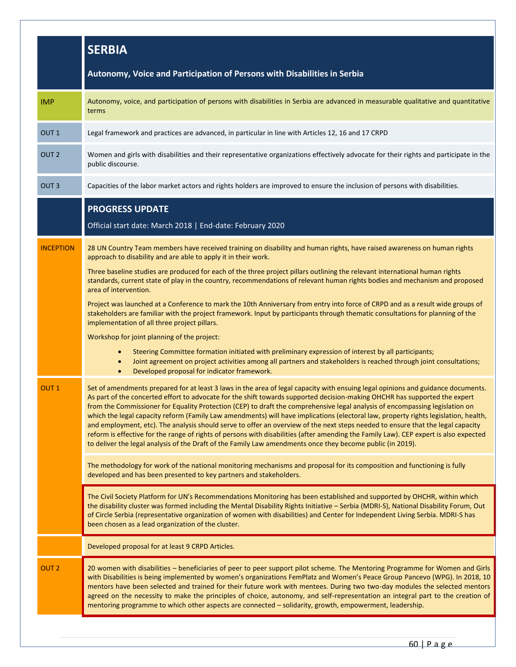|                  | <b>SERBIA</b>                                                                                                                                                                                                                                                                                                                                                                                                                                                                                                                                                                                                                                                                                                                                                                                                                                                                                                                   |
|------------------|---------------------------------------------------------------------------------------------------------------------------------------------------------------------------------------------------------------------------------------------------------------------------------------------------------------------------------------------------------------------------------------------------------------------------------------------------------------------------------------------------------------------------------------------------------------------------------------------------------------------------------------------------------------------------------------------------------------------------------------------------------------------------------------------------------------------------------------------------------------------------------------------------------------------------------|
|                  | Autonomy, Voice and Participation of Persons with Disabilities in Serbia                                                                                                                                                                                                                                                                                                                                                                                                                                                                                                                                                                                                                                                                                                                                                                                                                                                        |
| <b>IMP</b>       | Autonomy, voice, and participation of persons with disabilities in Serbia are advanced in measurable qualitative and quantitative<br>terms                                                                                                                                                                                                                                                                                                                                                                                                                                                                                                                                                                                                                                                                                                                                                                                      |
| OUT <sub>1</sub> | Legal framework and practices are advanced, in particular in line with Articles 12, 16 and 17 CRPD                                                                                                                                                                                                                                                                                                                                                                                                                                                                                                                                                                                                                                                                                                                                                                                                                              |
| OUT <sub>2</sub> | Women and girls with disabilities and their representative organizations effectively advocate for their rights and participate in the<br>public discourse.                                                                                                                                                                                                                                                                                                                                                                                                                                                                                                                                                                                                                                                                                                                                                                      |
| OUT <sub>3</sub> | Capacities of the labor market actors and rights holders are improved to ensure the inclusion of persons with disabilities.                                                                                                                                                                                                                                                                                                                                                                                                                                                                                                                                                                                                                                                                                                                                                                                                     |
|                  | <b>PROGRESS UPDATE</b><br>Official start date: March 2018   End-date: February 2020                                                                                                                                                                                                                                                                                                                                                                                                                                                                                                                                                                                                                                                                                                                                                                                                                                             |
| <b>INCEPTION</b> | 28 UN Country Team members have received training on disability and human rights, have raised awareness on human rights<br>approach to disability and are able to apply it in their work.                                                                                                                                                                                                                                                                                                                                                                                                                                                                                                                                                                                                                                                                                                                                       |
|                  | Three baseline studies are produced for each of the three project pillars outlining the relevant international human rights<br>standards, current state of play in the country, recommendations of relevant human rights bodies and mechanism and proposed<br>area of intervention.                                                                                                                                                                                                                                                                                                                                                                                                                                                                                                                                                                                                                                             |
|                  | Project was launched at a Conference to mark the 10th Anniversary from entry into force of CRPD and as a result wide groups of<br>stakeholders are familiar with the project framework. Input by participants through thematic consultations for planning of the<br>implementation of all three project pillars.                                                                                                                                                                                                                                                                                                                                                                                                                                                                                                                                                                                                                |
|                  | Workshop for joint planning of the project:                                                                                                                                                                                                                                                                                                                                                                                                                                                                                                                                                                                                                                                                                                                                                                                                                                                                                     |
|                  | Steering Committee formation initiated with preliminary expression of interest by all participants;<br>$\bullet$<br>Joint agreement on project activities among all partners and stakeholders is reached through joint consultations;<br>$\bullet$<br>Developed proposal for indicator framework.<br>$\bullet$                                                                                                                                                                                                                                                                                                                                                                                                                                                                                                                                                                                                                  |
| OUT <sub>1</sub> | Set of amendments prepared for at least 3 laws in the area of legal capacity with ensuing legal opinions and guidance documents.<br>As part of the concerted effort to advocate for the shift towards supported decision-making OHCHR has supported the expert<br>from the Commissioner for Equality Protection (CEP) to draft the comprehensive legal analysis of encompassing legislation on<br>which the legal capacity reform (Family Law amendments) will have implications (electoral law, property rights legislation, health,<br>and employment, etc). The analysis should serve to offer an overview of the next steps needed to ensure that the legal capacity<br>reform is effective for the range of rights of persons with disabilities (after amending the Family Law). CEP expert is also expected<br>to deliver the legal analysis of the Draft of the Family Law amendments once they become public (in 2019). |
|                  | The methodology for work of the national monitoring mechanisms and proposal for its composition and functioning is fully<br>developed and has been presented to key partners and stakeholders.                                                                                                                                                                                                                                                                                                                                                                                                                                                                                                                                                                                                                                                                                                                                  |
|                  | The Civil Society Platform for UN's Recommendations Monitoring has been established and supported by OHCHR, within which<br>the disability cluster was formed including the Mental Disability Rights Initiative - Serbia (MDRI-S), National Disability Forum, Out<br>of Circle Serbia (representative organization of women with disabilities) and Center for Independent Living Serbia. MDRI-S has<br>been chosen as a lead organization of the cluster.                                                                                                                                                                                                                                                                                                                                                                                                                                                                       |
|                  | Developed proposal for at least 9 CRPD Articles.                                                                                                                                                                                                                                                                                                                                                                                                                                                                                                                                                                                                                                                                                                                                                                                                                                                                                |
| OUT <sub>2</sub> | 20 women with disabilities - beneficiaries of peer to peer support pilot scheme. The Mentoring Programme for Women and Girls<br>with Disabilities is being implemented by women's organizations FemPlatz and Women's Peace Group Pancevo (WPG). In 2018, 10<br>mentors have been selected and trained for their future work with mentees. During two two-day modules the selected mentors<br>agreed on the necessity to make the principles of choice, autonomy, and self-representation an integral part to the creation of<br>mentoring programme to which other aspects are connected - solidarity, growth, empowerment, leadership.                                                                                                                                                                                                                                                                                         |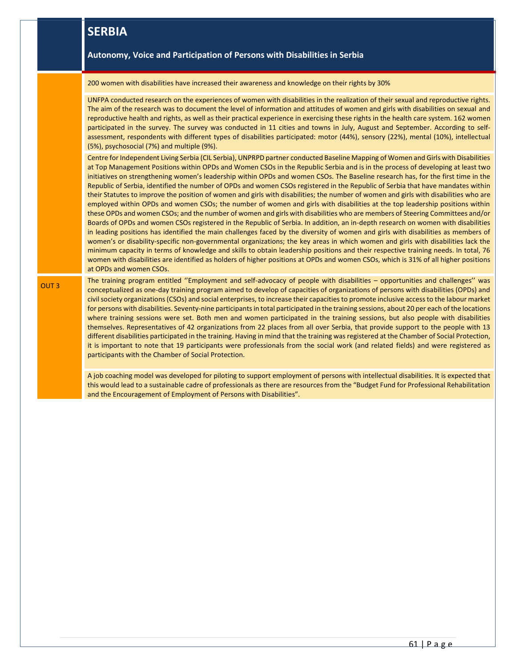|             | <b>SERBIA</b>                                                                                                                                                                                                                                                                                                                                                                                                                                                                                                                                                                                                                                                                                                                                                                                                                                                                                                                                                                                                                                                                                                                                                                                                                                                                                                                                                                                                                                                                                                                                                                                                                                                         |
|-------------|-----------------------------------------------------------------------------------------------------------------------------------------------------------------------------------------------------------------------------------------------------------------------------------------------------------------------------------------------------------------------------------------------------------------------------------------------------------------------------------------------------------------------------------------------------------------------------------------------------------------------------------------------------------------------------------------------------------------------------------------------------------------------------------------------------------------------------------------------------------------------------------------------------------------------------------------------------------------------------------------------------------------------------------------------------------------------------------------------------------------------------------------------------------------------------------------------------------------------------------------------------------------------------------------------------------------------------------------------------------------------------------------------------------------------------------------------------------------------------------------------------------------------------------------------------------------------------------------------------------------------------------------------------------------------|
|             | Autonomy, Voice and Participation of Persons with Disabilities in Serbia                                                                                                                                                                                                                                                                                                                                                                                                                                                                                                                                                                                                                                                                                                                                                                                                                                                                                                                                                                                                                                                                                                                                                                                                                                                                                                                                                                                                                                                                                                                                                                                              |
|             | 200 women with disabilities have increased their awareness and knowledge on their rights by 30%                                                                                                                                                                                                                                                                                                                                                                                                                                                                                                                                                                                                                                                                                                                                                                                                                                                                                                                                                                                                                                                                                                                                                                                                                                                                                                                                                                                                                                                                                                                                                                       |
|             | UNFPA conducted research on the experiences of women with disabilities in the realization of their sexual and reproductive rights.<br>The aim of the research was to document the level of information and attitudes of women and girls with disabilities on sexual and<br>reproductive health and rights, as well as their practical experience in exercising these rights in the health care system. 162 women<br>participated in the survey. The survey was conducted in 11 cities and towns in July, August and September. According to self-<br>assessment, respondents with different types of disabilities participated: motor (44%), sensory (22%), mental (10%), intellectual<br>(5%), psychosocial (7%) and multiple (9%).                                                                                                                                                                                                                                                                                                                                                                                                                                                                                                                                                                                                                                                                                                                                                                                                                                                                                                                                  |
|             | Centre for Independent Living Serbia (CIL Serbia), UNPRPD partner conducted Baseline Mapping of Women and Girls with Disabilities<br>at Top Management Positions within OPDs and Women CSOs in the Republic Serbia and is in the process of developing at least two<br>initiatives on strengthening women's leadership within OPDs and women CSOs. The Baseline research has, for the first time in the<br>Republic of Serbia, identified the number of OPDs and women CSOs registered in the Republic of Serbia that have mandates within<br>their Statutes to improve the position of women and girls with disabilities; the number of women and girls with disabilities who are<br>employed within OPDs and women CSOs; the number of women and girls with disabilities at the top leadership positions within<br>these OPDs and women CSOs; and the number of women and girls with disabilities who are members of Steering Committees and/or<br>Boards of OPDs and women CSOs registered in the Republic of Serbia. In addition, an in-depth research on women with disabilities<br>in leading positions has identified the main challenges faced by the diversity of women and girls with disabilities as members of<br>women's or disability-specific non-governmental organizations; the key areas in which women and girls with disabilities lack the<br>minimum capacity in terms of knowledge and skills to obtain leadership positions and their respective training needs. In total, 76<br>women with disabilities are identified as holders of higher positions at OPDs and women CSOs, which is 31% of all higher positions<br>at OPDs and women CSOs. |
| <b>OUT3</b> | The training program entitled "Employment and self-advocacy of people with disabilities - opportunities and challenges" was<br>conceptualized as one-day training program aimed to develop of capacities of organizations of persons with disabilities (OPDs) and<br>civil society organizations (CSOs) and social enterprises, to increase their capacities to promote inclusive access to the labour market<br>for persons with disabilities. Seventy-nine participants in total participated in the training sessions, about 20 per each of the locations<br>where training sessions were set. Both men and women participated in the training sessions, but also people with disabilities<br>themselves. Representatives of 42 organizations from 22 places from all over Serbia, that provide support to the people with 13<br>different disabilities participated in the training. Having in mind that the training was registered at the Chamber of Social Protection,<br>it is important to note that 19 participants were professionals from the social work (and related fields) and were registered as<br>participants with the Chamber of Social Protection.                                                                                                                                                                                                                                                                                                                                                                                                                                                                                              |
|             | A job coaching model was developed for piloting to support employment of persons with intellectual disabilities. It is expected that<br>this would lead to a sustainable cadre of professionals as there are resources from the "Budget Fund for Professional Rehabilitation<br>and the Encouragement of Employment of Persons with Disabilities".                                                                                                                                                                                                                                                                                                                                                                                                                                                                                                                                                                                                                                                                                                                                                                                                                                                                                                                                                                                                                                                                                                                                                                                                                                                                                                                    |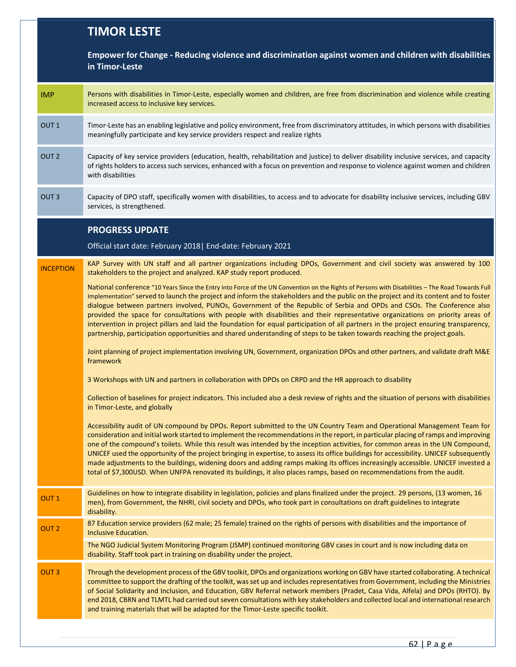## **TIMOR LESTE**

|                  | Empower for Change - Reducing violence and discrimination against women and children with disabilities<br>in Timor-Leste                                                                                                                                                                                                                                                                                                                                                                                                                                                                                                                                                                                                                                                                                                    |
|------------------|-----------------------------------------------------------------------------------------------------------------------------------------------------------------------------------------------------------------------------------------------------------------------------------------------------------------------------------------------------------------------------------------------------------------------------------------------------------------------------------------------------------------------------------------------------------------------------------------------------------------------------------------------------------------------------------------------------------------------------------------------------------------------------------------------------------------------------|
| <b>IMP</b>       | Persons with disabilities in Timor-Leste, especially women and children, are free from discrimination and violence while creating<br>increased access to inclusive key services.                                                                                                                                                                                                                                                                                                                                                                                                                                                                                                                                                                                                                                            |
| OUT <sub>1</sub> | Timor-Leste has an enabling legislative and policy environment, free from discriminatory attitudes, in which persons with disabilities<br>meaningfully participate and key service providers respect and realize rights                                                                                                                                                                                                                                                                                                                                                                                                                                                                                                                                                                                                     |
| OUT <sub>2</sub> | Capacity of key service providers (education, health, rehabilitation and justice) to deliver disability inclusive services, and capacity<br>of rights holders to access such services, enhanced with a focus on prevention and response to violence against women and children<br>with disabilities                                                                                                                                                                                                                                                                                                                                                                                                                                                                                                                         |
| OUT <sub>3</sub> | Capacity of DPO staff, specifically women with disabilities, to access and to advocate for disability inclusive services, including GBV<br>services, is strengthened.                                                                                                                                                                                                                                                                                                                                                                                                                                                                                                                                                                                                                                                       |
|                  | <b>PROGRESS UPDATE</b>                                                                                                                                                                                                                                                                                                                                                                                                                                                                                                                                                                                                                                                                                                                                                                                                      |
|                  | Official start date: February 2018   End-date: February 2021                                                                                                                                                                                                                                                                                                                                                                                                                                                                                                                                                                                                                                                                                                                                                                |
| <b>INCEPTION</b> | KAP Survey with UN staff and all partner organizations including DPOs, Government and civil society was answered by 100<br>stakeholders to the project and analyzed. KAP study report produced.                                                                                                                                                                                                                                                                                                                                                                                                                                                                                                                                                                                                                             |
|                  | National conference "10 Years Since the Entry into Force of the UN Convention on the Rights of Persons with Disabilities - The Road Towards Full<br>Implementation" served to launch the project and inform the stakeholders and the public on the project and its content and to foster<br>dialogue between partners involved, PUNOs, Government of the Republic of Serbia and OPDs and CSOs. The Conference also<br>provided the space for consultations with people with disabilities and their representative organizations on priority areas of<br>intervention in project pillars and laid the foundation for equal participation of all partners in the project ensuring transparency,<br>partnership, participation opportunities and shared understanding of steps to be taken towards reaching the project goals. |
|                  | Joint planning of project implementation involving UN, Government, organization DPOs and other partners, and validate draft M&E<br>framework                                                                                                                                                                                                                                                                                                                                                                                                                                                                                                                                                                                                                                                                                |
|                  | 3 Workshops with UN and partners in collaboration with DPOs on CRPD and the HR approach to disability                                                                                                                                                                                                                                                                                                                                                                                                                                                                                                                                                                                                                                                                                                                       |
|                  | Collection of baselines for project indicators. This included also a desk review of rights and the situation of persons with disabilities<br>in Timor-Leste, and globally                                                                                                                                                                                                                                                                                                                                                                                                                                                                                                                                                                                                                                                   |
|                  | Accessibility audit of UN compound by DPOs. Report submitted to the UN Country Team and Operational Management Team for<br>consideration and initial work started to implement the recommendations in the report, in particular placing of ramps and improving<br>one of the compound's toilets. While this result was intended by the inception activities, for common areas in the UN Compound,<br>UNICEF used the opportunity of the project bringing in expertise, to assess its office buildings for accessibility. UNICEF subsequently<br>made adjustments to the buildings, widening doors and adding ramps making its offices increasingly accessible. UNICEF invested a<br>total of \$7,300USD. When UNFPA renovated its buildings, it also places ramps, based on recommendations from the audit.                 |
| OUT <sub>1</sub> | Guidelines on how to integrate disability in legislation, policies and plans finalized under the project. 29 persons, (13 women, 16<br>men), from Government, the NHRI, civil society and DPOs, who took part in consultations on draft guidelines to integrate<br>disability.                                                                                                                                                                                                                                                                                                                                                                                                                                                                                                                                              |
| OUT <sub>2</sub> | 87 Education service providers (62 male; 25 female) trained on the rights of persons with disabilities and the importance of<br>Inclusive Education.                                                                                                                                                                                                                                                                                                                                                                                                                                                                                                                                                                                                                                                                        |
|                  | The NGO Judicial System Monitoring Program (JSMP) continued monitoring GBV cases in court and is now including data on<br>disability. Staff took part in training on disability under the project.                                                                                                                                                                                                                                                                                                                                                                                                                                                                                                                                                                                                                          |
| OUT <sub>3</sub> | Through the development process of the GBV toolkit, DPOs and organizations working on GBV have started collaborating. A technical<br>committee to support the drafting of the toolkit, was set up and includes representatives from Government, including the Ministries<br>of Social Solidarity and Inclusion, and Education, GBV Referral network members (Pradet, Casa Vida, Alfela) and DPOs (RHTO). By<br>end 2018, CBRN and TLMTL had carried out seven consultations with key stakeholders and collected local and international research<br>and training materials that will be adapted for the Timor-Leste specific toolkit.                                                                                                                                                                                       |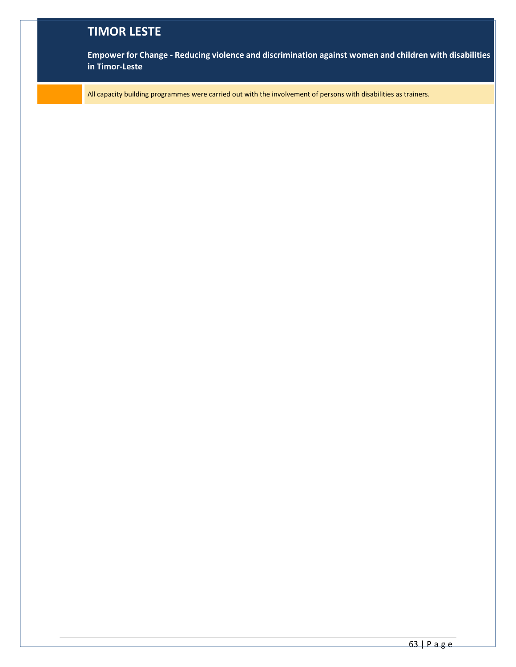## **TIMOR LESTE**

**Empower for Change - Reducing violence and discrimination against women and children with disabilities in Timor-Leste**

All capacity building programmes were carried out with the involvement of persons with disabilities as trainers.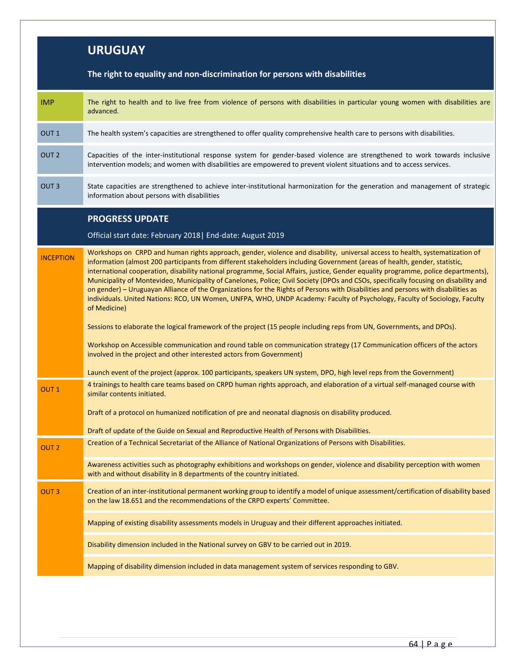## **URUGUAY The right to equality and non-discrimination for persons with disabilities** IMP The right to health and to live free from violence of persons with disabilities in particular young women with disabilities are advanced. OUT 1 The health system's capacities are strengthened to offer quality comprehensive health care to persons with disabilities. OUT 2 Capacities of the inter-institutional response system for gender-based violence are strengthened to work towards inclusive intervention models; and women with disabilities are empowered to prevent violent situations and to access services. OUT 3 State capacities are strengthened to achieve inter-institutional harmonization for the generation and management of strategic information about persons with disabilities **PROGRESS UPDATE**  Official start date: February 2018| End-date: August 2019 **INCEPTION** Workshops on CRPD and human rights approach, gender, violence and disability, universal access to health, systematization of information (almost 200 participants from different stakeholders including Government (areas of health, gender, statistic, international cooperation, disability national programme, Social Affairs, justice, Gender equality programme, police departments), Municipality of Montevideo, Municipality of Canelones, Police; Civil Society (DPOs and CSOs, specifically focusing on disability and on gender) – Uruguayan Alliance of the Organizations for the Rights of Persons with Disabilities and persons with disabilities as individuals. United Nations: RCO, UN Women, UNFPA, WHO, UNDP Academy: Faculty of Psychology, Faculty of Sociology, Faculty of Medicine) Sessions to elaborate the logical framework of the project (15 people including reps from UN, Governments, and DPOs). Workshop on Accessible communication and round table on communication strategy (17 Communication officers of the actors involved in the project and other interested actors from Government) Launch event of the project (approx. 100 participants, speakers UN system, DPO, high level reps from the Government) OUT 1 4 trainings to health care teams based on CRPD human rights approach, and elaboration of a virtual self-managed course with similar contents initiated. Draft of a protocol on humanized notification of pre and neonatal diagnosis on disability produced. Draft of update of the Guide on Sexual and Reproductive Health of Persons with Disabilities. OUT 2 Creation of a Technical Secretariat of the Alliance of National Organizations of Persons with Disabilities. Awareness activities such as photography exhibitions and workshops on gender, violence and disability perception with women with and without disability in 8 departments of the country initiated. OUT 3 Creation of an inter-institutional permanent working group to identify a model of unique assessment/certification of disability based on the law 18.651 and the recommendations of the CRPD experts' Committee. Mapping of existing disability assessments models in Uruguay and their different approaches initiated. Disability dimension included in the National survey on GBV to be carried out in 2019. Mapping of disability dimension included in data management system of services responding to GBV.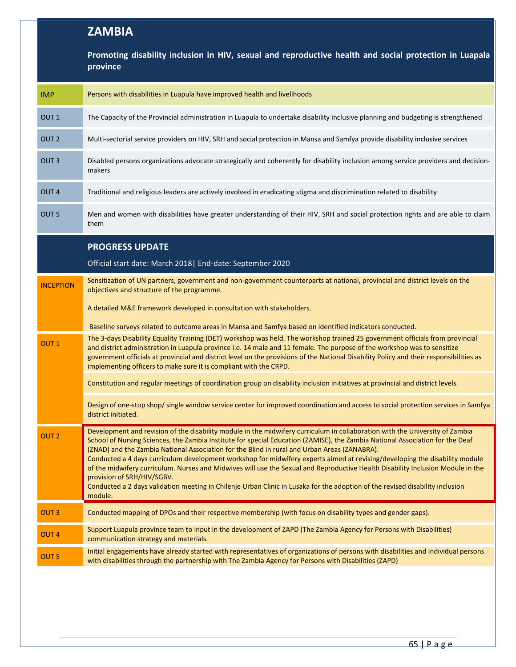## **ZAMBIA**

|                  | Promoting disability inclusion in HIV, sexual and reproductive health and social protection in Luapala<br>province                                                                                                                                                                                                                                                                                                                                                                                                                                                                                                                                                                                                                                                                                        |  |
|------------------|-----------------------------------------------------------------------------------------------------------------------------------------------------------------------------------------------------------------------------------------------------------------------------------------------------------------------------------------------------------------------------------------------------------------------------------------------------------------------------------------------------------------------------------------------------------------------------------------------------------------------------------------------------------------------------------------------------------------------------------------------------------------------------------------------------------|--|
| <b>IMP</b>       | Persons with disabilities in Luapula have improved health and livelihoods                                                                                                                                                                                                                                                                                                                                                                                                                                                                                                                                                                                                                                                                                                                                 |  |
| OUT <sub>1</sub> | The Capacity of the Provincial administration in Luapula to undertake disability inclusive planning and budgeting is strengthened                                                                                                                                                                                                                                                                                                                                                                                                                                                                                                                                                                                                                                                                         |  |
| OUT <sub>2</sub> | Multi-sectorial service providers on HIV, SRH and social protection in Mansa and Samfya provide disability inclusive services                                                                                                                                                                                                                                                                                                                                                                                                                                                                                                                                                                                                                                                                             |  |
| OUT <sub>3</sub> | Disabled persons organizations advocate strategically and coherently for disability inclusion among service providers and decision-<br>makers                                                                                                                                                                                                                                                                                                                                                                                                                                                                                                                                                                                                                                                             |  |
| OUT <sub>4</sub> | Traditional and religious leaders are actively involved in eradicating stigma and discrimination related to disability                                                                                                                                                                                                                                                                                                                                                                                                                                                                                                                                                                                                                                                                                    |  |
| OUT <sub>5</sub> | Men and women with disabilities have greater understanding of their HIV, SRH and social protection rights and are able to claim<br>them                                                                                                                                                                                                                                                                                                                                                                                                                                                                                                                                                                                                                                                                   |  |
|                  | <b>PROGRESS UPDATE</b>                                                                                                                                                                                                                                                                                                                                                                                                                                                                                                                                                                                                                                                                                                                                                                                    |  |
|                  | Official start date: March 2018   End-date: September 2020                                                                                                                                                                                                                                                                                                                                                                                                                                                                                                                                                                                                                                                                                                                                                |  |
| <b>INCEPTION</b> | Sensitization of UN partners, government and non-government counterparts at national, provincial and district levels on the<br>objectives and structure of the programme.                                                                                                                                                                                                                                                                                                                                                                                                                                                                                                                                                                                                                                 |  |
|                  | A detailed M&E framework developed in consultation with stakeholders.                                                                                                                                                                                                                                                                                                                                                                                                                                                                                                                                                                                                                                                                                                                                     |  |
|                  | Baseline surveys related to outcome areas in Mansa and Samfya based on identified indicators conducted.                                                                                                                                                                                                                                                                                                                                                                                                                                                                                                                                                                                                                                                                                                   |  |
| OUT <sub>1</sub> | The 3-days Disability Equality Training (DET) workshop was held. The workshop trained 25 government officials from provincial<br>and district administration in Luapula province i.e. 14 male and 11 female. The purpose of the workshop was to sensitize<br>government officials at provincial and district level on the provisions of the National Disability Policy and their responsibilities as<br>implementing officers to make sure it is compliant with the CRPD.                                                                                                                                                                                                                                                                                                                                 |  |
|                  | Constitution and regular meetings of coordination group on disability inclusion initiatives at provincial and district levels.                                                                                                                                                                                                                                                                                                                                                                                                                                                                                                                                                                                                                                                                            |  |
|                  | Design of one-stop shop/single window service center for improved coordination and access to social protection services in Samfya<br>district initiated.                                                                                                                                                                                                                                                                                                                                                                                                                                                                                                                                                                                                                                                  |  |
| OUT <sub>2</sub> | Development and revision of the disability module in the midwifery curriculum in collaboration with the University of Zambia<br>School of Nursing Sciences, the Zambia Institute for special Education (ZAMISE), the Zambia National Association for the Deaf<br>(ZNAD) and the Zambia National Association for the Blind in rural and Urban Areas (ZANABRA).<br>Conducted a 4 days curriculum development workshop for midwifery experts aimed at revising/developing the disability module<br>of the midwifery curriculum. Nurses and Midwives will use the Sexual and Reproductive Health Disability Inclusion Module in the<br>provision of SRH/HIV/SGBV.<br>Conducted a 2 days validation meeting in Chilenje Urban Clinic in Lusaka for the adoption of the revised disability inclusion<br>module. |  |
| <b>OUT3</b>      | Conducted mapping of DPOs and their respective membership (with focus on disability types and gender gaps).                                                                                                                                                                                                                                                                                                                                                                                                                                                                                                                                                                                                                                                                                               |  |
| OUT <sub>4</sub> | Support Luapula province team to input in the development of ZAPD (The Zambia Agency for Persons with Disabilities)<br>communication strategy and materials.                                                                                                                                                                                                                                                                                                                                                                                                                                                                                                                                                                                                                                              |  |
| OUT <sub>5</sub> | Initial engagements have already started with representatives of organizations of persons with disabilities and individual persons<br>with disabilities through the partnership with The Zambia Agency for Persons with Disabilities (ZAPD)                                                                                                                                                                                                                                                                                                                                                                                                                                                                                                                                                               |  |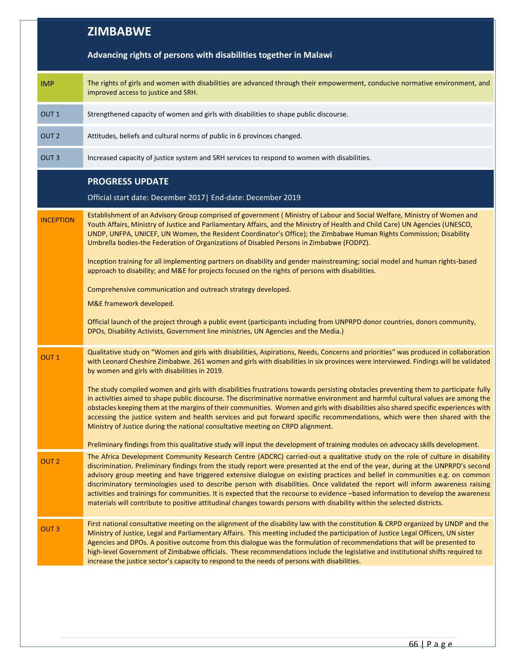|                  | <b>ZIMBABWE</b>                                                                                                                                                                                                                                                                                                                                                                                                                                                                                                                                                                                                                                                                                                                                                                                      |
|------------------|------------------------------------------------------------------------------------------------------------------------------------------------------------------------------------------------------------------------------------------------------------------------------------------------------------------------------------------------------------------------------------------------------------------------------------------------------------------------------------------------------------------------------------------------------------------------------------------------------------------------------------------------------------------------------------------------------------------------------------------------------------------------------------------------------|
|                  | Advancing rights of persons with disabilities together in Malawi                                                                                                                                                                                                                                                                                                                                                                                                                                                                                                                                                                                                                                                                                                                                     |
| <b>IMP</b>       | The rights of girls and women with disabilities are advanced through their empowerment, conducive normative environment, and<br>improved access to justice and SRH.                                                                                                                                                                                                                                                                                                                                                                                                                                                                                                                                                                                                                                  |
| OUT <sub>1</sub> | Strengthened capacity of women and girls with disabilities to shape public discourse.                                                                                                                                                                                                                                                                                                                                                                                                                                                                                                                                                                                                                                                                                                                |
| OUT <sub>2</sub> | Attitudes, beliefs and cultural norms of public in 6 provinces changed.                                                                                                                                                                                                                                                                                                                                                                                                                                                                                                                                                                                                                                                                                                                              |
| OUT <sub>3</sub> | Increased capacity of justice system and SRH services to respond to women with disabilities.                                                                                                                                                                                                                                                                                                                                                                                                                                                                                                                                                                                                                                                                                                         |
|                  | <b>PROGRESS UPDATE</b><br>Official start date: December 2017   End-date: December 2019                                                                                                                                                                                                                                                                                                                                                                                                                                                                                                                                                                                                                                                                                                               |
| <b>INCEPTION</b> | Establishment of an Advisory Group comprised of government (Ministry of Labour and Social Welfare, Ministry of Women and<br>Youth Affairs, Ministry of Justice and Parliamentary Affairs, and the Ministry of Health and Child Care) UN Agencies (UNESCO,<br>UNDP, UNFPA, UNICEF, UN Women, the Resident Coordinator's Office); the Zimbabwe Human Rights Commission; Disability<br>Umbrella bodies-the Federation of Organizations of Disabled Persons in Zimbabwe (FODPZ).                                                                                                                                                                                                                                                                                                                         |
|                  | Inception training for all implementing partners on disability and gender mainstreaming; social model and human rights-based<br>approach to disability; and M&E for projects focused on the rights of persons with disabilities.                                                                                                                                                                                                                                                                                                                                                                                                                                                                                                                                                                     |
|                  | Comprehensive communication and outreach strategy developed.                                                                                                                                                                                                                                                                                                                                                                                                                                                                                                                                                                                                                                                                                                                                         |
|                  | M&E framework developed.                                                                                                                                                                                                                                                                                                                                                                                                                                                                                                                                                                                                                                                                                                                                                                             |
|                  | Official launch of the project through a public event (participants including from UNPRPD donor countries, donors community,<br>DPOs, Disability Activists, Government line ministries, UN Agencies and the Media.)                                                                                                                                                                                                                                                                                                                                                                                                                                                                                                                                                                                  |
| OUT <sub>1</sub> | Qualitative study on "Women and girls with disabilities, Aspirations, Needs, Concerns and priorities" was produced in collaboration<br>with Leonard Cheshire Zimbabwe. 261 women and girls with disabilities in six provinces were interviewed. Findings will be validated<br>by women and girls with disabilities in 2019.                                                                                                                                                                                                                                                                                                                                                                                                                                                                          |
|                  | The study compiled women and girls with disabilities frustrations towards persisting obstacles preventing them to participate fully<br>in activities aimed to shape public discourse. The discriminative normative environment and harmful cultural values are among the<br>obstacles keeping them at the margins of their communities. Women and girls with disabilities also shared specific experiences with<br>accessing the justice system and health services and put forward specific recommendations, which were then shared with the<br>Ministry of Justice during the national consultative meeting on CRPD alignment.                                                                                                                                                                     |
|                  | Preliminary findings from this qualitative study will input the development of training modules on advocacy skills development.                                                                                                                                                                                                                                                                                                                                                                                                                                                                                                                                                                                                                                                                      |
| OUT <sub>2</sub> | The Africa Development Community Research Centre (ADCRC) carried-out a qualitative study on the role of culture in disability<br>discrimination. Preliminary findings from the study report were presented at the end of the year, during at the UNPRPD's second<br>advisory group meeting and have triggered extensive dialogue on existing practices and belief in communities e.g. on common<br>discriminatory terminologies used to describe person with disabilities. Once validated the report will inform awareness raising<br>activities and trainings for communities. It is expected that the recourse to evidence -based information to develop the awareness<br>materials will contribute to positive attitudinal changes towards persons with disability within the selected districts. |
| OUT <sub>3</sub> | First national consultative meeting on the alignment of the disability law with the constitution & CRPD organized by UNDP and the<br>Ministry of Justice, Legal and Parliamentary Affairs. This meeting included the participation of Justice Legal Officers, UN sister<br>Agencies and DPOs. A positive outcome from this dialogue was the formulation of recommendations that will be presented to<br>high-level Government of Zimbabwe officials. These recommendations include the legislative and institutional shifts required to<br>increase the justice sector's capacity to respond to the needs of persons with disabilities.                                                                                                                                                              |